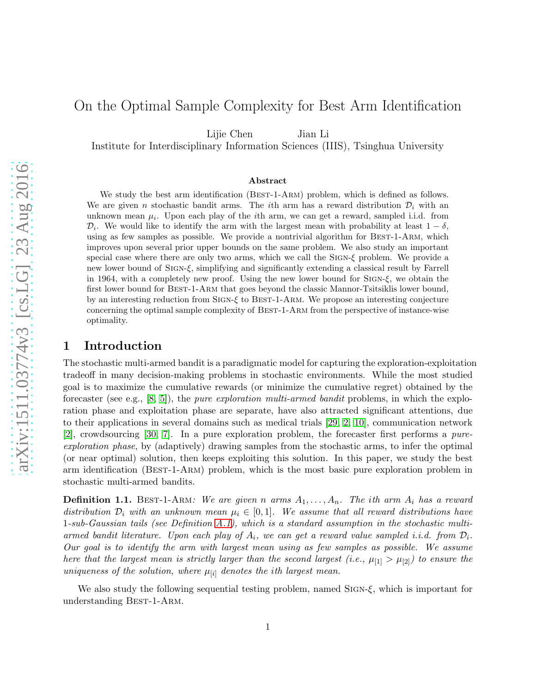# On the Optimal Sample Complexity for Best Arm Identification

Lijie Chen Jian Li

Institute for Interdisciplinary Information Sciences (IIIS), Tsinghua University

#### Abstract

We study the best arm identification (BEST-1-ARM) problem, which is defined as follows. We are given n stochastic bandit arms. The ith arm has a reward distribution  $\mathcal{D}_i$  with an unknown mean  $\mu_i$ . Upon each play of the *i*th arm, we can get a reward, sampled i.i.d. from  $\mathcal{D}_i$ . We would like to identify the arm with the largest mean with probability at least  $1 - \delta$ , using as few samples as possible. We provide a nontrivial algorithm for BEST-1-ARM, which improves upon several prior upper bounds on the same problem. We also study an important special case where there are only two arms, which we call the SIGN- $\xi$  problem. We provide a new lower bound of SIGN-ξ, simplifying and significantly extending a classical result by Farrell in 1964, with a completely new proof. Using the new lower bound for SIGN- $\xi$ , we obtain the first lower bound for Best-1-Arm that goes beyond the classic Mannor-Tsitsiklis lower bound, by an interesting reduction from Sign-ξ to Best-1-Arm. We propose an interesting conjecture concerning the optimal sample complexity of Best-1-Arm from the perspective of instance-wise optimality.

### 1 Introduction

The stochastic multi-armed bandit is a paradigmatic model for capturing the exploration-exploitation tradeoff in many decision-making problems in stochastic environments. While the most studied goal is to maximize the cumulative rewards (or minimize the cumulative regret) obtained by the forecaster (see e.g.,  $[8, 5]$  $[8, 5]$ ), the *pure exploration multi-armed bandit* problems, in which the exploration phase and exploitation phase are separate, have also attracted significant attentions, due to their applications in several domains such as medical trials [\[29,](#page-11-0) [2,](#page-10-2) [10\]](#page-10-3), communication network [\[2\]](#page-10-2), crowdsourcing [\[30,](#page-11-1) [7\]](#page-10-4). In a pure exploration problem, the forecaster first performs a pureexploration phase, by (adaptively) drawing samples from the stochastic arms, to infer the optimal (or near optimal) solution, then keeps exploiting this solution. In this paper, we study the best arm identification (Best-1-Arm) problem, which is the most basic pure exploration problem in stochastic multi-armed bandits.

**Definition 1.1.** BEST-1-ARM: We are given n arms  $A_1, \ldots, A_n$ . The ith arm  $A_i$  has a reward distribution  $\mathcal{D}_i$  with an unknown mean  $\mu_i \in [0,1]$ . We assume that all reward distributions have 1-sub-Gaussian tails (see Definition [A.1\)](#page-12-0), which is a standard assumption in the stochastic multiarmed bandit literature. Upon each play of  $A_i$ , we can get a reward value sampled i.i.d. from  $\mathcal{D}_i$ . Our goal is to identify the arm with largest mean using as few samples as possible. We assume here that the largest mean is strictly larger than the second largest (i.e.,  $\mu_{[1]} > \mu_{[2]}$ ) to ensure the uniqueness of the solution, where  $\mu_{[i]}$  denotes the ith largest mean.

We also study the following sequential testing problem, named Sign-ξ, which is important for understanding BEST-1-ARM.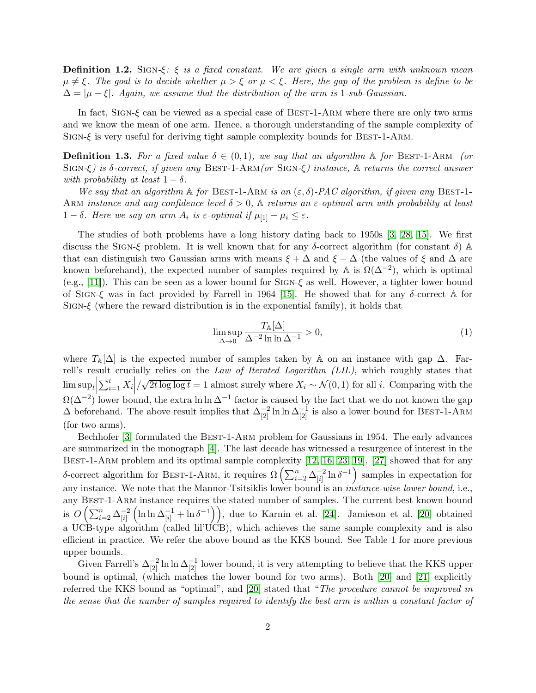**Definition 1.2.** SIGN- $\xi$ :  $\xi$  is a fixed constant. We are given a single arm with unknown mean  $\mu \neq \xi$ . The goal is to decide whether  $\mu > \xi$  or  $\mu < \xi$ . Here, the gap of the problem is define to be  $\Delta = |\mu - \xi|$ . Again, we assume that the distribution of the arm is 1-sub-Gaussian.

In fact, SIGN- $\xi$  can be viewed as a special case of BEST-1-ARM where there are only two arms and we know the mean of one arm. Hence, a thorough understanding of the sample complexity of SIGN- $\xi$  is very useful for deriving tight sample complexity bounds for BEST-1-ARM.

**Definition 1.3.** For a fixed value  $\delta \in (0,1)$ , we say that an algorithm A for BEST-1-ARM (or SIGN- $\xi$ ) is  $\delta$ -correct, if given any BEST-1-ARM(or SIGN- $\xi$ ) instance,  $\Delta$  returns the correct answer with probability at least  $1 - \delta$ .

We say that an algorithm  $\mathbb A$  for BEST-1-ARM is an  $(\varepsilon, \delta)$ -PAC algorithm, if given any BEST-1-ARM instance and any confidence level  $\delta > 0$ , A returns an  $\varepsilon$ -optimal arm with probability at least  $1-\delta$ . Here we say an arm  $A_i$  is  $\varepsilon$ -optimal if  $\mu_{[1]} - \mu_i \leq \varepsilon$ .

The studies of both problems have a long history dating back to 1950s [\[3,](#page-10-5) [28,](#page-11-2) [15\]](#page-10-6). We first discuss the SIGN-ξ problem. It is well known that for any  $\delta$ -correct algorithm (for constant  $\delta$ ) A that can distinguish two Gaussian arms with means  $\xi + \Delta$  and  $\xi - \Delta$  (the values of  $\xi$  and  $\Delta$  are known beforehand), the expected number of samples required by  $\mathbb A$  is  $\Omega(\Delta^{-2})$ , which is optimal (e.g., [\[11\]](#page-10-7)). This can be seen as a lower bound for SIGN- $\xi$  as well. However, a tighter lower bound of SIGN-ξ was in fact provided by Farrell in 1964 [\[15\]](#page-10-6). He showed that for any  $\delta$ -correct A for SIGN- $\xi$  (where the reward distribution is in the exponential family), it holds that

<span id="page-1-0"></span>
$$
\limsup_{\Delta \to 0} \frac{T_{\mathbb{A}}[\Delta]}{\Delta^{-2} \ln \ln \Delta^{-1}} > 0,
$$
\n(1)

where  $T_{\mathbb{A}}[\Delta]$  is the expected number of samples taken by A on an instance with gap  $\Delta$ . Farrell's result crucially relies on the Law of Iterated Logarithm (LIL), which roughly states that  $\limsup_t\Big|$  $\sum_{i=1}^t X_i \left| / \sqrt{2t \log \log t} \right| = 1$  almost surely where  $X_i \sim \mathcal{N}(0, 1)$  for all i. Comparing with the  $\Omega(\Delta^{-2})$  lower bound, the extra ln ln  $\Delta^{-1}$  factor is caused by the fact that we do not known the gap  $\Delta$  beforehand. The above result implies that  $\Delta_{[2]}^{-2} \ln \ln \Delta_{[2]}^{-1}$  is also a lower bound for BEST-1-ARM (for two arms).

Bechhofer [\[3\]](#page-10-5) formulated the BEST-1-ARM problem for Gaussians in 1954. The early advances are summarized in the monograph [\[4\]](#page-10-8). The last decade has witnessed a resurgence of interest in the BEST-1-ARM problem and its optimal sample complexity [\[12,](#page-10-9) [16,](#page-10-10) [23,](#page-10-11) [19\]](#page-10-12). [\[27\]](#page-11-3) showed that for any δ-correct algorithm for BEST-1-ARM, it requires  $\Omega\left(\sum_{i=2}^n \Delta_{[i]}^{-2}\right)$  $\left( \frac{-2}{[i]} \ln \delta^{-1} \right)$  samples in expectation for any instance. We note that the Mannor-Tsitsiklis lower bound is an *instance-wise lower bound*, i.e., any Best-1-Arm instance requires the stated number of samples. The current best known bound is  $O\left(\sum_{i=2}^n\Delta_{[i]}^{-2}\right)$  $[i]$  $\left(\ln \ln \Delta_{[i]}^{-1} + \ln \delta^{-1}\right)$ , due to Karnin et al. [\[24\]](#page-10-13). Jamieson et al. [\[20\]](#page-10-14) obtained a UCB-type algorithm (called lil'UCB), which achieves the same sample complexity and is also efficient in practice. We refer the above bound as the KKS bound. See Table 1 for more previous upper bounds.

Given Farrell's  $\Delta_{[2]}^{-2} \ln \ln \Delta_{[2]}^{-1}$  lower bound, it is very attempting to believe that the KKS upper bound is optimal, (which matches the lower bound for two arms). Both [\[20\]](#page-10-14) and [\[21\]](#page-10-15) explicitly referred the KKS bound as "optimal", and [\[20\]](#page-10-14) stated that "The procedure cannot be improved in the sense that the number of samples required to identify the best arm is within a constant factor of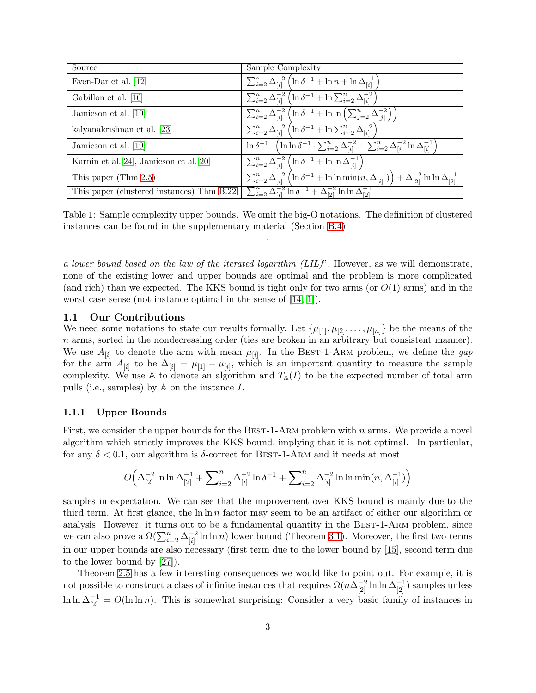| Source                                    | Sample Complexity                                                                                                                                          |
|-------------------------------------------|------------------------------------------------------------------------------------------------------------------------------------------------------------|
| Even-Dar et al. $[12]$                    | $\sum_{i=2}^{n} \Delta_{[i]}^{-2} \left( \ln \delta^{-1} + \ln n + \ln \Delta_{[i]}^{-1} \right)$                                                          |
| Gabillon et al. [16]                      | $\sum_{i=2}^{n} \Delta_{[i]}^{-2} \left( \ln \delta^{-1} + \ln \sum_{i=2}^{n} \Delta_{[i]}^{-2} \right)$                                                   |
| Jamieson et al. [19]                      | $\sum_{i=2}^{n} \Delta_{[i]}^{-2} \left( \ln \delta^{-1} + \ln \ln \left( \sum_{j=2}^{n} \Delta_{[j]}^{-2} \right) \right)$                                |
| kalyanakrishnan et al. [23]               | $\sum_{i=2}^{n} \Delta_{[i]}^{-2} \left( \ln \delta^{-1} + \ln \sum_{i=2}^{n} \Delta_{[i]}^{-2} \right)$                                                   |
| Jamieson et al. [19]                      | $\ln \delta^{-1} \cdot \left( \ln \ln \delta^{-1} \cdot \sum_{i=2}^{n} \Delta_{[i]}^{-2} + \sum_{i=2}^{n} \Delta_{[i]}^{-2} \ln \Delta_{[i]}^{-1} \right)$ |
| Karnin et al. [24], Jamieson et al. [20]  | $\sum_{i=2}^n \Delta_{[i]}^{-2} \left( \ln \delta^{-1} + \ln \ln \Delta_{[i]}^{-1} \right)$                                                                |
| This paper (Thm $2.5$ )                   | $\sum_{i=2}^n \Delta_{[i]}^{-2} \left( \ln \delta^{-1} + \ln \ln \min(n, \Delta_{[i]}^{-1}) \right) + \Delta_{[2]}^{-2} \ln \ln \Delta_{[2]}^{-1}$         |
| This paper (clustered instances) Thm B.22 | $\sum_{i=2}^n \Delta_{[i]}^{-2} \ln \delta^{-1} + \Delta_{[2]}^{-2} \ln \ln \Delta_{[2]}^{-1}$                                                             |

Table 1: Sample complexity upper bounds. We omit the big-O notations. The definition of clustered instances can be found in the supplementary material (Section [B.4\)](#page-22-0) .

a lower bound based on the law of the iterated logarithm (LIL)". However, as we will demonstrate, none of the existing lower and upper bounds are optimal and the problem is more complicated (and rich) than we expected. The KKS bound is tight only for two arms (or  $O(1)$  arms) and in the worst case sense (not instance optimal in the sense of [\[14,](#page-10-16) [1\]](#page-10-17)).

#### 1.1 Our Contributions

We need some notations to state our results formally. Let  $\{\mu_{11}, \mu_{12}, \ldots, \mu_{[n]}\}\)$  be the means of the n arms, sorted in the nondecreasing order (ties are broken in an arbitrary but consistent manner). We use  $A_{[i]}$  to denote the arm with mean  $\mu_{[i]}$ . In the BEST-1-ARM problem, we define the gap for the arm  $A_{[i]}$  to be  $\Delta_{[i]} = \mu_{[1]} - \mu_{[i]}$ , which is an important quantity to measure the sample complexity. We use A to denote an algorithm and  $T_{A}(I)$  to be the expected number of total arm pulls (i.e., samples) by A on the instance I.

#### 1.1.1 Upper Bounds

First, we consider the upper bounds for the BEST-1-ARM problem with n arms. We provide a novel algorithm which strictly improves the KKS bound, implying that it is not optimal. In particular, for any  $\delta$  < 0.1, our algorithm is  $\delta$ -correct for BEST-1-ARM and it needs at most

$$
O\Big(\Delta_{[2]}^{-2}\ln\ln\Delta_{[2]}^{-1}+\sum\nolimits_{i=2}^n\Delta_{[i]}^{-2}\ln\delta^{-1}+\sum\nolimits_{i=2}^n\Delta_{[i]}^{-2}\ln\ln\min(n,\Delta_{[i]}^{-1})\Big)
$$

samples in expectation. We can see that the improvement over KKS bound is mainly due to the third term. At first glance, the  $\ln \ln n$  factor may seem to be an artifact of either our algorithm or analysis. However, it turns out to be a fundamental quantity in the BEST-1-ARM problem, since we can also prove a  $\Omega(\sum_{i=2}^n\Delta_{[i]}^{-2}$  $\frac{-2}{[i]}$  ln ln n) lower bound (Theorem [3.1\)](#page-24-0). Moreover, the first two terms in our upper bounds are also necessary (first term due to the lower bound by [\[15\]](#page-10-6), second term due to the lower bound by [\[27\]](#page-11-3)).

Theorem [2.5](#page-17-0) has a few interesting consequences we would like to point out. For example, it is not possible to construct a class of infinite instances that requires  $\Omega(n\Delta_{[2]}^{-2}\ln\ln\Delta_{[2]}^{-1})$  samples unless  $\ln \ln \Delta_{[2]}^{-1} = O(\ln \ln n)$ . This is somewhat surprising: Consider a very basic family of instances in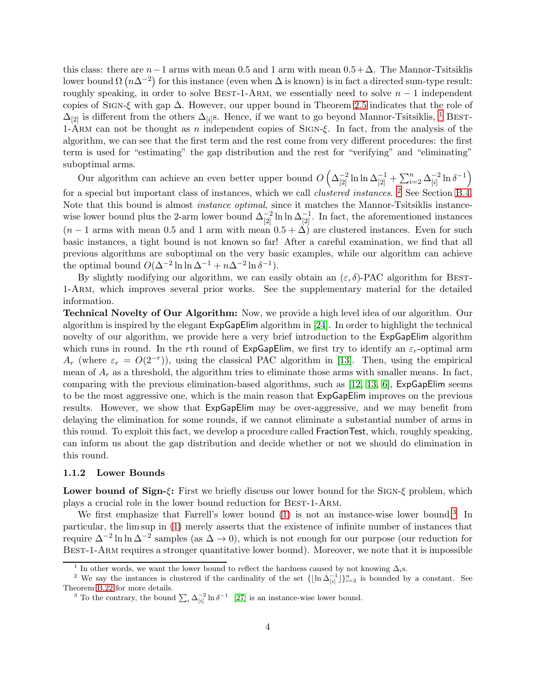this class: there are  $n-1$  arms with mean 0.5 and 1 arm with mean  $0.5+\Delta$ . The Mannor-Tsitsiklis lower bound  $\Omega(n\Delta^{-2})$  for this instance (even when  $\Delta$  is known) is in fact a directed sum-type result: roughly speaking, in order to solve BEST-1-ARM, we essentially need to solve  $n-1$  independent copies of SIGN- $\xi$  with gap  $\Delta$ . However, our upper bound in Theorem [2.5](#page-17-0) indicates that the role of  $\Delta_{[2]}$  is different from the others  $\Delta_{[i]}$ s. Hence, if we want to go beyond Mannor-Tsitsiklis, <sup>[1](#page-3-0)</sup> BEST-1-Arm can not be thought as n independent copies of Sign-ξ. In fact, from the analysis of the algorithm, we can see that the first term and the rest come from very different procedures: the first term is used for "estimating" the gap distribution and the rest for "verifying" and "eliminating" suboptimal arms.

Our algorithm can achieve an even better upper bound  $O\left(\Delta_{[2]}^{-2} \ln \ln \Delta_{[2]}^{-1} + \sum_{i=2}^{n} \Delta_{[i]}^{-2}\right)$  $\frac{-2}{[i]} \ln \delta^{-1}$ for a special but important class of instances, which we call *clustered instances*. <sup>[2](#page-3-1)</sup> See Section [B.4.](#page-22-0) Note that this bound is almost instance optimal, since it matches the Mannor-Tsitsiklis instancewise lower bound plus the 2-arm lower bound  $\Delta_{[2]}^{-2} \ln \ln \Delta_{[2]}^{-1}$ . In fact, the aforementioned instances  $(n-1)$  arms with mean 0.5 and 1 arm with mean  $(0.5 + \Delta)$  are clustered instances. Even for such basic instances, a tight bound is not known so far! After a careful examination, we find that all previous algorithms are suboptimal on the very basic examples, while our algorithm can achieve the optimal bound  $O(\Delta^{-2} \ln \ln \Delta^{-1} + n\Delta^{-2} \ln \delta^{-1}).$ 

By slightly modifying our algorithm, we can easily obtain an  $(\varepsilon, \delta)$ -PAC algorithm for BEST-1-Arm, which improves several prior works. See the supplementary material for the detailed information.

Technical Novelty of Our Algorithm: Now, we provide a high level idea of our algorithm. Our algorithm is inspired by the elegant ExpGapElim algorithm in [\[24\]](#page-10-13). In order to highlight the technical novelty of our algorithm, we provide here a very brief introduction to the  $ExpGapElim$  algorithm which runs in round. In the rth round of  $ExpGapElim$ , we first try to identify an  $\varepsilon_r$ -optimal arm  $A_r$  (where  $\varepsilon_r = O(2^{-r})$ ), using the classical PAC algorithm in [\[13\]](#page-10-18). Then, using the empirical mean of  $A_r$  as a threshold, the algorithm tries to eliminate those arms with smaller means. In fact, comparing with the previous elimination-based algorithms, such as [\[12,](#page-10-9) [13,](#page-10-18) [6\]](#page-10-19), ExpGapElim seems to be the most aggressive one, which is the main reason that ExpGapElim improves on the previous results. However, we show that ExpGapElim may be over-aggressive, and we may benefit from delaying the elimination for some rounds, if we cannot eliminate a substantial number of arms in this round. To exploit this fact, we develop a procedure called FractionTest, which, roughly speaking, can inform us about the gap distribution and decide whether or not we should do elimination in this round.

#### 1.1.2 Lower Bounds

Lower bound of Sign-ξ: First we briefly discuss our lower bound for the SIGN-ξ problem, which plays a crucial role in the lower bound reduction for Best-1-Arm.

We first emphasize that Farrell's lower bound [\(1\)](#page-1-0) is not an instance-wise lower bound.<sup>[3](#page-3-2)</sup> In particular, the lim sup in [\(1\)](#page-1-0) merely asserts that the existence of infinite number of instances that require  $\Delta^{-2}$  ln ln  $\Delta^{-2}$  samples (as  $\Delta \to 0$ ), which is not enough for our purpose (our reduction for BEST-1-ARM requires a stronger quantitative lower bound). Moreover, we note that it is impossible

<span id="page-3-0"></span><sup>1</sup> In other words, we want the lower bound to reflect the hardness caused by not knowing  $\Delta_i$ s.

<sup>&</sup>lt;sup>2</sup> We say the instances is clustered if the cardinality of the set  $\{\lfloor \ln \Delta_{[i]}^{-1}\rfloor\}_{i=2}^n$  is bounded by a constant. See Theorem [B.22](#page-23-0) for more details.

<span id="page-3-2"></span><span id="page-3-1"></span><sup>&</sup>lt;sup>3</sup> To the contrary, the bound  $\sum_i \Delta_{[i]}^{-2} \ln \delta^{-1}$  [\[27\]](#page-11-3) is an instance-wise lower bound.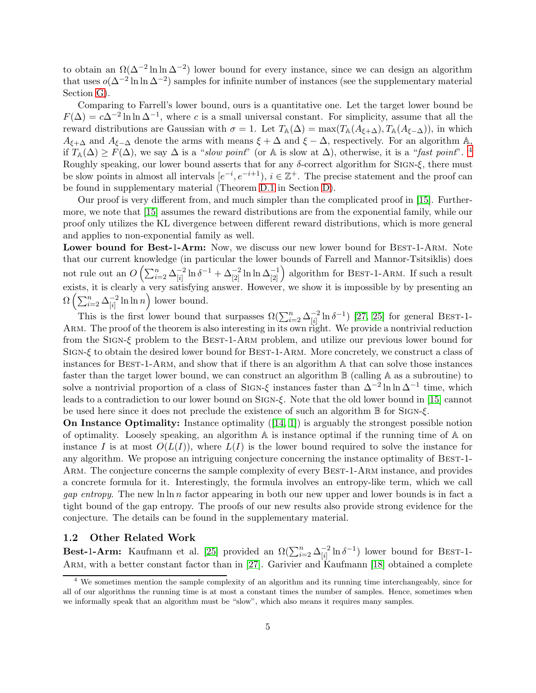to obtain an  $\Omega(\Delta^{-2} \ln \ln \Delta^{-2})$  lower bound for every instance, since we can design an algorithm that uses  $o(\Delta^{-2} \ln \ln \Delta^{-2})$  samples for infinite number of instances (see the supplementary material Section [G\)](#page-40-0).

Comparing to Farrell's lower bound, ours is a quantitative one. Let the target lower bound be  $F(\Delta) = c\Delta^{-2} \ln \ln \Delta^{-1}$ , where c is a small universal constant. For simplicity, assume that all the reward distributions are Gaussian with  $\sigma = 1$ . Let  $T_{\mathbb{A}}(\Delta) = \max(T_{\mathbb{A}}(A_{\xi+\Delta}), T_{\mathbb{A}}(A_{\xi-\Delta}))$ , in which  $A_{\xi+\Delta}$  and  $A_{\xi-\Delta}$  denote the arms with means  $\xi+\Delta$  and  $\xi-\Delta$ , respectively. For an algorithm A, if  $T_{\mathbb{A}}(\Delta) \geq F(\Delta)$ , we say  $\Delta$  is a "slow point" (or A is slow at  $\Delta$ ), otherwise, it is a "fast point". <sup>[4](#page-4-0)</sup> Roughly speaking, our lower bound asserts that for any  $\delta$ -correct algorithm for SIGN- $\xi$ , there must be slow points in almost all intervals  $[e^{-i}, e^{-i+1}], i \in \mathbb{Z}^+$ . The precise statement and the proof can be found in supplementary material (Theorem [D.1](#page-27-0) in Section [D\)](#page-27-1).

Our proof is very different from, and much simpler than the complicated proof in [\[15\]](#page-10-6). Furthermore, we note that [\[15\]](#page-10-6) assumes the reward distributions are from the exponential family, while our proof only utilizes the KL divergence between different reward distributions, which is more general and applies to non-exponential family as well.

Lower bound for Best-1-Arm: Now, we discuss our new lower bound for BEST-1-ARM. Note that our current knowledge (in particular the lower bounds of Farrell and Mannor-Tsitsiklis) does not rule out an  $O\left(\sum_{i=2}^n \Delta_{[i]}^{-2}\right)$  $\frac{-2}{[i]} \ln \delta^{-1} + \Delta_{[2]}^{-2} \ln \ln \Delta_{[2]}^{-1}$  algorithm for BEST-1-ARM. If such a result exists, it is clearly a very satisfying answer. However, we show it is impossible by by presenting an  $\Omega\left(\sum_{i=2}^n\Delta_{[i]}^{-2}\right)$  $\begin{pmatrix} -2 \\ i \end{pmatrix}$  ln ln n bound.

This is the first lower bound that surpasses  $\Omega(\sum_{i=2}^n \Delta_{[i]}^{-2})$  $\frac{-2}{[i]} \ln \delta^{-1}$  [\[27,](#page-11-3) [25\]](#page-11-4) for general BEST-1-ARM. The proof of the theorem is also interesting in its own right. We provide a nontrivial reduction from the Sign-ξ problem to the Best-1-Arm problem, and utilize our previous lower bound for Sign-ξ to obtain the desired lower bound for Best-1-Arm. More concretely, we construct a class of instances for Best-1-Arm, and show that if there is an algorithm A that can solve those instances faster than the target lower bound, we can construct an algorithm B (calling A as a subroutine) to solve a nontrivial proportion of a class of SIGN- $\xi$  instances faster than  $\Delta^{-2} \ln \ln \Delta^{-1}$  time, which leads to a contradiction to our lower bound on SIGN- $\xi$ . Note that the old lower bound in [\[15\]](#page-10-6) cannot be used here since it does not preclude the existence of such an algorithm B for Sign-ξ.

On Instance Optimality: Instance optimality ([\[14,](#page-10-16) [1\]](#page-10-17)) is arguably the strongest possible notion of optimality. Loosely speaking, an algorithm A is instance optimal if the running time of A on instance I is at most  $O(L(I))$ , where  $L(I)$  is the lower bound required to solve the instance for any algorithm. We propose an intriguing conjecture concerning the instance optimality of Best-1- ARM. The conjecture concerns the sample complexity of every BEST-1-ARM instance, and provides a concrete formula for it. Interestingly, the formula involves an entropy-like term, which we call *gap entropy*. The new  $\ln \ln n$  factor appearing in both our new upper and lower bounds is in fact a tight bound of the gap entropy. The proofs of our new results also provide strong evidence for the conjecture. The details can be found in the supplementary material.

#### 1.2 Other Related Work

Best-1-Arm: Kaufmann et al. [\[25\]](#page-11-4) provided an  $\Omega(\sum_{i=2}^n \Delta_{[i]}^{-2})$  $\frac{-2}{[i]} \ln \delta^{-1}$ ) lower bound for BEST-1-ARM, with a better constant factor than in [\[27\]](#page-11-3). Garivier and Kaufmann [\[18\]](#page-10-20) obtained a complete

<span id="page-4-0"></span>We sometimes mention the sample complexity of an algorithm and its running time interchangeably, since for all of our algorithms the running time is at most a constant times the number of samples. Hence, sometimes when we informally speak that an algorithm must be "slow", which also means it requires many samples.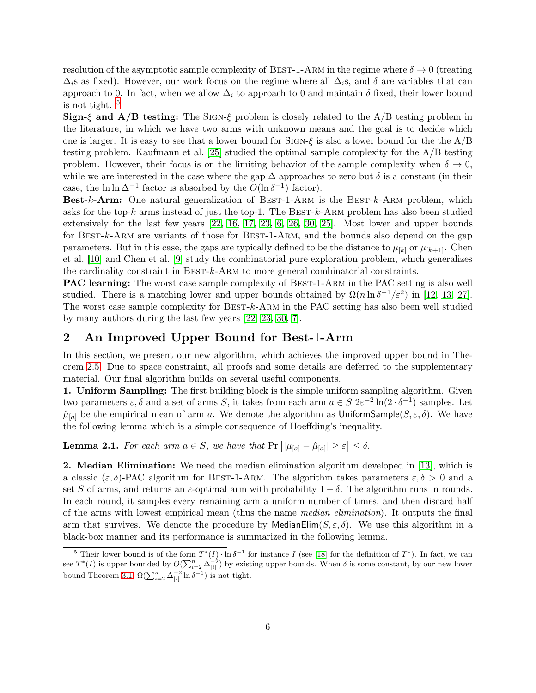resolution of the asymptotic sample complexity of BEST-1-ARM in the regime where  $\delta \to 0$  (treating  $\Delta_i$ s as fixed). However, our work focus on the regime where all  $\Delta_i$ s, and  $\delta$  are variables that can approach to 0. In fact, when we allow  $\Delta_i$  to approach to 0 and maintain  $\delta$  fixed, their lower bound is not tight.  $5$ 

**Sign-**ξ and  $\mathbf{A}/\mathbf{B}$  testing: The SIGN-ξ problem is closely related to the  $\mathbf{A}/\mathbf{B}$  testing problem in the literature, in which we have two arms with unknown means and the goal is to decide which one is larger. It is easy to see that a lower bound for SIGN- $\xi$  is also a lower bound for the the A/B testing problem. Kaufmann et al. [\[25\]](#page-11-4) studied the optimal sample complexity for the A/B testing problem. However, their focus is on the limiting behavior of the sample complexity when  $\delta \to 0$ , while we are interested in the case where the gap  $\Delta$  approaches to zero but  $\delta$  is a constant (in their case, the  $\ln \ln \Delta^{-1}$  factor is absorbed by the  $O(\ln \delta^{-1})$  factor).

**Best-k-Arm:** One natural generalization of BEST-1-ARM is the BEST- $k$ -ARM problem, which asks for the top-k arms instead of just the top-1. The Best-k-Arm problem has also been studied extensively for the last few years [\[22,](#page-10-21) [16,](#page-10-10) [17,](#page-10-22) [23,](#page-10-11) [6,](#page-10-19) [26,](#page-11-5) [30,](#page-11-1) [25\]](#page-11-4). Most lower and upper bounds for BEST-k-ARM are variants of those for BEST-1-ARM, and the bounds also depend on the gap parameters. But in this case, the gaps are typically defined to be the distance to  $\mu_{[k]}$  or  $\mu_{[k+1]}$ . Chen et al. [\[10\]](#page-10-3) and Chen et al. [\[9\]](#page-10-23) study the combinatorial pure exploration problem, which generalizes the cardinality constraint in Best-k-Arm to more general combinatorial constraints.

PAC learning: The worst case sample complexity of BEST-1-ARM in the PAC setting is also well studied. There is a matching lower and upper bounds obtained by  $\Omega(n \ln \delta^{-1}/\varepsilon^2)$  in [\[12,](#page-10-9) [13,](#page-10-18) [27\]](#page-11-3). The worst case sample complexity for BEST-k-ARM in the PAC setting has also been well studied by many authors during the last few years [\[22,](#page-10-21) [23,](#page-10-11) [30,](#page-11-1) [7\]](#page-10-4).

### 2 An Improved Upper Bound for Best-1-Arm

In this section, we present our new algorithm, which achieves the improved upper bound in Theorem [2.5.](#page-17-0) Due to space constraint, all proofs and some details are deferred to the supplementary material. Our final algorithm builds on several useful components.

1. Uniform Sampling: The first building block is the simple uniform sampling algorithm. Given two parameters  $\varepsilon$ ,  $\delta$  and a set of arms S, it takes from each arm  $a \in S$   $2\varepsilon^{-2} \ln(2 \cdot \delta^{-1})$  samples. Let  $\hat{\mu}_{[a]}$  be the empirical mean of arm a. We denote the algorithm as UniformSample( $S, \varepsilon, \delta$ ). We have the following lemma which is a simple consequence of Hoeffding's inequality.

**Lemma 2.1.** For each arm  $a \in S$ , we have that  $Pr [|\mu_{[a]} - \hat{\mu}_{[a]}| \geq \varepsilon] \leq \delta$ .

2. Median Elimination: We need the median elimination algorithm developed in [\[13\]](#page-10-18), which is a classic  $(\varepsilon, \delta)$ -PAC algorithm for BEST-1-ARM. The algorithm takes parameters  $\varepsilon, \delta > 0$  and a set S of arms, and returns an  $\varepsilon$ -optimal arm with probability  $1 - \delta$ . The algorithm runs in rounds. In each round, it samples every remaining arm a uniform number of times, and then discard half of the arms with lowest empirical mean (thus the name median elimination). It outputs the final arm that survives. We denote the procedure by MedianElim $(S, \varepsilon, \delta)$ . We use this algorithm in a black-box manner and its performance is summarized in the following lemma.

<span id="page-5-0"></span><sup>&</sup>lt;sup>5</sup> Their lower bound is of the form  $T^*(I) \cdot \ln \delta^{-1}$  for instance I (see [\[18\]](#page-10-20) for the definition of  $T^*$ ). In fact, we can see  $T^*(I)$  is upper bounded by  $O(\sum_{i=2}^n \Delta_{[i]}^{-2})$  by existing upper bounds. When  $\delta$  is some constant, by our new lower bound Theorem [3.1,](#page-24-0)  $\Omega(\sum_{i=2}^n \Delta_{[i]}^{-2} \ln {\delta}^{-1})$  is not tight.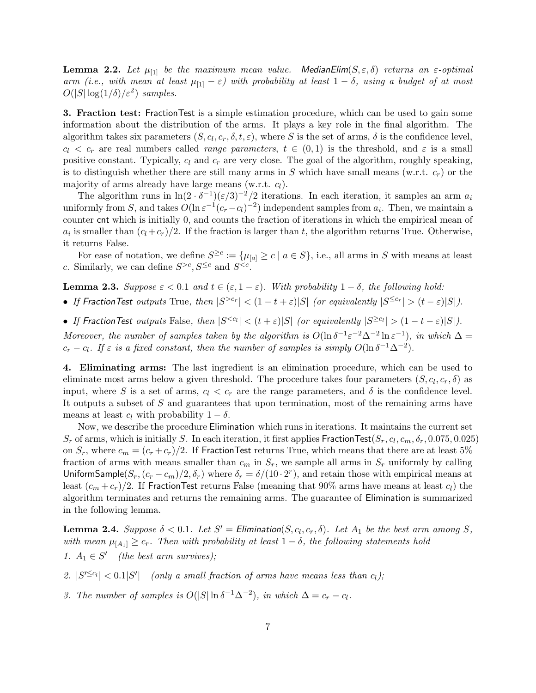**Lemma 2.2.** Let  $\mu_{[1]}$  be the maximum mean value. MedianElim( $S, \epsilon, \delta$ ) returns an  $\epsilon$ -optimal arm (i.e., with mean at least  $\mu_{11} - \varepsilon$ ) with probability at least  $1 - \delta$ , using a budget of at most  $O(|S|\log(1/\delta)/\varepsilon^2)$  samples.

3. Fraction test: FractionTest is a simple estimation procedure, which can be used to gain some information about the distribution of the arms. It plays a key role in the final algorithm. The algorithm takes six parameters  $(S, c_l, c_r, \delta, t, \varepsilon)$ , where S is the set of arms,  $\delta$  is the confidence level,  $c_l < c_r$  are real numbers called *range parameters*,  $t \in (0,1)$  is the threshold, and  $\varepsilon$  is a small positive constant. Typically,  $c_l$  and  $c_r$  are very close. The goal of the algorithm, roughly speaking, is to distinguish whether there are still many arms in S which have small means (w.r.t.  $c_r$ ) or the majority of arms already have large means (w.r.t.  $c_l$ ).

The algorithm runs in  $\ln(2 \cdot \delta^{-1})(\epsilon/3)^{-2}/2$  iterations. In each iteration, it samples an arm  $a_i$ uniformly from S, and takes  $O(\ln \varepsilon^{-1}(c_r-c_l)^{-2})$  independent samples from  $a_i$ . Then, we maintain a counter cnt which is initially 0, and counts the fraction of iterations in which the empirical mean of  $a_i$  is smaller than  $(c_l + c_r)/2$ . If the fraction is larger than t, the algorithm returns True. Otherwise, it returns False.

For ease of notation, we define  $S^{\geq c} := \{\mu_{[a]} \geq c \mid a \in S\}$ , i.e., all arms in S with means at least c. Similarly, we can define  $S^{>c}, S^{\leq c}$  and  $S^{.$ 

**Lemma 2.3.** Suppose  $\varepsilon < 0.1$  and  $t \in (\varepsilon, 1 - \varepsilon)$ . With probability  $1 - \delta$ , the following hold:

• If Fraction Test outputs True, then  $|S^{>c_r}| < (1-t+\varepsilon)|S|$  (or equivalently  $|S^{\leq c_r}| > (t-\varepsilon)|S|$ ).

• If Fraction Test outputs False, then  $|S^{< c_l}| < (t + \varepsilon)|S|$  (or equivalently  $|S^{\geq c_l}| > (1 - t - \varepsilon)|S|$ ). Moreover, the number of samples taken by the algorithm is  $O(\ln \delta^{-1} \varepsilon^{-2} \Delta^{-2} \ln \varepsilon^{-1})$ , in which  $\Delta =$  $c_r - c_l$ . If  $\varepsilon$  is a fixed constant, then the number of samples is simply  $O(\ln \delta^{-1} \Delta^{-2})$ .

4. Eliminating arms: The last ingredient is an elimination procedure, which can be used to eliminate most arms below a given threshold. The procedure takes four parameters  $(S, c_l, c_r, \delta)$  as input, where S is a set of arms,  $c_l < c_r$  are the range parameters, and  $\delta$  is the confidence level. It outputs a subset of S and guarantees that upon termination, most of the remaining arms have means at least  $c_l$  with probability  $1 - \delta$ .

Now, we describe the procedure Elimination which runs in iterations. It maintains the current set  $S_r$  of arms, which is initially S. In each iteration, it first applies  $\mathsf{FractionTest}(S_r, c_l, c_m, \delta_r, 0.075, 0.025)$ on  $S_r$ , where  $c_m = (c_r + c_r)/2$ . If FractionTest returns True, which means that there are at least 5% fraction of arms with means smaller than  $c_m$  in  $S_r$ , we sample all arms in  $S_r$  uniformly by calling UniformSample( $S_r$ ,  $(c_r - c_m)/2$ ,  $\delta_r$ ) where  $\delta_r = \delta/(10 \cdot 2^r)$ , and retain those with empirical means at least  $(c_m + c_r)/2$ . If FractionTest returns False (meaning that 90% arms have means at least  $c_l$ ) the algorithm terminates and returns the remaining arms. The guarantee of Elimination is summarized in the following lemma.

**Lemma 2.4.** Suppose  $\delta < 0.1$ . Let  $S' =$  Elimination( $S, c_l, c_r, \delta$ ). Let  $A_1$  be the best arm among  $S$ , with mean  $\mu_{[A_1]} \geq c_r$ . Then with probability at least  $1 - \delta$ , the following statements hold 1.  $A_1 \in S'$  (the best arm survives);

2.  $|S^{\prime \leq c_l}| < 0.1|S^{\prime}|$  (only a small fraction of arms have means less than  $c_l$ );

3. The number of samples is  $O(|S|\ln \delta^{-1}\Delta^{-2})$ , in which  $\Delta = c_r - c_l$ .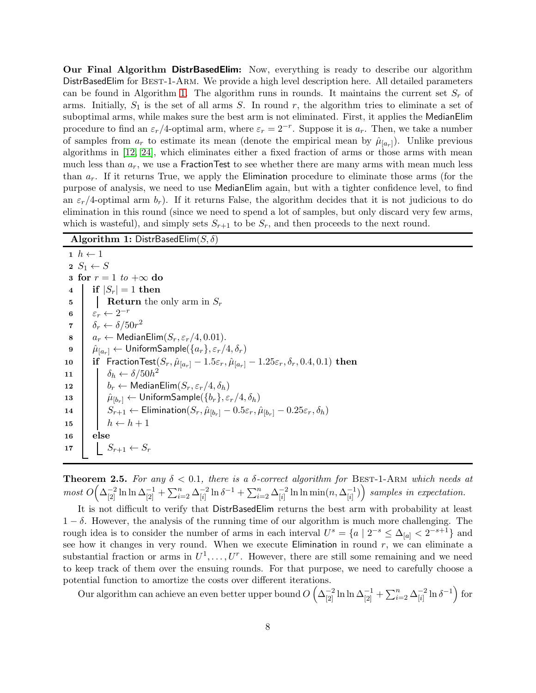**Our Final Algorithm DistrBasedElim:** Now, everything is ready to describe our algorithm DistrBasedElim for Best-1-Arm. We provide a high level description here. All detailed parameters can be found in Algorithm [1.](#page-7-0) The algorithm runs in rounds. It maintains the current set  $S_r$  of arms. Initially,  $S_1$  is the set of all arms S. In round r, the algorithm tries to eliminate a set of suboptimal arms, while makes sure the best arm is not eliminated. First, it applies the MedianElim procedure to find an  $\varepsilon_r/4$ -optimal arm, where  $\varepsilon_r = 2^{-r}$ . Suppose it is  $a_r$ . Then, we take a number of samples from  $a_r$  to estimate its mean (denote the empirical mean by  $\hat{\mu}_{[a_r]}$ ). Unlike previous algorithms in [\[12,](#page-10-9) [24\]](#page-10-13), which eliminates either a fixed fraction of arms or those arms with mean much less than  $a_r$ , we use a FractionTest to see whether there are many arms with mean much less than  $a_r$ . If it returns True, we apply the Elimination procedure to eliminate those arms (for the purpose of analysis, we need to use MedianElim again, but with a tighter confidence level, to find an  $\varepsilon_r/4$ -optimal arm  $b_r$ ). If it returns False, the algorithm decides that it is not judicious to do elimination in this round (since we need to spend a lot of samples, but only discard very few arms, which is wasteful), and simply sets  $S_{r+1}$  to be  $S_r$ , and then proceeds to the next round.

#### <span id="page-7-0"></span>Algorithm 1: DistrBasedElim $(S, \delta)$

```
1 \; h \leftarrow 12 S_1 \leftarrow S3 for r = 1 to +\infty do
  4 if |S_r| = 1 then
  \mathbf{5} Return the only arm in S_r6 \varepsilon_r \leftarrow 2^{-r}7 \delta_r \leftarrow \delta / 50r^28 a_r \leftarrow \text{MedianElim}(S_r, \varepsilon_r/4, 0.01).<br>9 \hat{\mu}_{[a_1]} \leftarrow \text{UniformSample}(\{a_r\}, \varepsilon_r/4)\hat{\mu}_{[a_r]} \leftarrow UniformSample(\{a_r\}, \varepsilon_r/4, \delta_r)10 if FractionTest(S_r, \hat{\mu}_{[a_r]} - 1.5\varepsilon_r, \hat{\mu}_{[a_r]} - 1.25\varepsilon_r, \delta_r, 0.4, 0.1) then
11 \delta_h \leftarrow \delta/50h^212 b_r \leftarrow \text{MedianElim}(S_r, \varepsilon_r/4, \delta_h)<br>
13 \hat{\mu}_{\text{BL-1}} \leftarrow \text{UniformSample}(\{b_r\}, \varepsilon_r)\hat{\mu}_{[b_r]} \leftarrow \textsf{UniformSample}(\{b_r\}, \varepsilon_r/4, \delta_h)14 \begin{array}{|c|c|} \hline \end{array} \begin{array}{|c|c|} \hline \end{array} \begin{array}{c} S_{r+1} \leftarrow \textsf{Elimination}(S_r, \hat{\mu}_{[b_r]} - 0.5\varepsilon_r, \hat{\mu}_{[b_r]} - 0.25\varepsilon_r, \delta_h) \hline \end{array}15 \vert \vert \vert h \leftarrow h + 116 else
17 S_{r+1} \leftarrow S_r
```
**Theorem 2.5.** For any  $\delta$  < 0.1, there is a  $\delta$ -correct algorithm for BEST-1-ARM which needs at most  $O\left(\Delta_{[2]}^{-2} \ln \ln \Delta_{[2]}^{-1} + \sum_{i=2}^n \Delta_{[i]}^{-2}\right)$  $\frac{-2}{[i]} \ln \delta^{-1} + \sum_{i=2}^n \Delta^{-2}_{[i]}$  $\frac{-2}{[i]} \ln \ln \min(n, \Delta^{-1}_{[i]}$  $\binom{-1}{[i]}$  samples in expectation.

It is not difficult to verify that DistrBasedElim returns the best arm with probability at least  $1 - \delta$ . However, the analysis of the running time of our algorithm is much more challenging. The rough idea is to consider the number of arms in each interval  $U^s = \{a \mid 2^{-s} \leq \Delta_{[a]} < 2^{-s+1}\}\$  and see how it changes in very round. When we execute Elimination in round  $r$ , we can eliminate a substantial fraction or arms in  $U^1, \ldots, U^r$ . However, there are still some remaining and we need to keep track of them over the ensuing rounds. For that purpose, we need to carefully choose a potential function to amortize the costs over different iterations.

Our algorithm can achieve an even better upper bound  $O\left(\Delta_{[2]}^{-2} \ln \ln \Delta_{[2]}^{-1} + \sum_{i=2}^n \Delta_{[i]}^{-2}\right)$  $\frac{-2}{[i]} \ln \delta^{-1}$  for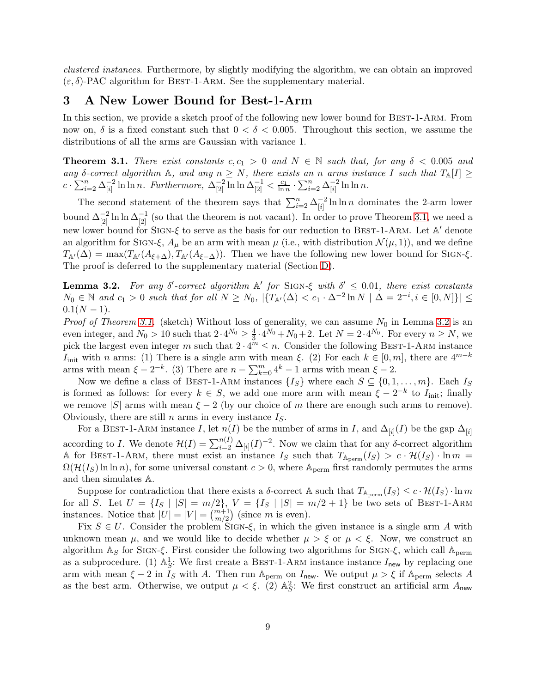clustered instances. Furthermore, by slightly modifying the algorithm, we can obtain an improved  $(\varepsilon, \delta)$ -PAC algorithm for BEST-1-ARM. See the supplementary material.

### 3 A New Lower Bound for Best-1-Arm

In this section, we provide a sketch proof of the following new lower bound for BEST-1-ARM. From now on,  $\delta$  is a fixed constant such that  $0 < \delta < 0.005$ . Throughout this section, we assume the distributions of all the arms are Gaussian with variance 1.

**Theorem 3.1.** There exist constants  $c, c_1 > 0$  and  $N \in \mathbb{N}$  such that, for any  $\delta < 0.005$  and any  $\delta$ -correct algorithm  $\mathbb{A}$ , and any  $n \geq N$ , there exists an n arms instance I such that  $T_{\mathbb{A}}[I] \geq$  $c \cdot \sum_{i=2}^n \Delta_{[i]}^{-2}$  $\frac{-2}{[i]} \ln \ln n$ . Furthermore,  $\Delta^{-2}_{[2]} \ln \ln \Delta^{-1}_{[2]} < \frac{c_1}{\ln n} \cdot \sum_{i=2}^n \Delta^{-2}_{[i]}$  $\frac{-2}{[i]} \ln \ln n$ .

The second statement of the theorem says that  $\sum_{i=2}^{n} \Delta_{[i]}^{-2}$  $\frac{-2}{[i]} \ln \ln n$  dominates the 2-arm lower bound  $\Delta_{[2]}^{-2} \ln \ln \Delta_{[2]}^{-1}$  (so that the theorem is not vacant). In order to prove Theorem [3.1,](#page-24-0) we need a new lower bound for SIGN-ξ to serve as the basis for our reduction to BEST-1-ARM. Let A' denote an algorithm for SIGN- $\xi$ ,  $A_{\mu}$  be an arm with mean  $\mu$  (i.e., with distribution  $\mathcal{N}(\mu, 1)$ ), and we define  $T_{\mathbb{A}'(\Delta) = \max(T_{\mathbb{A}'}(A_{\xi+\Delta}), T_{\mathbb{A}'}(A_{\xi-\Delta}))$ . Then we have the following new lower bound for SIGN- $\xi$ . The proof is deferred to the supplementary material (Section [D\)](#page-27-1).

**Lemma 3.2.** For any  $\delta'$ -correct algorithm  $\mathbb{A}'$  for SIGN- $\xi$  with  $\delta' \leq 0.01$ , there exist constants  $N_0 \in \mathbb{N}$  and  $c_1 > 0$  such that for all  $N \ge N_0$ ,  $|\{T_{\mathbb{A}'}(\Delta) < c_1 \cdot \Delta^{-2} \ln N \mid \Delta = 2^{-i}, i \in [0, N]\}| \le$  $0.1(N-1)$ .

*Proof of Theorem [3.1.](#page-24-0)* (sketch) Without loss of generality, we can assume  $N_0$  in Lemma [3.2](#page-24-1) is an even integer, and  $N_0 > 10$  such that  $2 \cdot 4^{N_0} \ge \frac{4}{3}$  $\frac{4}{3} \cdot 4^{N_0} + N_0 + 2$ . Let  $N = 2 \cdot 4^{N_0}$ . For every  $n \ge N$ , we pick the largest even integer m such that  $2 \cdot 4^m \le n$ . Consider the following BEST-1-ARM instance I<sub>init</sub> with n arms: (1) There is a single arm with mean  $\xi$ . (2) For each  $k \in [0, m]$ , there are  $4^{m-k}$ arms with mean  $\xi - 2^{-k}$ . (3) There are  $n - \sum_{k=0}^{m} 4^{k} - 1$  arms with mean  $\xi - 2$ .

Now we define a class of BEST-1-ARM instances  $\{I_S\}$  where each  $S \subseteq \{0, 1, \ldots, m\}$ . Each  $I_S$ is formed as follows: for every  $k \in S$ , we add one more arm with mean  $\xi - 2^{-k}$  to  $I_{\text{init}}$ ; finally we remove |S| arms with mean  $\xi - 2$  (by our choice of m there are enough such arms to remove). Obviously, there are still n arms in every instance  $I<sub>S</sub>$ .

For a BEST-1-ARM instance I, let  $n(I)$  be the number of arms in I, and  $\Delta_{[i]}(I)$  be the gap  $\Delta_{[i]}$ according to I. We denote  $\mathcal{H}(I) = \sum_{i=2}^{n(I)} \Delta_{[i]}(I)^{-2}$ . Now we claim that for any  $\delta$ -correct algorithm A for BEST-1-ARM, there must exist an instance  $I_S$  such that  $T_{A_{\text{perm}}}(I_S) > c \cdot \mathcal{H}(I_S) \cdot \ln m =$  $\Omega(H(I_S) \ln \ln n)$ , for some universal constant  $c > 0$ , where  $\mathbb{A}_{\text{perm}}$  first randomly permutes the arms and then simulates A.

Suppose for contradiction that there exists a  $\delta$ -correct A such that  $T_{\mathbb{A}_{\text{perm}}}(I_S) \leq c \cdot \mathcal{H}(I_S) \cdot \ln m$ for all S. Let  $U = \{I_S | |S| = m/2\}$ ,  $V = \{I_S | |S| = m/2 + 1\}$  be two sets of BEST-1-ARM instances. Notice that  $|U| = |V| = \binom{m+1}{m/2}$  (since m is even).

Fix  $S \in U$ . Consider the problem SIGN- $\xi$ , in which the given instance is a single arm A with unknown mean  $\mu$ , and we would like to decide whether  $\mu > \xi$  or  $\mu < \xi$ . Now, we construct an algorithm  $\mathbb{A}_S$  for SIGN- $\xi$ . First consider the following two algorithms for SIGN- $\xi$ , which call  $\mathbb{A}_{\text{perm}}$ as a subprocedure. (1)  $\mathbb{A}_{S}^1$ : We first create a BEST-1-ARM instance instance  $I_{\text{new}}$  by replacing one arm with mean  $\xi - 2$  in  $I_S$  with A. Then run A<sub>perm</sub> on  $I_{\text{new}}$ . We output  $\mu > \xi$  if A<sub>perm</sub> selects A as the best arm. Otherwise, we output  $\mu < \xi$ . (2)  $\mathbb{A}_{S}^2$ : We first construct an artificial arm  $A_{\text{new}}$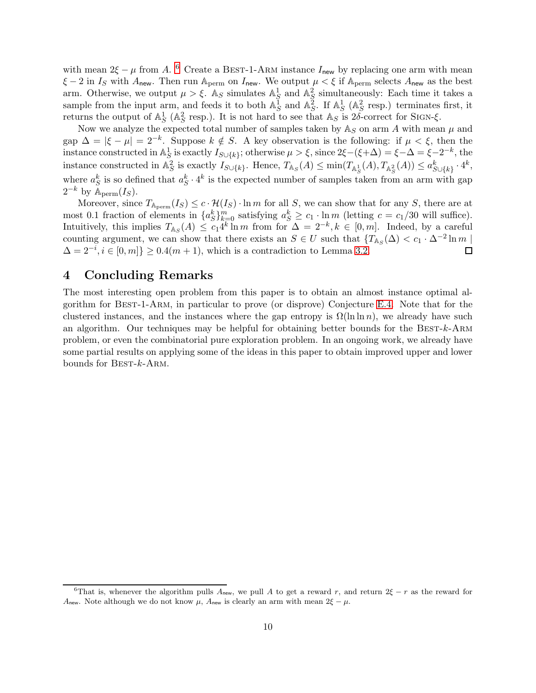with mean  $2\xi - \mu$  from A. <sup>[6](#page-9-0)</sup> Create a BEST-1-ARM instance  $I_{\text{new}}$  by replacing one arm with mean  $\xi - 2$  in  $I_S$  with  $A_{\text{new}}$ . Then run  $A_{\text{perm}}$  on  $I_{\text{new}}$ . We output  $\mu < \xi$  if  $A_{\text{perm}}$  selects  $A_{\text{new}}$  as the best arm. Otherwise, we output  $\mu > \xi$ . As simulates  $\mathbb{A}^1_{\xi}$  and  $\mathbb{A}^2_{\xi}$  simultaneously: Each time it takes a sample from the input arm, and feeds it to both  $\mathbb{A}_{S}^{\overline{1}}$  and  $\mathbb{A}_{S}^{\overline{2}}$ . If  $\mathbb{A}_{S}^{1}$  ( $\mathbb{A}_{S}^{2}$  resp.) terminates first, it returns the output of  $\mathbb{A}_{S}^{1}$  ( $\mathbb{A}_{S}^{2}$  resp.). It is not hard to see that  $\mathbb{A}_{S}$  is  $2\delta$ -correct for SIGN- $\xi$ .

Now we analyze the expected total number of samples taken by  $\mathbb{A}_S$  on arm A with mean  $\mu$  and gap  $\Delta = |\xi - \mu| = 2^{-k}$ . Suppose  $k \notin S$ . A key observation is the following: if  $\mu < \xi$ , then the instance constructed in  $\mathbb{A}^1_S$  is exactly  $I_{S\cup\{k\}}$ ; otherwise  $\mu > \xi$ , since  $2\xi-(\xi+\Delta) = \xi-\Delta = \xi-2^{-k}$ , the instance constructed in  $\mathbb{A}_{S}^{2}$  is exactly  $I_{S\cup\{k\}}$ . Hence,  $T_{\mathbb{A}_{S}}(A) \leq \min(T_{\mathbb{A}_{S}^{1}}(A), T_{\mathbb{A}_{S}^{2}}(A)) \leq a_{S\cup\{k\}}^{k} \cdot 4^{k}$ , where  $a_S^k$  is so defined that  $a_S^k \cdot 4^k$  is the expected number of samples taken from an arm with gap  $2^{-k}$  by  $\mathbb{A}_{\text{perm}}(I_S)$ .

Moreover, since  $T_{A_{\text{perm}}}(I_S) \leq c \cdot \mathcal{H}(I_S) \cdot \ln m$  for all S, we can show that for any S, there are at most 0.1 fraction of elements in  $\{a_S^k\}_{k=0}^m$  satisfying  $a_S^k \ge c_1 \cdot \ln m$  (letting  $c = c_1/30$  will suffice). Intuitively, this implies  $T_{\mathbb{A}_S}(A) \leq c_1 4^k \ln m$  from for  $\Delta = 2^{-k}, k \in [0, m]$ . Indeed, by a careful counting argument, we can show that there exists an  $S \in U$  such that  $\{T_{\mathbb{A}_S}(\Delta) < c_1 \cdot \Delta^{-2} \ln m \}$  $\Delta = 2^{-i}, i \in [0, m]$ } ≥ 0.4(*m* + 1), which is a contradiction to Lemma [3.2.](#page-24-1)

### 4 Concluding Remarks

The most interesting open problem from this paper is to obtain an almost instance optimal algorithm for Best-1-Arm, in particular to prove (or disprove) Conjecture [E.4.](#page-32-0) Note that for the clustered instances, and the instances where the gap entropy is  $\Omega(\ln \ln n)$ , we already have such an algorithm. Our techniques may be helpful for obtaining better bounds for the BEST-k-ARM problem, or even the combinatorial pure exploration problem. In an ongoing work, we already have some partial results on applying some of the ideas in this paper to obtain improved upper and lower bounds for  $BEST-k-ARM$ .

<span id="page-9-0"></span><sup>&</sup>lt;sup>6</sup>That is, whenever the algorithm pulls  $A_{\text{new}}$ , we pull A to get a reward r, and return  $2\xi - r$  as the reward for A<sub>new</sub>. Note although we do not know  $\mu$ , A<sub>new</sub> is clearly an arm with mean  $2\xi - \mu$ .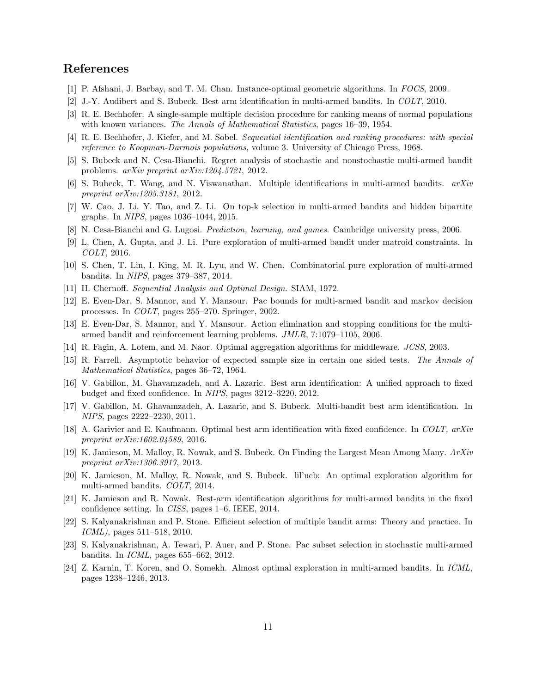### <span id="page-10-17"></span>References

- <span id="page-10-2"></span>[1] P. Afshani, J. Barbay, and T. M. Chan. Instance-optimal geometric algorithms. In FOCS, 2009.
- <span id="page-10-5"></span>[2] J.-Y. Audibert and S. Bubeck. Best arm identification in multi-armed bandits. In COLT, 2010.
- <span id="page-10-8"></span>[3] R. E. Bechhofer. A single-sample multiple decision procedure for ranking means of normal populations with known variances. The Annals of Mathematical Statistics, pages 16–39, 1954.
- <span id="page-10-1"></span>[4] R. E. Bechhofer, J. Kiefer, and M. Sobel. Sequential identification and ranking procedures: with special reference to Koopman-Darmois populations, volume 3. University of Chicago Press, 1968.
- <span id="page-10-19"></span>[5] S. Bubeck and N. Cesa-Bianchi. Regret analysis of stochastic and nonstochastic multi-armed bandit problems. arXiv preprint arXiv:1204.5721, 2012.
- <span id="page-10-4"></span>[6] S. Bubeck, T. Wang, and N. Viswanathan. Multiple identifications in multi-armed bandits.  $arXiv$ preprint arXiv:1205.3181, 2012.
- <span id="page-10-0"></span>[7] W. Cao, J. Li, Y. Tao, and Z. Li. On top-k selection in multi-armed bandits and hidden bipartite graphs. In NIPS, pages 1036–1044, 2015.
- <span id="page-10-23"></span>[8] N. Cesa-Bianchi and G. Lugosi. Prediction, learning, and games. Cambridge university press, 2006.
- <span id="page-10-3"></span>[9] L. Chen, A. Gupta, and J. Li. Pure exploration of multi-armed bandit under matroid constraints. In COLT, 2016.
- <span id="page-10-7"></span>[10] S. Chen, T. Lin, I. King, M. R. Lyu, and W. Chen. Combinatorial pure exploration of multi-armed bandits. In NIPS, pages 379–387, 2014.
- <span id="page-10-9"></span>[11] H. Chernoff. Sequential Analysis and Optimal Design. SIAM, 1972.
- <span id="page-10-18"></span>[12] E. Even-Dar, S. Mannor, and Y. Mansour. Pac bounds for multi-armed bandit and markov decision processes. In COLT, pages 255–270. Springer, 2002.
- <span id="page-10-16"></span>[13] E. Even-Dar, S. Mannor, and Y. Mansour. Action elimination and stopping conditions for the multiarmed bandit and reinforcement learning problems. JMLR, 7:1079–1105, 2006.
- <span id="page-10-6"></span>[14] R. Fagin, A. Lotem, and M. Naor. Optimal aggregation algorithms for middleware. JCSS, 2003.
- <span id="page-10-10"></span>[15] R. Farrell. Asymptotic behavior of expected sample size in certain one sided tests. The Annals of Mathematical Statistics, pages 36–72, 1964.
- <span id="page-10-22"></span>[16] V. Gabillon, M. Ghavamzadeh, and A. Lazaric. Best arm identification: A unified approach to fixed budget and fixed confidence. In NIPS, pages 3212–3220, 2012.
- <span id="page-10-20"></span>[17] V. Gabillon, M. Ghavamzadeh, A. Lazaric, and S. Bubeck. Multi-bandit best arm identification. In NIPS, pages 2222–2230, 2011.
- <span id="page-10-12"></span>[18] A. Garivier and E. Kaufmann. Optimal best arm identification with fixed confidence. In COLT, arXiv preprint arXiv:1602.04589, 2016.
- <span id="page-10-14"></span>[19] K. Jamieson, M. Malloy, R. Nowak, and S. Bubeck. On Finding the Largest Mean Among Many. ArXiv preprint arXiv:1306.3917, 2013.
- <span id="page-10-15"></span>[20] K. Jamieson, M. Malloy, R. Nowak, and S. Bubeck. lil'ucb: An optimal exploration algorithm for multi-armed bandits. COLT, 2014.
- <span id="page-10-21"></span>[21] K. Jamieson and R. Nowak. Best-arm identification algorithms for multi-armed bandits in the fixed confidence setting. In CISS, pages 1–6. IEEE, 2014.
- [22] S. Kalyanakrishnan and P. Stone. Efficient selection of multiple bandit arms: Theory and practice. In ICML), pages 511–518, 2010.
- <span id="page-10-11"></span>[23] S. Kalyanakrishnan, A. Tewari, P. Auer, and P. Stone. Pac subset selection in stochastic multi-armed bandits. In ICML, pages 655–662, 2012.
- <span id="page-10-13"></span>[24] Z. Karnin, T. Koren, and O. Somekh. Almost optimal exploration in multi-armed bandits. In ICML, pages 1238–1246, 2013.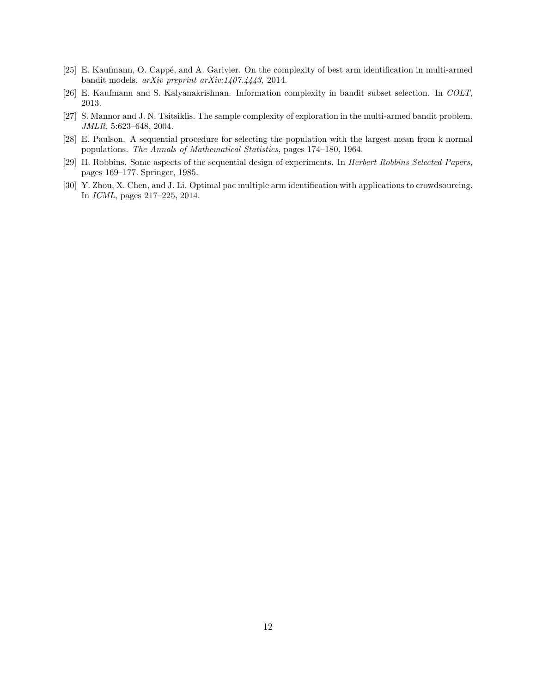- <span id="page-11-5"></span><span id="page-11-4"></span>[25] E. Kaufmann, O. Cappé, and A. Garivier. On the complexity of best arm identification in multi-armed bandit models. arXiv preprint arXiv:1407.4443, 2014.
- <span id="page-11-3"></span>[26] E. Kaufmann and S. Kalyanakrishnan. Information complexity in bandit subset selection. In COLT, 2013.
- <span id="page-11-2"></span>[27] S. Mannor and J. N. Tsitsiklis. The sample complexity of exploration in the multi-armed bandit problem. JMLR, 5:623–648, 2004.
- <span id="page-11-0"></span>[28] E. Paulson. A sequential procedure for selecting the population with the largest mean from k normal populations. The Annals of Mathematical Statistics, pages 174–180, 1964.
- <span id="page-11-1"></span>[29] H. Robbins. Some aspects of the sequential design of experiments. In Herbert Robbins Selected Papers, pages 169–177. Springer, 1985.
- [30] Y. Zhou, X. Chen, and J. Li. Optimal pac multiple arm identification with applications to crowdsourcing. In ICML, pages 217–225, 2014.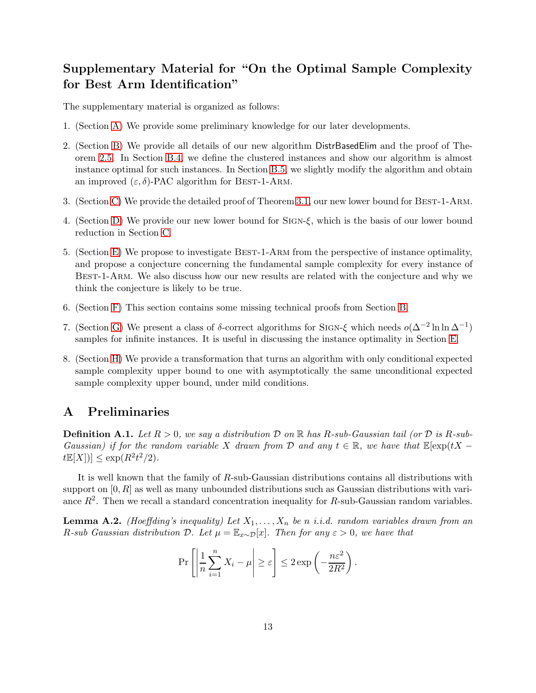# Supplementary Material for "On the Optimal Sample Complexity for Best Arm Identification"

The supplementary material is organized as follows:

- 1. (Section [A\)](#page-12-1) We provide some preliminary knowledge for our later developments.
- 2. (Section [B\)](#page-13-0) We provide all details of our new algorithm DistrBasedElim and the proof of Theorem [2.5.](#page-17-0) In Section [B.4,](#page-22-0) we define the clustered instances and show our algorithm is almost instance optimal for such instances. In Section [B.5,](#page-23-1) we slightly modify the algorithm and obtain an improved  $(\varepsilon, \delta)$ -PAC algorithm for BEST-1-ARM.
- 3. (Section [C\)](#page-24-2) We provide the detailed proof of Theorem [3.1,](#page-24-0) our new lower bound for Best-1-Arm.
- 4. (Section [D\)](#page-27-1) We provide our new lower bound for Sign-ξ, which is the basis of our lower bound reduction in Section [C.](#page-24-2)
- 5. (Section [E\)](#page-31-0) We propose to investigate Best-1-Arm from the perspective of instance optimality, and propose a conjecture concerning the fundamental sample complexity for every instance of Best-1-Arm. We also discuss how our new results are related with the conjecture and why we think the conjecture is likely to be true.
- 6. (Section [F\)](#page-35-0) This section contains some missing technical proofs from Section [B.](#page-13-0)
- 7. (Section [G\)](#page-40-0) We present a class of  $\delta$ -correct algorithms for SIGN- $\xi$  which needs  $o(\Delta^{-2} \ln \ln \Delta^{-1})$ samples for infinite instances. It is useful in discussing the instance optimality in Section [E.](#page-31-0)
- 8. (Section [H\)](#page-42-0) We provide a transformation that turns an algorithm with only conditional expected sample complexity upper bound to one with asymptotically the same unconditional expected sample complexity upper bound, under mild conditions.

### <span id="page-12-1"></span>A Preliminaries

<span id="page-12-0"></span>**Definition A.1.** Let  $R > 0$ , we say a distribution D on R has R-sub-Gaussian tail (or D is R-sub-Gaussian) if for the random variable X drawn from D and any  $t \in \mathbb{R}$ , we have that  $\mathbb{E}[\exp(tX$  $t\mathbb{E}[X]) \leq \exp(R^2t^2/2).$ 

It is well known that the family of R-sub-Gaussian distributions contains all distributions with support on  $[0, R]$  as well as many unbounded distributions such as Gaussian distributions with variance  $R^2$ . Then we recall a standard concentration inequality for R-sub-Gaussian random variables.

<span id="page-12-2"></span>**Lemma A.2.** (Hoeffding's inequality) Let  $X_1, \ldots, X_n$  be n i.i.d. random variables drawn from an R-sub Gaussian distribution D. Let  $\mu = \mathbb{E}_{x \sim \mathcal{D}}[x]$ . Then for any  $\varepsilon > 0$ , we have that

$$
\Pr\left[\left|\frac{1}{n}\sum_{i=1}^n X_i - \mu\right| \ge \varepsilon\right] \le 2\exp\left(-\frac{n\varepsilon^2}{2R^2}\right).
$$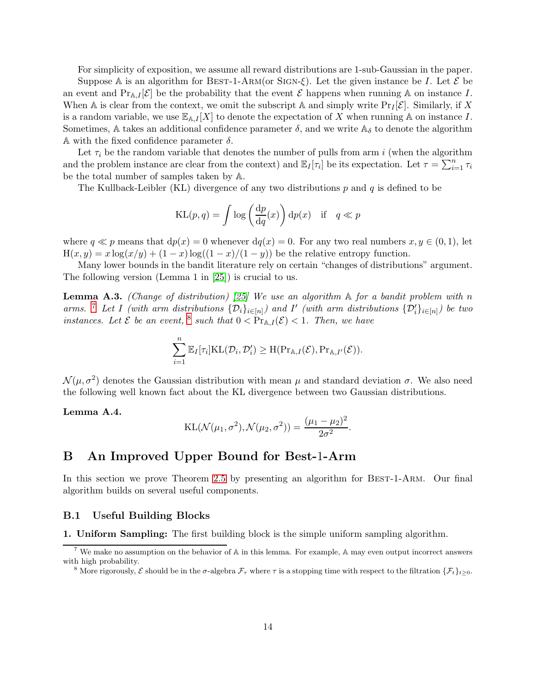For simplicity of exposition, we assume all reward distributions are 1-sub-Gaussian in the paper.

Suppose A is an algorithm for BEST-1-ARM(or SIGN- $\xi$ ). Let the given instance be I. Let  $\mathcal E$  be an event and  $Pr_{A,I}[\mathcal{E}]$  be the probability that the event  $\mathcal E$  happens when running A on instance I. When A is clear from the context, we omit the subscript A and simply write  $\Pr_I[\mathcal{E}]$ . Similarly, if X is a random variable, we use  $\mathbb{E}_{A,I}[X]$  to denote the expectation of X when running A on instance I. Sometimes, A takes an additional confidence parameter  $\delta$ , and we write  $\mathbb{A}_{\delta}$  to denote the algorithm A with the fixed confidence parameter  $\delta$ .

Let  $\tau_i$  be the random variable that denotes the number of pulls from arm i (when the algorithm and the problem instance are clear from the context) and  $\mathbb{E}_I[\tau_i]$  be its expectation. Let  $\tau = \sum_{i=1}^n \tau_i$ be the total number of samples taken by A.

The Kullback-Leibler (KL) divergence of any two distributions  $p$  and  $q$  is defined to be

$$
KL(p, q) = \int \log \left(\frac{dp}{dq}(x)\right) dp(x) \text{ if } q \ll p
$$

where  $q \ll p$  means that  $dp(x) = 0$  whenever  $dq(x) = 0$ . For any two real numbers  $x, y \in (0, 1)$ , let  $H(x, y) = x \log(x/y) + (1 - x) \log((1 - x)/(1 - y))$  be the relative entropy function.

Many lower bounds in the bandit literature rely on certain "changes of distributions" argument. The following version (Lemma 1 in [\[25\]](#page-11-4)) is crucial to us.

<span id="page-13-3"></span>**Lemma A.3.** (Change of distribution) [\[25\]](#page-11-4) We use an algorithm  $\mathbb A$  for a bandit problem with n arms. <sup>[7](#page-13-1)</sup> Let I (with arm distributions  $\{\mathcal{D}_i\}_{i\in[n]}\)$  and I' (with arm distributions  $\{\mathcal{D}'_i\}_{i\in[n]}\)$  be two instances. Let  $\mathcal E$  be an event, <sup>[8](#page-13-2)</sup> such that  $0 < \Pr_{A,I}(\mathcal E) < 1$ . Then, we have

$$
\sum_{i=1}^n \mathbb{E}_I[\tau_i] \mathrm{KL}(\mathcal{D}_i, \mathcal{D}'_i) \geq \mathrm{H}(\mathrm{Pr}_{\mathbb{A},I}(\mathcal{E}), \mathrm{Pr}_{\mathbb{A},I'}(\mathcal{E})).
$$

 $\mathcal{N}(\mu, \sigma^2)$  denotes the Gaussian distribution with mean  $\mu$  and standard deviation  $\sigma$ . We also need the following well known fact about the KL divergence between two Gaussian distributions.

<span id="page-13-4"></span>Lemma A.4.

KL(
$$
\mathcal{N}(\mu_1, \sigma^2), \mathcal{N}(\mu_2, \sigma^2)
$$
) =  $\frac{(\mu_1 - \mu_2)^2}{2\sigma^2}$ .

# <span id="page-13-0"></span>B An Improved Upper Bound for Best-1-Arm

In this section we prove Theorem [2.5](#page-17-0) by presenting an algorithm for BEST-1-ARM. Our final algorithm builds on several useful components.

#### B.1 Useful Building Blocks

1. Uniform Sampling: The first building block is the simple uniform sampling algorithm.

<sup>&</sup>lt;sup>7</sup> We make no assumption on the behavior of  $\mathbb A$  in this lemma. For example,  $\mathbb A$  may even output incorrect answers with high probability.

<span id="page-13-2"></span><span id="page-13-1"></span><sup>&</sup>lt;sup>8</sup> More rigorously,  $\mathcal{E}$  should be in the  $\sigma$ -algebra  $\mathcal{F}_{\tau}$  where  $\tau$  is a stopping time with respect to the filtration  $\{\mathcal{F}_{t}\}_{t\geq0}$ .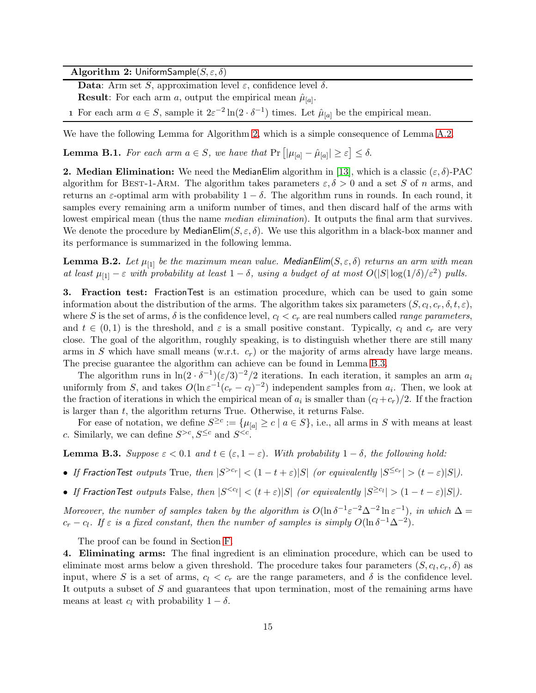<span id="page-14-0"></span>Algorithm 2: UniformSample $(S, \varepsilon, \delta)$ 

Data: Arm set S, approximation level  $\varepsilon$ , confidence level  $\delta$ .

**Result**: For each arm a, output the empirical mean  $\hat{\mu}_{[a]}$ .

1 For each arm  $a \in S$ , sample it  $2\varepsilon^{-2} \ln(2 \cdot \delta^{-1})$  times. Let  $\hat{\mu}_{[a]}$  be the empirical mean.

We have the following Lemma for Algorithm [2,](#page-14-0) which is a simple consequence of Lemma [A.2.](#page-12-2)

<span id="page-14-2"></span>**Lemma B.1.** For each arm  $a \in S$ , we have that  $Pr [|\mu_{[a]} - \hat{\mu}_{[a]}| \geq \varepsilon] \leq \delta$ .

**2. Median Elimination:** We need the MedianElim algorithm in [\[13\]](#page-10-18), which is a classic  $(\varepsilon, \delta)$ -PAC algorithm for BEST-1-ARM. The algorithm takes parameters  $\varepsilon, \delta > 0$  and a set S of n arms, and returns an  $\varepsilon$ -optimal arm with probability  $1 - \delta$ . The algorithm runs in rounds. In each round, it samples every remaining arm a uniform number of times, and then discard half of the arms with lowest empirical mean (thus the name *median elimination*). It outputs the final arm that survives. We denote the procedure by MedianElim $(S, \varepsilon, \delta)$ . We use this algorithm in a black-box manner and its performance is summarized in the following lemma.

**Lemma B.2.** Let  $\mu_{[1]}$  be the maximum mean value. MedianElim( $S, \varepsilon, \delta$ ) returns an arm with mean at least  $\mu_{[1]} - \varepsilon$  with probability at least  $1 - \delta$ , using a budget of at most  $O(|S|\log(1/\delta)/\varepsilon^2)$  pulls.

3. Fraction test: FractionTest is an estimation procedure, which can be used to gain some information about the distribution of the arms. The algorithm takes six parameters  $(S, c_l, c_r, \delta, t, \varepsilon)$ , where S is the set of arms,  $\delta$  is the confidence level,  $c_l < c_r$  are real numbers called *range parameters*, and  $t \in (0,1)$  is the threshold, and  $\varepsilon$  is a small positive constant. Typically,  $c_l$  and  $c_r$  are very close. The goal of the algorithm, roughly speaking, is to distinguish whether there are still many arms in S which have small means (w.r.t.  $c_r$ ) or the majority of arms already have large means. The precise guarantee the algorithm can achieve can be found in Lemma [B.3.](#page-14-1)

The algorithm runs in  $\ln(2 \cdot \delta^{-1})(\epsilon/3)^{-2}/2$  iterations. In each iteration, it samples an arm  $a_i$ uniformly from S, and takes  $O(\ln \varepsilon^{-1}(c_r - c_l)^{-2})$  independent samples from  $a_i$ . Then, we look at the fraction of iterations in which the empirical mean of  $a_i$  is smaller than  $(c_l+c_r)/2$ . If the fraction is larger than  $t$ , the algorithm returns True. Otherwise, it returns False.

For ease of notation, we define  $S^{\geq c} := \{\mu_{[a]} \geq c \mid a \in S\}$ , i.e., all arms in S with means at least c. Similarly, we can define  $S^{>c}, S^{\leq c}$  and  $S^{.$ 

<span id="page-14-1"></span>**Lemma B.3.** Suppose  $\varepsilon < 0.1$  and  $t \in (\varepsilon, 1 - \varepsilon)$ . With probability  $1 - \delta$ , the following hold:

- If Fraction Test outputs True, then  $|S^{>c_r}| < (1-t+\varepsilon)|S|$  (or equivalently  $|S^{\leq c_r}| > (t-\varepsilon)|S|$ ).
- If Fraction Test outputs False, then  $|S^{< c_l}| < (t+\varepsilon)|S|$  (or equivalently  $|S^{\geq c_l}| > (1-t-\varepsilon)|S|$ ).

Moreover, the number of samples taken by the algorithm is  $O(\ln \delta^{-1} \varepsilon^{-2} \Delta^{-2} \ln \varepsilon^{-1})$ , in which  $\Delta =$  $c_r - c_l$ . If  $\varepsilon$  is a fixed constant, then the number of samples is simply  $O(\ln \delta^{-1} \Delta^{-2})$ .

The proof can be found in Section [F.](#page-35-0)

4. Eliminating arms: The final ingredient is an elimination procedure, which can be used to eliminate most arms below a given threshold. The procedure takes four parameters  $(S, c_l, c_r, \delta)$  as input, where S is a set of arms,  $c_l < c_r$  are the range parameters, and  $\delta$  is the confidence level. It outputs a subset of S and guarantees that upon termination, most of the remaining arms have means at least  $c_l$  with probability  $1 - \delta$ .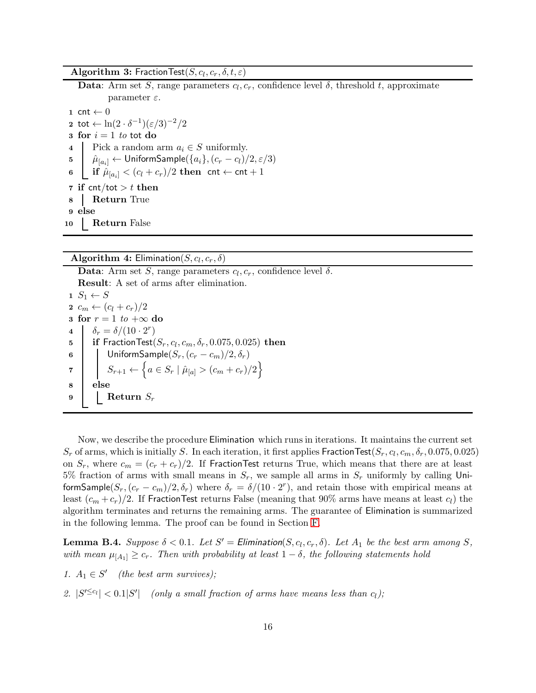**Algorithm 3:** FractionTest $(S, c_l, c_r, \delta, t, \varepsilon)$ 

**Data**: Arm set S, range parameters  $c_l, c_r$ , confidence level  $\delta$ , threshold t, approximate parameter  $\varepsilon$ . 1 cnt  $\leftarrow$  0 2 tot  $\leftarrow \ln(2 \cdot \delta^{-1})(\varepsilon/3)^{-2}/2$ 3 for  $i = 1$  to tot do 4 Pick a random arm  $a_i \in S$  uniformly.<br>5  $\hat{\mu}_{[a_1]} \leftarrow$  Uniform Sample({ $a_i$ }, ( $c_r - c_l$ )/  $\hat{\mu}_{[a_i]} \leftarrow$  UniformSample $(\{a_i\}, (c_r - c_l)/2, \varepsilon/3)$ 6 if  $\hat{\mu}_{[a_i]} < (c_l + c_r)/2$  then cnt  $\leftarrow$  cnt  $+1$ 7 if cnt/tot  $> t$  then 8 Return True 9 else 10 Return False

<span id="page-15-1"></span>**Algorithm 4:** Elimination $(S, c_l, c_r, \delta)$ 

**Data**: Arm set S, range parameters  $c_l, c_r$ , confidence level  $\delta$ . Result: A set of arms after elimination.  $1 S_1 \leftarrow S$ 2  $c_m \leftarrow (c_l + c_r)/2$ 3 for  $r = 1$  to  $+\infty$  do<br>4  $\int \delta_r = \delta/(10 \cdot 2^r)$ 4  $\delta_r = \delta/(10 \cdot 2^r)$  $\quad \textbf{is} \quad | \quad \textbf{if FractionTest}(S_r, c_l, c_m, \delta_r, 0.075, 0.025) \textbf{ then }$ 6 | UniformSample $(S_r,(c_r-c_m)/2,\delta_r)$  $\tau \quad | \quad S_{r+1} \leftarrow \left\{ a \in S_r \mid \hat{\mu}_{[a]} > (c_m + c_r)/2 \right\}$ 8 else 9 | Return  $S_r$ 

Now, we describe the procedure Elimination which runs in iterations. It maintains the current set  $S_r$  of arms, which is initially S. In each iteration, it first applies  $\mathsf{FractionTest}(S_r, c_l, c_m, \delta_r, 0.075, 0.025)$ on  $S_r$ , where  $c_m = (c_r + c_r)/2$ . If Fraction Test returns True, which means that there are at least 5% fraction of arms with small means in  $S_r$ , we sample all arms in  $S_r$  uniformly by calling UniformSample( $S_r$ ,  $(c_r - c_m)/2$ ,  $\delta_r$ ) where  $\delta_r = \delta/(10 \cdot 2^r)$ , and retain those with empirical means at least  $(c_m + c_r)/2$ . If FractionTest returns False (meaning that 90% arms have means at least  $c_l$ ) the algorithm terminates and returns the remaining arms. The guarantee of Elimination is summarized in the following lemma. The proof can be found in Section [F.](#page-35-0)

<span id="page-15-0"></span>**Lemma B.4.** Suppose  $\delta < 0.1$ . Let  $S' =$  Elimination( $S, c_l, c_r, \delta$ ). Let  $A_1$  be the best arm among  $S$ , with mean  $\mu_{[A_1]} \geq c_r$ . Then with probability at least  $1 - \delta$ , the following statements hold

1.  $A_1 \in S'$  (the best arm survives);

2.  $|S^{\prime \leq c_l}| < 0.1|S^{\prime}|$  (only a small fraction of arms have means less than  $c_l$ );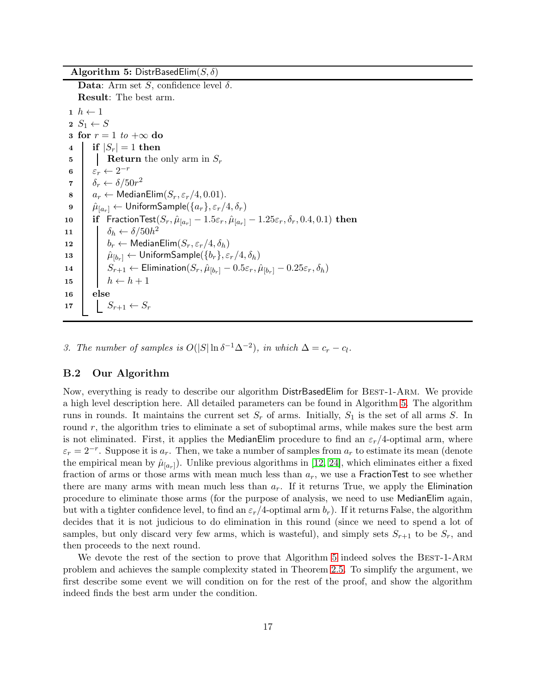<span id="page-16-0"></span>Algorithm 5: DistrBasedElim $(S, \delta)$ 

<span id="page-16-6"></span><span id="page-16-1"></span>Data: Arm set S, confidence level  $\delta$ . Result: The best arm.  $1 \; h \leftarrow 1$  $2 S_1 \leftarrow S$ 3 for  $r = 1$  to  $+\infty$  do<br>4 | if  $|S_r| = 1$  then  $\begin{array}{c|c} \textbf{4} & \textbf{if} & |S_r| = 1 \textbf{ then} \\ \textbf{5} & \textbf{leturn the} \end{array}$ **Return** the only arm in  $S_r$ 6  $\varepsilon_r \leftarrow 2^{-r}$ 7  $\delta_r \leftarrow \delta / 50r^2$ 8  $a_r \leftarrow \text{MedianElim}(S_r, \varepsilon_r/4, 0.01).$ <br>9  $\hat{\mu}_{[a_r]} \leftarrow \text{UniformSample}(\{a_r\}, \varepsilon_r/4)$  $\hat{\mu}_{[a_r]} \leftarrow$  UniformSample $(\{a_r\}, \varepsilon_r/4, \delta_r)$ 10 **if** FractionTest $(S_r, \hat{\mu}_{[a_r]} - 1.5\varepsilon_r, \hat{\mu}_{[a_r]} - 1.25\varepsilon_r, \delta_r, 0.4, 0.1)$  then 11  $\delta_h \leftarrow \delta/50h^2$ 12  $b_r \leftarrow \text{MedianElim}(S_r, \varepsilon_r/4, \delta_h)$ 13  $|\hat{\mu}_{[b_r]} \leftarrow$  UniformSample $(\{b_r\}, \varepsilon_r/4, \delta_h)$ 14  $\begin{array}{|c|c|c|c|}\n\hline\nS_{r+1} & \leftarrow \text{Elimination}(S_r, \hat{\mu}_{[b_r]} - 0.5\varepsilon_r, \hat{\mu}_{[b_r]} - 0.25\varepsilon_r, \delta_h)\n\hline\n\end{array}$ 15  $\vert \vert \vert h \leftarrow h + 1$ 16 else 17  $S_{r+1} \leftarrow S_r$ 

<span id="page-16-7"></span><span id="page-16-5"></span><span id="page-16-4"></span><span id="page-16-3"></span><span id="page-16-2"></span>3. The number of samples is  $O(|S|\ln \delta^{-1}\Delta^{-2})$ , in which  $\Delta = c_r - c_l$ .

#### B.2 Our Algorithm

Now, everything is ready to describe our algorithm DistrBasedElim for Best-1-Arm. We provide a high level description here. All detailed parameters can be found in Algorithm [5.](#page-16-0) The algorithm runs in rounds. It maintains the current set  $S_r$  of arms. Initially,  $S_1$  is the set of all arms S. In round r, the algorithm tries to eliminate a set of suboptimal arms, while makes sure the best arm is not eliminated. First, it applies the MedianElim procedure to find an  $\varepsilon_r/4$ -optimal arm, where  $\varepsilon_r = 2^{-r}$ . Suppose it is  $a_r$ . Then, we take a number of samples from  $a_r$  to estimate its mean (denote the empirical mean by  $\hat{\mu}_{[a_r]}$ ). Unlike previous algorithms in [\[12,](#page-10-9) [24\]](#page-10-13), which eliminates either a fixed fraction of arms or those arms with mean much less than  $a_r$ , we use a FractionTest to see whether there are many arms with mean much less than  $a_r$ . If it returns True, we apply the Elimination procedure to eliminate those arms (for the purpose of analysis, we need to use MedianElim again, but with a tighter confidence level, to find an  $\varepsilon_r/4$ -optimal arm  $b_r$ ). If it returns False, the algorithm decides that it is not judicious to do elimination in this round (since we need to spend a lot of samples, but only discard very few arms, which is wasteful), and simply sets  $S_{r+1}$  to be  $S_r$ , and then proceeds to the next round.

We devote the rest of the section to prove that Algorithm [5](#page-16-0) indeed solves the BEST-1-ARM problem and achieves the sample complexity stated in Theorem [2.5.](#page-17-0) To simplify the argument, we first describe some event we will condition on for the rest of the proof, and show the algorithm indeed finds the best arm under the condition.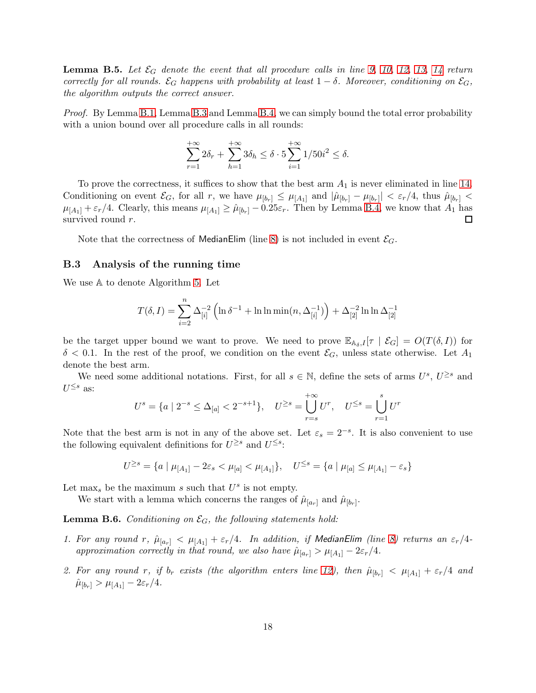<span id="page-17-0"></span>**Lemma B.5.** Let  $\mathcal{E}_G$  denote the event that all procedure calls in line [9,](#page-16-1) [10,](#page-16-2) [12,](#page-16-3) [13,](#page-16-4) [14](#page-16-5) return correctly for all rounds.  $\mathcal{E}_G$  happens with probability at least  $1 - \delta$ . Moreover, conditioning on  $\mathcal{E}_G$ , the algorithm outputs the correct answer.

Proof. By Lemma [B.1,](#page-14-2) Lemma [B.3](#page-14-1) and Lemma [B.4,](#page-15-0) we can simply bound the total error probability with a union bound over all procedure calls in all rounds:

$$
\sum_{r=1}^{+\infty} 2\delta_r + \sum_{h=1}^{+\infty} 3\delta_h \le \delta \cdot 5 \sum_{i=1}^{+\infty} 1/50i^2 \le \delta.
$$

To prove the correctness, it suffices to show that the best arm  $A_1$  is never eliminated in line [14.](#page-16-5) Conditioning on event  $\mathcal{E}_G$ , for all r, we have  $\mu_{[b_r]} \leq \mu_{[A_1]}$  and  $|\hat{\mu}_{[b_r]} - \mu_{[b_r]}| < \varepsilon_r/4$ , thus  $\hat{\mu}_{[b_r]}$  $\mu_{[A_1]} + \varepsilon_r/4$ . Clearly, this means  $\mu_{[A_1]} \ge \hat{\mu}_{[b_r]} - 0.25\varepsilon_r$ . Then by Lemma [B.4,](#page-15-0) we know that  $A_1$  has survived round r. survived round r.

Note that the correctness of MedianElim (line [8\)](#page-16-6) is not included in event  $\mathcal{E}_G$ .

#### B.3 Analysis of the running time

We use A to denote Algorithm [5.](#page-16-0) Let

$$
T(\delta, I) = \sum_{i=2}^{n} \Delta_{[i]}^{-2} \left( \ln \delta^{-1} + \ln \ln \min(n, \Delta_{[i]}^{-1}) \right) + \Delta_{[2]}^{-2} \ln \ln \Delta_{[2]}^{-1}
$$

be the target upper bound we want to prove. We need to prove  $\mathbb{E}_{A_{\delta},I}[\tau \mid \mathcal{E}_G] = O(T(\delta,I))$  for  $\delta$  < 0.1. In the rest of the proof, we condition on the event  $\mathcal{E}_G$ , unless state otherwise. Let  $A_1$ denote the best arm.

We need some additional notations. First, for all  $s \in \mathbb{N}$ , define the sets of arms  $U^s$ ,  $U^{\geq s}$  and  $U^{\leq s}$  as:

$$
U^{s} = \{a \mid 2^{-s} \le \Delta_{[a]} < 2^{-s+1}\}, \quad U^{\ge s} = \bigcup_{r=s}^{+\infty} U^{r}, \quad U^{\le s} = \bigcup_{r=1}^{s} U^{r}
$$

Note that the best arm is not in any of the above set. Let  $\varepsilon_s = 2^{-s}$ . It is also convenient to use the following equivalent definitions for  $U^{\geq s}$  and  $U^{\leq s}$ :

$$
U^{\geq s} = \{a \mid \mu_{[A_1]} - 2\varepsilon_s < \mu_{[a]} < \mu_{[A_1]}\}, \quad U^{\leq s} = \{a \mid \mu_{[a]} \leq \mu_{[A_1]} - \varepsilon_s\}
$$

Let max<sub>s</sub> be the maximum s such that  $U^s$  is not empty.

We start with a lemma which concerns the ranges of  $\hat{\mu}_{[a_r]}$  and  $\hat{\mu}_{[b_r]}$ .

<span id="page-17-1"></span>**Lemma B.6.** Conditioning on  $\mathcal{E}_G$ , the following statements hold:

- 1. For any round r,  $\hat{\mu}_{[a_r]} < \mu_{[A_1]} + \varepsilon_r/4$ . In addition, if MedianElim (line [8\)](#page-16-6) returns an  $\varepsilon_r/4$ approximation correctly in that round, we also have  $\hat{\mu}_{a_r} > \mu_{A_1} - 2\varepsilon_r/4$ .
- 2. For any round r, if  $b_r$  exists (the algorithm enters line [12\)](#page-16-3), then  $\hat{\mu}_{[b_r]} < \mu_{[A_1]} + \varepsilon_r/4$  and  $\hat{\mu}_{[b_r]} > \mu_{[A_1]} - 2\varepsilon_r/4.$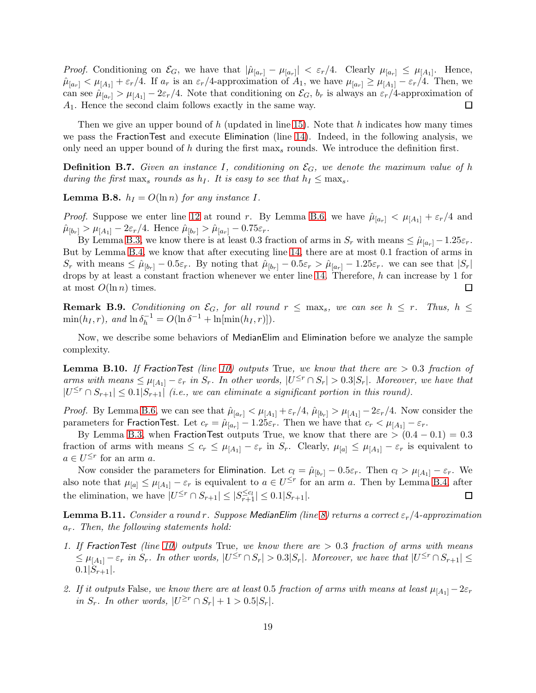*Proof.* Conditioning on  $\mathcal{E}_G$ , we have that  $|\hat{\mu}_{[a_r]} - \mu_{[a_r]}| < \varepsilon_r/4$ . Clearly  $\mu_{[a_r]} \leq \mu_{[A_1]}$ . Hence,  $\hat{\mu}_{[a_r]} < \mu_{[A_1]} + \varepsilon_r/4$ . If  $a_r$  is an  $\varepsilon_r/4$ -approximation of  $A_1$ , we have  $\mu_{[a_r]} \ge \mu_{[A_1]} - \varepsilon_r/4$ . Then, we can see  $\hat{\mu}_{[a_r]} > \mu_{[A_1]} - 2\varepsilon_r/4$ . Note that conditioning on  $\mathcal{E}_G$ ,  $b_r$  is always an  $\varepsilon_r/4$ -approximation of  $A_1$ . Hence the second claim follows exactly in the same way. A1. Hence the second claim follows exactly in the same way.

Then we give an upper bound of h (updated in line [15\)](#page-16-7). Note that h indicates how many times we pass the FractionTest and execute Elimination (line [14\)](#page-16-5). Indeed, in the following analysis, we only need an upper bound of h during the first  $\max_{s}$  rounds. We introduce the definition first.

**Definition B.7.** Given an instance I, conditioning on  $\mathcal{E}_G$ , we denote the maximum value of h during the first max<sub>s</sub> rounds as  $h_I$ . It is easy to see that  $h_I \leq \max_s$ .

<span id="page-18-2"></span>**Lemma B.8.**  $h_I = O(\ln n)$  for any instance I.

*Proof.* Suppose we enter line [12](#page-16-3) at round r. By Lemma [B.6,](#page-17-1) we have  $\hat{\mu}_{[a_r]} < \mu_{[A_1]} + \varepsilon_r/4$  and  $\hat{\mu}_{b_r} > \mu_{A_1} - 2\varepsilon_r/4$ . Hence  $\hat{\mu}_{b_r} > \hat{\mu}_{a_r} - 0.75\varepsilon_r$ .

By Lemma [B.3,](#page-14-1) we know there is at least 0.3 fraction of arms in  $S_r$  with means  $\leq \hat{\mu}_{a_r} - 1.25\varepsilon_r$ . But by Lemma [B.4,](#page-15-0) we know that after executing line [14,](#page-16-5) there are at most 0.1 fraction of arms in  $S_r$  with means  $\leq \hat{\mu}_{b_r} - 0.5\varepsilon_r$ . By noting that  $\hat{\mu}_{b_r} - 0.5\varepsilon_r > \hat{\mu}_{a_r} - 1.25\varepsilon_r$ , we can see that  $|S_r|$ drops by at least a constant fraction whenever we enter line [14.](#page-16-5) Therefore, h can increase by 1 for at most  $O(\ln n)$  times. П

**Remark B.9.** Conditioning on  $\mathcal{E}_G$ , for all round  $r \leq \max_s$ , we can see  $h \leq r$ . Thus,  $h \leq$  $\min(h_I, r)$ , and  $\ln \delta_h^{-1} = O(\ln \delta^{-1} + \ln[\min(h_I, r)]).$ 

Now, we describe some behaviors of MedianElim and Elimination before we analyze the sample complexity.

<span id="page-18-0"></span>**Lemma B.10.** If Fraction Test (line [10\)](#page-16-2) outputs True, we know that there are  $> 0.3$  fraction of arms with means  $\leq \mu_{A_1} - \varepsilon_r$  in  $S_r$ . In other words,  $|U^{\leq r} \cap S_r| > 0.3|S_r|$ . Moreover, we have that  $|U^{\leq r} \cap S_{r+1}| \leq 0.1|S_{r+1}|$  (i.e., we can eliminate a significant portion in this round).

*Proof.* By Lemma [B.6,](#page-17-1) we can see that  $\hat{\mu}_{a_r} < \mu_{A_1} + \varepsilon_r/4$ ,  $\hat{\mu}_{b_r} > \mu_{A_1} - 2\varepsilon_r/4$ . Now consider the parameters for FractionTest. Let  $c_r = \hat{\mu}_{[a_r]} - 1.25\varepsilon_r$ . Then we have that  $c_r < \mu_{[A_1]} - \varepsilon_r$ .

By Lemma [B.3,](#page-14-1) when FractionTest outputs True, we know that there are  $>(0.4 - 0.1) = 0.3$ fraction of arms with means  $\leq c_r \leq \mu_{[A_1]} - \varepsilon_r$  in  $S_r$ . Clearly,  $\mu_{[a]} \leq \mu_{[A_1]} - \varepsilon_r$  is equivalent to  $a \in U^{\leq r}$  for an arm a.

Now consider the parameters for Elimination. Let  $c_l = \hat{\mu}_{[b_r]} - 0.5\varepsilon_r$ . Then  $c_l > \mu_{[A_1]} - \varepsilon_r$ . We also note that  $\mu_{[a]} \leq \mu_{[A_1]} - \varepsilon_r$  is equivalent to  $a \in U^{\leq r}$  for an arm a. Then by Lemma [B.4,](#page-15-0) after the elimination, we have  $|U^{\leq r} \cap S_{r+1}| \leq |S_{r+1}^{\leq c_l}| \leq 0.1|S_{r+1}|.$  $\Box$ 

<span id="page-18-1"></span>**Lemma B.11.** Consider a round r. Suppose MedianElim (line [8\)](#page-16-6) returns a correct  $\varepsilon_r/4$ -approximation  $a_r$ . Then, the following statements hold:

- 1. If Fraction Test (line [10\)](#page-16-2) outputs True, we know there are  $> 0.3$  fraction of arms with means  $\leq \mu_{[A_1]} - \varepsilon_r$  in  $S_r$ . In other words,  $|U^{\leq r} \cap S_r| > 0.3|S_r|$ . Moreover, we have that  $|U^{\leq r} \cap S_{r+1}| \leq$  $0.1|S_{r+1}|$ .
- 2. If it outputs False, we know there are at least 0.5 fraction of arms with means at least  $\mu_{[A_1]}$   $2\varepsilon_r$ in  $S_r$ . In other words,  $|U^{\geq r} \cap S_r| + 1 > 0.5|S_r|$ .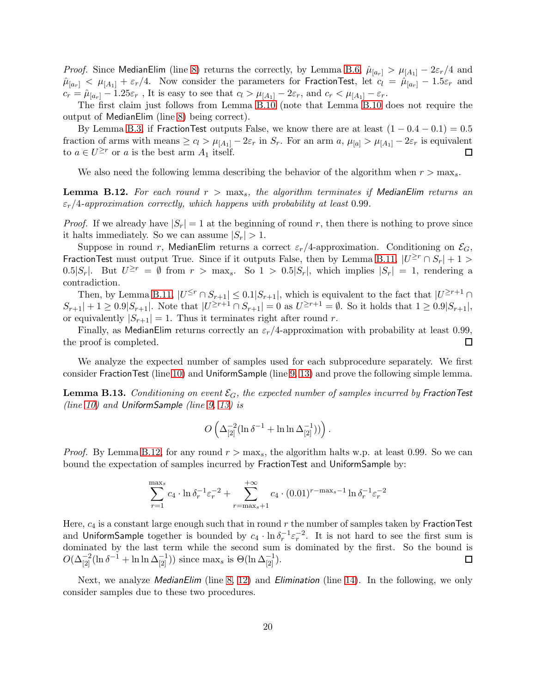*Proof.* Since MedianElim (line [8\)](#page-16-6) returns the correctly, by Lemma [B.6,](#page-17-1)  $\hat{\mu}_{a_r} > \mu_{A_1} - 2\varepsilon_r/4$  and  $\hat{\mu}_{a_r}$  <  $\mu_{A_1}$  +  $\varepsilon_r/4$ . Now consider the parameters for FractionTest, let  $c_l = \hat{\mu}_{a_r}$  – 1.5 $\varepsilon_r$  and  $c_r = \hat{\mu}_{a_r} - 1.25\varepsilon_r$ , It is easy to see that  $c_l > \mu_{A_1} - 2\varepsilon_r$ , and  $c_r < \mu_{A_1} - \varepsilon_r$ .

The first claim just follows from Lemma [B.10](#page-18-0) (note that Lemma [B.10](#page-18-0) does not require the output of MedianElim (line [8\)](#page-16-6) being correct).

By Lemma [B.3,](#page-14-1) if FractionTest outputs False, we know there are at least  $(1 - 0.4 - 0.1) = 0.5$ fraction of arms with means  $\geq c_l > \mu_{[A_1]} - 2\varepsilon_r$  in  $S_r$ . For an arm  $a, \mu_{[a]} > \mu_{[A_1]} - 2\varepsilon_r$  is equivalent to  $a \in U^{\geq r}$  or a is the best arm  $A_1$  itself. to  $a \in U^{\geq r}$  or a is the best arm  $A_1$  itself.

We also need the following lemma describing the behavior of the algorithm when  $r > \max_s$ .

<span id="page-19-0"></span>**Lemma B.12.** For each round  $r > \max_s$ , the algorithm terminates if MedianElim returns an  $\varepsilon_r/4$ -approximation correctly, which happens with probability at least 0.99.

*Proof.* If we already have  $|S_r| = 1$  at the beginning of round r, then there is nothing to prove since it halts immediately. So we can assume  $|S_r| > 1$ .

Suppose in round r, MedianElim returns a correct  $\varepsilon_r/4$ -approximation. Conditioning on  $\mathcal{E}_G$ , FractionTest must output True. Since if it outputs False, then by Lemma [B.11,](#page-18-1)  $|U^{\geq r} \cap S_r| + 1 >$ 0.5| $S_r$ |. But  $U^{\geq r} = \emptyset$  from  $r > \max_s$ . So  $1 > 0.5|S_r|$ , which implies  $|S_r| = 1$ , rendering a contradiction.

Then, by Lemma [B.11,](#page-18-1)  $|U^{\leq r} \cap S_{r+1}| \leq 0.1|S_{r+1}|$ , which is equivalent to the fact that  $|U^{\geq r+1} \cap S_{r+1}|$  $S_{r+1}| + 1 \geq 0.9|S_{r+1}|$ . Note that  $|U^{\geq r+1} \cap S_{r+1}| = 0$  as  $U^{\geq r+1} = \emptyset$ . So it holds that  $1 \geq 0.9|S_{r+1}|$ , or equivalently  $|S_{r+1}| = 1$ . Thus it terminates right after round r.

Finally, as MedianElim returns correctly an  $\varepsilon_r/4$ -approximation with probability at least 0.99, the proof is completed.  $\Box$ 

We analyze the expected number of samples used for each subprocedure separately. We first consider FractionTest (line [10\)](#page-16-2) and UniformSample (line [9,](#page-16-1) [13\)](#page-16-4) and prove the following simple lemma.

<span id="page-19-1"></span>**Lemma B.13.** Conditioning on event  $\mathcal{E}_G$ , the expected number of samples incurred by FractionTest (line [10\)](#page-16-2) and UniformSample (line  $9, 13$ ) is

$$
O\left(\Delta_{[2]}^{-2}(\ln\delta^{-1}+\ln\ln\Delta_{[2]}^{-1}))\right).
$$

*Proof.* By Lemma [B.12,](#page-19-0) for any round  $r > \max_s$ , the algorithm halts w.p. at least 0.99. So we can bound the expectation of samples incurred by FractionTest and UniformSample by:

$$
\sum_{r=1}^{\max s} c_4 \cdot \ln \delta_r^{-1} \varepsilon_r^{-2} + \sum_{r=\max s+1}^{+\infty} c_4 \cdot (0.01)^{r-\max s-1} \ln \delta_r^{-1} \varepsilon_r^{-2}
$$

Here,  $c_4$  is a constant large enough such that in round  $r$  the number of samples taken by FractionTest and UniformSample together is bounded by  $c_4 \cdot \ln \delta_r^{-1} \epsilon_r^{-2}$ . It is not hard to see the first sum is dominated by the last term while the second sum is dominated by the first. So the bound is  $O(\Delta_{[2]}^{-2}(\ln \delta^{-1} + \ln \ln \Delta_{[2]}^{-1}))$  since  $\max_s$  is  $\Theta(\ln \Delta_{[2]}^{-1})$ .  $\Box$ 

Next, we analyze *MedianElim* (line [8,](#page-16-6) [12\)](#page-16-3) and *Elimination* (line [14\)](#page-16-5). In the following, we only consider samples due to these two procedures.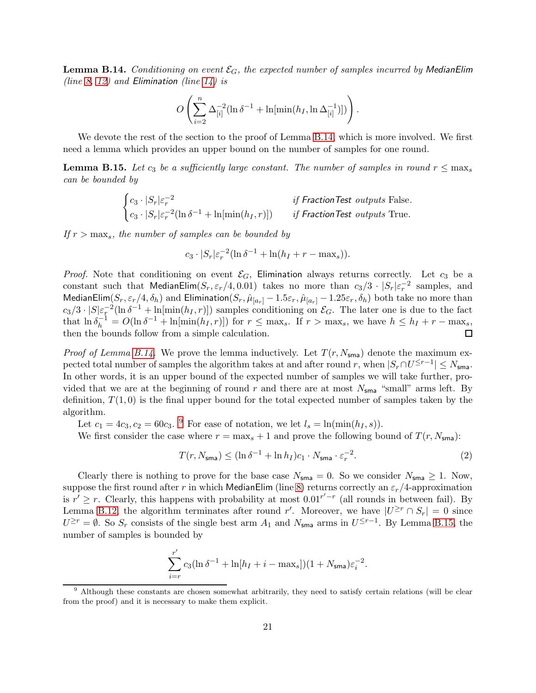<span id="page-20-0"></span>**Lemma B.14.** Conditioning on event  $\mathcal{E}_G$ , the expected number of samples incurred by MedianElim (line [8,](#page-16-6) [12\)](#page-16-3) and Elimination (line [14\)](#page-16-5) is

$$
O\left(\sum_{i=2}^n \Delta_{[i]}^{-2} (\ln \delta^{-1} + \ln[\min(h_I, \ln \Delta_{[i]}^{-1})])\right).
$$

We devote the rest of the section to the proof of Lemma [B.14,](#page-20-0) which is more involved. We first need a lemma which provides an upper bound on the number of samples for one round.

<span id="page-20-2"></span>**Lemma B.15.** Let  $c_3$  be a sufficiently large constant. The number of samples in round  $r \leq \max_s$ can be bounded by

$$
\begin{cases}\nc_3 \cdot |S_r| \varepsilon_r^{-2} & \text{if } \text{FractionTest outputs False.} \\
c_3 \cdot |S_r| \varepsilon_r^{-2} (\ln \delta^{-1} + \ln[\min(h_I, r)]) & \text{if } \text{FractionTest outputs True.}\n\end{cases}
$$

If  $r > \max_s$ , the number of samples can be bounded by

$$
c_3 \cdot |S_r| \varepsilon_r^{-2} (\ln \delta^{-1} + \ln(h_I + r - \max_s)).
$$

*Proof.* Note that conditioning on event  $\mathcal{E}_G$ , Elimination always returns correctly. Let  $c_3$  be a constant such that MedianElim $(S_r, \varepsilon_r/4, 0.01)$  takes no more than  $c_3/3 \cdot |S_r|\varepsilon_r^{-2}$  samples, and MedianElim( $S_r$ ,  $\varepsilon_r/4$ ,  $\delta_h$ ) and Elimination( $S_r$ ,  $\hat{\mu}_{[a_r]}$  – 1.5 $\varepsilon_r$ ,  $\hat{\mu}_{[a_r]}$  – 1.25 $\varepsilon_r$ ,  $\delta_h$ ) both take no more than  $c_3/3 \cdot |S|\varepsilon_T^{-2}(\ln \delta^{-1} + \ln[\min(h_I, r)])$  samples conditioning on  $\mathcal{E}_G$ . The later one is due to the fact that  $\ln \delta_h^{-1} = O(\ln \delta^{-1} + \ln[\min(h_I, r)])$  for  $r \le \max_s$ . If  $r > \max_s$ , we have  $h \le h_I + r - \max_s$ , then the bounds follow from a simple calculation.

*Proof of Lemma [B.14.](#page-20-0)* We prove the lemma inductively. Let  $T(r, N_{\rm sma})$  denote the maximum expected total number of samples the algorithm takes at and after round r, when  $|S_r \cap U^{\leq r-1}| \leq N_{\sf sma}$ . In other words, it is an upper bound of the expected number of samples we will take further, provided that we are at the beginning of round r and there are at most  $N_{\rm sma}$  "small" arms left. By definition,  $T(1,0)$  is the final upper bound for the total expected number of samples taken by the algorithm.

Let  $c_1 = 4c_3, c_2 = 60c_3$ . <sup>[9](#page-20-1)</sup> For ease of notation, we let  $l_s = \ln(\min(h_I, s))$ .

We first consider the case where  $r = \max_s + 1$  and prove the following bound of  $T(r, N_{\text{sma}})$ :

<span id="page-20-3"></span>
$$
T(r, N_{\mathsf{sma}}) \le (\ln \delta^{-1} + \ln h_I)c_1 \cdot N_{\mathsf{sma}} \cdot \varepsilon_r^{-2}.
$$
 (2)

Clearly there is nothing to prove for the base case  $N_{\text{sma}} = 0$ . So we consider  $N_{\text{sma}} \geq 1$ . Now, suppose the first round after r in which MedianElim (line [8\)](#page-16-6) returns correctly an  $\varepsilon_r/4$ -approximation is  $r' \ge r$ . Clearly, this happens with probability at most  $0.01^{r'-r}$  (all rounds in between fail). By Lemma [B.12,](#page-19-0) the algorithm terminates after round r'. Moreover, we have  $|U^{\geq r} \cap S_r| = 0$  since  $U^{\geq r} = \emptyset$ . So  $S_r$  consists of the single best arm  $A_1$  and  $N_{\text{sma}}$  arms in  $U^{\leq r-1}$ . By Lemma [B.15,](#page-20-2) the number of samples is bounded by

$$
\sum_{i=r}^{r'} c_3 (\ln \delta^{-1} + \ln[h_I + i - \max_s]) (1 + N_{\text{sma}}) \varepsilon_i^{-2}.
$$

<span id="page-20-1"></span>Although these constants are chosen somewhat arbitrarily, they need to satisfy certain relations (will be clear from the proof) and it is necessary to make them explicit.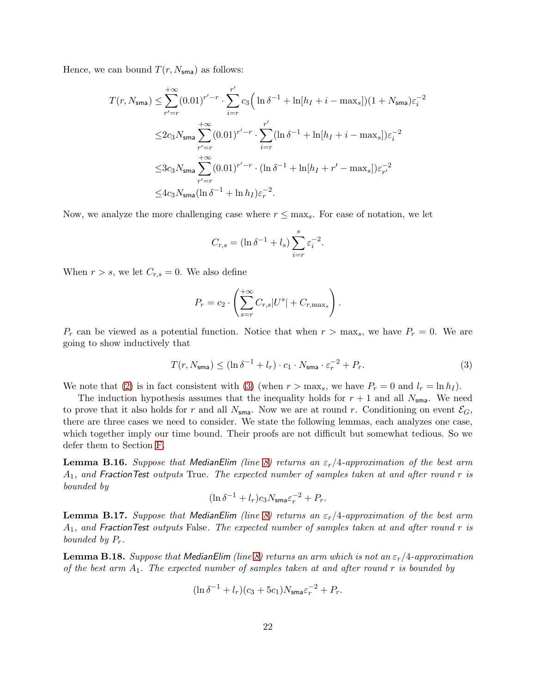Hence, we can bound  $T(r, N_{\rm sma})$  as follows:

$$
T(r, N_{\text{sma}}) \leq \sum_{r'=r}^{+\infty} (0.01)^{r'-r} \cdot \sum_{i=r}^{r'} c_3 \Big( \ln \delta^{-1} + \ln[h_I + i - \max_s] \Big) (1 + N_{\text{sma}}) \varepsilon_i^{-2}
$$
  

$$
\leq 2c_3 N_{\text{sma}} \sum_{r'=r}^{+\infty} (0.01)^{r'-r} \cdot \sum_{i=r}^{r'} (\ln \delta^{-1} + \ln[h_I + i - \max_s]) \varepsilon_i^{-2}
$$
  

$$
\leq 3c_3 N_{\text{sma}} \sum_{r'=r}^{+\infty} (0.01)^{r'-r} \cdot (\ln \delta^{-1} + \ln[h_I + r' - \max_s]) \varepsilon_{r'}^{-2}
$$
  

$$
\leq 4c_3 N_{\text{sma}} (\ln \delta^{-1} + \ln h_I) \varepsilon_r^{-2}.
$$

Now, we analyze the more challenging case where  $r \leq \max_s$ . For ease of notation, we let

$$
C_{r,s} = (\ln \delta^{-1} + l_s) \sum_{i=r}^{s} \varepsilon_i^{-2}.
$$

When  $r > s$ , we let  $C_{r,s} = 0$ . We also define

$$
P_r = c_2 \cdot \left( \sum_{s=r}^{+\infty} C_{r,s} |U^s| + C_{r,\max_s} \right).
$$

 $P_r$  can be viewed as a potential function. Notice that when  $r > \max_s$ , we have  $P_r = 0$ . We are going to show inductively that

<span id="page-21-0"></span>
$$
T(r, N_{\mathsf{sma}}) \le (\ln \delta^{-1} + l_r) \cdot c_1 \cdot N_{\mathsf{sma}} \cdot \varepsilon_r^{-2} + P_r. \tag{3}
$$

We note that [\(2\)](#page-20-3) is in fact consistent with [\(3\)](#page-21-0) (when  $r > \max_s$ , we have  $P_r = 0$  and  $l_r = \ln h_l$ ).

The induction hypothesis assumes that the inequality holds for  $r + 1$  and all  $N_{\rm sma}$ . We need to prove that it also holds for r and all  $N_{\text{sma}}$ . Now we are at round r. Conditioning on event  $\mathcal{E}_G$ , there are three cases we need to consider. We state the following lemmas, each analyzes one case, which together imply our time bound. Their proofs are not difficult but somewhat tedious. So we defer them to Section [F.](#page-35-0)

<span id="page-21-2"></span>**Lemma B.16.** Suppose that MedianElim (line [8\)](#page-16-6) returns an  $\varepsilon_r/4$ -approximation of the best arm  $A_1$ , and FractionTest outputs True. The expected number of samples taken at and after round r is bounded by

$$
(\ln \delta^{-1} + l_r)c_3 N_{\rm sma} \varepsilon_r^{-2} + P_r.
$$

<span id="page-21-3"></span>**Lemma B.17.** Suppose that MedianElim (line [8\)](#page-16-6) returns an  $\varepsilon_r/4$ -approximation of the best arm  $A_1$ , and Fraction Test outputs False. The expected number of samples taken at and after round r is bounded by  $P_r$ .

<span id="page-21-1"></span>**Lemma B.18.** Suppose that MedianElim (line [8\)](#page-16-6) returns an arm which is not an  $\varepsilon_r/4$ -approximation of the best arm  $A_1$ . The expected number of samples taken at and after round r is bounded by

$$
(\ln \delta^{-1} + l_r)(c_3 + 5c_1)N_{\text{sma}}\varepsilon_r^{-2} + P_r.
$$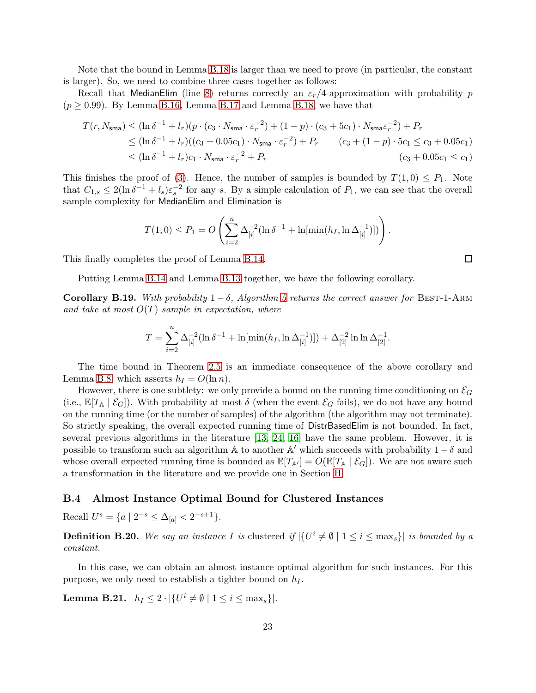Note that the bound in Lemma [B.18](#page-21-1) is larger than we need to prove (in particular, the constant is larger). So, we need to combine three cases together as follows:

Recall that MedianElim (line [8\)](#page-16-6) returns correctly an  $\varepsilon_r/4$ -approximation with probability p  $(p \geq 0.99)$ . By Lemma [B.16,](#page-21-2) Lemma [B.17](#page-21-3) and Lemma [B.18,](#page-21-1) we have that

$$
T(r, N_{\text{sma}}) \leq (\ln \delta^{-1} + l_r)(p \cdot (c_3 \cdot N_{\text{sma}} \cdot \varepsilon_r^{-2}) + (1 - p) \cdot (c_3 + 5c_1) \cdot N_{\text{sma}} \varepsilon_r^{-2}) + P_r
$$
  
\n
$$
\leq (\ln \delta^{-1} + l_r)((c_3 + 0.05c_1) \cdot N_{\text{sma}} \cdot \varepsilon_r^{-2}) + P_r \qquad (c_3 + (1 - p) \cdot 5c_1 \leq c_3 + 0.05c_1)
$$
  
\n
$$
\leq (\ln \delta^{-1} + l_r)c_1 \cdot N_{\text{sma}} \cdot \varepsilon_r^{-2} + P_r \qquad (c_3 + (1 - p) \cdot 5c_1 \leq c_3 + 0.05c_1 \leq c_1)
$$

This finishes the proof of [\(3\)](#page-21-0). Hence, the number of samples is bounded by  $T(1,0) \leq P_1$ . Note that  $C_{1,s} \leq 2(\ln \delta^{-1} + l_s)\varepsilon_s^{-2}$  for any s. By a simple calculation of  $P_1$ , we can see that the overall sample complexity for MedianElim and Elimination is

$$
T(1,0) \le P_1 = O\left(\sum_{i=2}^n \Delta_{[i]}^{-2} (\ln \delta^{-1} + \ln[\min(h_I, \ln \Delta_{[i]}^{-1})])\right).
$$

This finally completes the proof of Lemma [B.14.](#page-20-0)

Putting Lemma [B.14](#page-20-0) and Lemma [B.13](#page-19-1) together, we have the following corollary.

<span id="page-22-1"></span>Corollary B.19. With probability  $1 - \delta$ , Algorithm [5](#page-16-0) returns the correct answer for BEST-1-ARM and take at most  $O(T)$  sample in expectation, where

$$
T = \sum_{i=2}^{n} \Delta_{[i]}^{-2} (\ln \delta^{-1} + \ln[\min(h_I, \ln \Delta_{[i]}^{-1})]) + \Delta_{[2]}^{-2} \ln \ln \Delta_{[2]}^{-1}.
$$

The time bound in Theorem [2.5](#page-17-0) is an immediate consequence of the above corollary and Lemma [B.8,](#page-18-2) which asserts  $h_I = O(\ln n)$ .

However, there is one subtlety: we only provide a bound on the running time conditioning on  $\mathcal{E}_G$ (i.e.,  $\mathbb{E}[T_{\mathbb{A}} | \mathcal{E}_G]$ ). With probability at most  $\delta$  (when the event  $\mathcal{E}_G$  fails), we do not have any bound on the running time (or the number of samples) of the algorithm (the algorithm may not terminate). So strictly speaking, the overall expected running time of DistrBasedElim is not bounded. In fact, several previous algorithms in the literature [\[13,](#page-10-18) [24,](#page-10-13) [16\]](#page-10-10) have the same problem. However, it is possible to transform such an algorithm  $\mathbb A$  to another  $\mathbb A'$  which succeeds with probability  $1 - \delta$  and whose overall expected running time is bounded as  $\mathbb{E}[T_{\mathbb{A}}] = O(\mathbb{E}[T_{\mathbb{A}} | \mathcal{E}_G])$ . We are not aware such a transformation in the literature and we provide one in Section [H.](#page-42-0)

#### <span id="page-22-0"></span>B.4 Almost Instance Optimal Bound for Clustered Instances

Recall  $U^s = \{a \mid 2^{-s} \leq \Delta_{[a]} < 2^{-s+1}\}.$ 

**Definition B.20.** We say an instance I is clustered if  $|\{U^i \neq \emptyset \mid 1 \leq i \leq \max_s\}|$  is bounded by a constant.

In this case, we can obtain an almost instance optimal algorithm for such instances. For this purpose, we only need to establish a tighter bound on  $h_I$ .

**Lemma B.21.**  $h_I \leq 2 \cdot |\{U^i \neq \emptyset \mid 1 \leq i \leq \max_s\}|.$ 

 $\Box$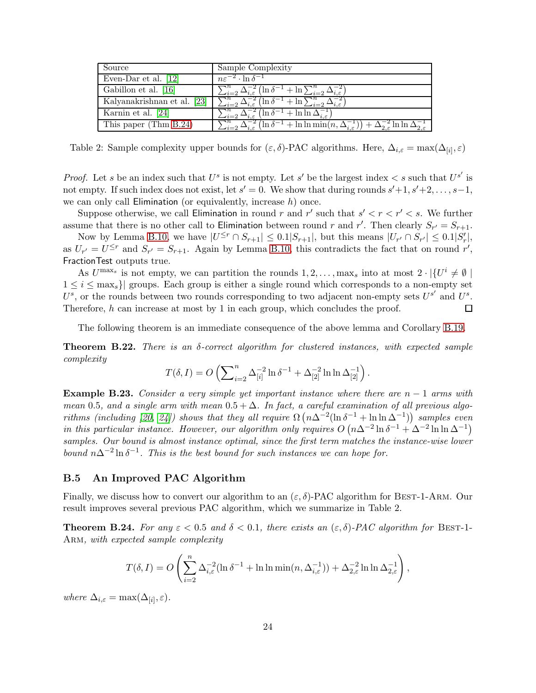| Source                | Sample Complexity                                                                                                                                                                    |
|-----------------------|--------------------------------------------------------------------------------------------------------------------------------------------------------------------------------------|
| Even-Dar et al. [12]  | $n\varepsilon^{-2} \cdot \ln \delta^{-1}$                                                                                                                                            |
| Gabillon et al. [16]  | $\sum_{i=2}^n \Delta_{i,\varepsilon}^{-2} \left( \ln \delta^{-1} + \ln \sum_{i=2}^n \Delta_{i,\varepsilon}^{-2} \right)$                                                             |
|                       | Kalyanakrishnan et al. [23] $\sum_{i=2}^{n} \Delta_{i,\varepsilon}^{-2} (\ln \delta^{-1} + \ln \sum_{i=2}^{n} \Delta$                                                                |
| Karnin et al. [24]    | $\sum_{i=2}^n \Delta_{i,\varepsilon}^{-2} (\ln \delta^{-1} + \ln \ln \Delta_{i,\varepsilon}^{-1})$                                                                                   |
| This paper (Thm B.24) | $\sum_{i=2}^{\infty} \Delta_{i,\varepsilon}^{-2} (\ln \delta^{-1} + \ln \ln \min(n, \Delta_{i,\varepsilon}^{-1})) + \Delta_{2,\varepsilon}^{-2} \ln \ln \Delta_{2,\varepsilon}^{-1}$ |

Table 2: Sample complexity upper bounds for  $(\varepsilon, \delta)$ -PAC algorithms. Here,  $\Delta_{i,\varepsilon} = \max(\Delta_{[i]}, \varepsilon)$ 

*Proof.* Let s be an index such that  $U^s$  is not empty. Let s' be the largest index  $\lt s$  such that  $U^{s'}$  is not empty. If such index does not exist, let  $s' = 0$ . We show that during rounds  $s' + 1$ ,  $s' + 2$ , ...,  $s - 1$ , we can only call Elimination (or equivalently, increase  $h$ ) once.

Suppose otherwise, we call Elimination in round r and r' such that  $s' < r < r' < s$ . We further assume that there is no other call to Elimination between round r and r'. Then clearly  $S_{r'} = S_{r+1}$ .

Now by Lemma [B.10,](#page-18-0) we have  $|U^{\leq r} \cap S_{r+1}| \leq 0.1|S_{r+1}|$ , but this means  $|U_{r'} \cap S_{r'}| \leq 0.1|S'_r|$ , as  $U_{r'} = U^{\leq r}$  and  $S_{r'} = S_{r+1}$ . Again by Lemma [B.10,](#page-18-0) this contradicts the fact that on round r', FractionTest outputs true.

As  $U^{\max_s}$  is not empty, we can partition the rounds  $1, 2, ..., \max_s$  into at most  $2 \cdot |\{U^i \neq \emptyset\}|$  $1 \leq i \leq \max_{s}$  groups. Each group is either a single round which corresponds to a non-empty set  $U^s$ , or the rounds between two rounds corresponding to two adjacent non-empty sets  $U^{s'}$  and  $U^s$ . Therefore,  $h$  can increase at most by 1 in each group, which concludes the proof.  $\Box$ 

The following theorem is an immediate consequence of the above lemma and Corollary [B.19.](#page-22-1)

<span id="page-23-0"></span>Theorem B.22. There is an δ-correct algorithm for clustered instances, with expected sample complexity

$$
T(\delta, I) = O\left(\sum_{i=2}^{n} \Delta_{[i]}^{-2} \ln \delta^{-1} + \Delta_{[2]}^{-2} \ln \ln \Delta_{[2]}^{-1}\right).
$$

**Example B.23.** Consider a very simple yet important instance where there are  $n-1$  arms with mean 0.5, and a single arm with mean  $0.5 + \Delta$ . In fact, a careful examination of all previous algo-rithms (including [\[20,](#page-10-14) [24\]](#page-10-13)) shows that they all require  $\Omega(n\Delta^{-2}(\ln \delta^{-1} + \ln \ln \Delta^{-1}))$  samples even in this particular instance. However, our algorithm only requires  $O(n\Delta^{-2} \ln \delta^{-1} + \Delta^{-2} \ln \ln \Delta^{-1})$ samples. Our bound is almost instance optimal, since the first term matches the instance-wise lower bound  $n\Delta^{-2}$ ln  $\delta^{-1}$ . This is the best bound for such instances we can hope for.

#### <span id="page-23-1"></span>B.5 An Improved PAC Algorithm

Finally, we discuss how to convert our algorithm to an  $(\varepsilon, \delta)$ -PAC algorithm for BEST-1-ARM. Our result improves several previous PAC algorithm, which we summarize in Table 2.

<span id="page-23-2"></span>**Theorem B.24.** For any  $\varepsilon < 0.5$  and  $\delta < 0.1$ , there exists an  $(\varepsilon, \delta)$ -PAC algorithm for BEST-1-ARM, with expected sample complexity

$$
T(\delta, I) = O\left(\sum_{i=2}^n \Delta_{i,\varepsilon}^{-2} (\ln \delta^{-1} + \ln \ln \min(n, \Delta_{i,\varepsilon}^{-1})) + \Delta_{2,\varepsilon}^{-2} \ln \ln \Delta_{2,\varepsilon}^{-1}\right),\,
$$

where  $\Delta_{i,\varepsilon} = \max(\Delta_{[i]}, \varepsilon)$ .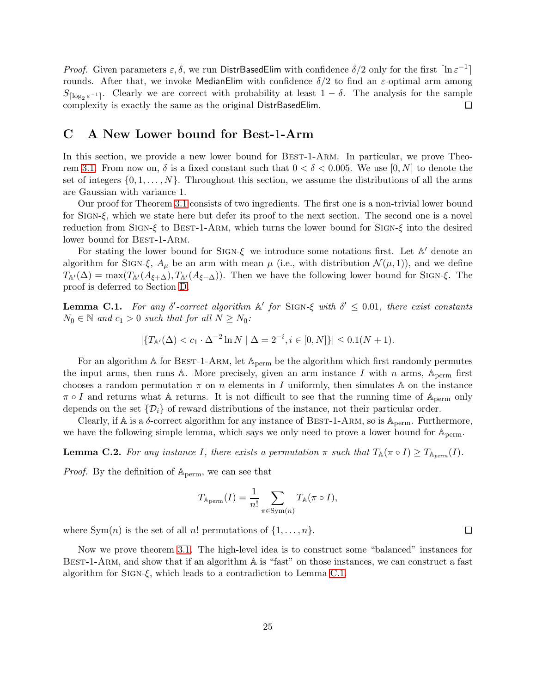*Proof.* Given parameters  $\varepsilon$ ,  $\delta$ , we run DistrBasedElim with confidence  $\delta/2$  only for the first  $\lceil \ln \varepsilon^{-1} \rceil$ rounds. After that, we invoke MedianElim with confidence  $\delta/2$  to find an  $\varepsilon$ -optimal arm among  $S_{\lceil \log_2 \varepsilon^{-1} \rceil}$ . Clearly we are correct with probability at least  $1 - \delta$ . The analysis for the sample complexity is exactly the same as the original DistrBasedElim.

### <span id="page-24-2"></span>C A New Lower bound for Best-1-Arm

In this section, we provide a new lower bound for BEST-1-ARM. In particular, we prove Theo-rem [3.1.](#page-24-0) From now on,  $\delta$  is a fixed constant such that  $0 < \delta < 0.005$ . We use  $[0, N]$  to denote the set of integers  $\{0, 1, \ldots, N\}$ . Throughout this section, we assume the distributions of all the arms are Gaussian with variance 1.

Our proof for Theorem [3.1](#page-24-0) consists of two ingredients. The first one is a non-trivial lower bound for Sign-ξ, which we state here but defer its proof to the next section. The second one is a novel reduction from SIGN-ξ to BEST-1-ARM, which turns the lower bound for SIGN- $\xi$  into the desired lower bound for BEST-1-ARM.

For stating the lower bound for Sign-ξ we introduce some notations first. Let A ′ denote an algorithm for SIGN- $\xi$ ,  $A_\mu$  be an arm with mean  $\mu$  (i.e., with distribution  $\mathcal{N}(\mu, 1)$ ), and we define  $T_{\mathbb{A}'(\Delta) = \max(T_{\mathbb{A}'}(A_{\xi+\Delta}), T_{\mathbb{A}'}(A_{\xi-\Delta}))$ . Then we have the following lower bound for SIGN- $\xi$ . The proof is deferred to Section [D.](#page-27-1)

<span id="page-24-0"></span>**Lemma C.1.** For any  $\delta'$ -correct algorithm  $\mathbb{A}'$  for SIGN- $\xi$  with  $\delta' \leq 0.01$ , there exist constants  $N_0 \in \mathbb{N}$  and  $c_1 > 0$  such that for all  $N \geq N_0$ :

$$
|\{T_{\mathbb{A}'}(\Delta) < c_1 \cdot \Delta^{-2} \ln N \mid \Delta = 2^{-i}, i \in [0, N]\}| \leq 0.1(N + 1).
$$

For an algorithm  $\mathbb A$  for BEST-1-ARM, let  $\mathbb A_{\text{perm}}$  be the algorithm which first randomly permutes the input arms, then runs A. More precisely, given an arm instance I with n arms,  $A_{\text{perm}}$  first chooses a random permutation  $\pi$  on n elements in I uniformly, then simulates A on the instance  $\pi \circ I$  and returns what A returns. It is not difficult to see that the running time of  $A_{\text{perm}}$  only depends on the set  $\{\mathcal{D}_i\}$  of reward distributions of the instance, not their particular order.

Clearly, if A is a  $\delta$ -correct algorithm for any instance of BEST-1-ARM, so is  $\mathbb{A}_{\text{perm}}$ . Furthermore, we have the following simple lemma, which says we only need to prove a lower bound for  $A_{\text{perm}}$ .

<span id="page-24-1"></span>**Lemma C.2.** For any instance I, there exists a permutation  $\pi$  such that  $T_{\mathbb{A}}(\pi \circ I) \geq T_{\mathbb{A}_{perm}}(I)$ .

*Proof.* By the definition of  $A_{\text{perm}}$ , we can see that

$$
T_{\mathbb{A}_{\text{perm}}}(I) = \frac{1}{n!} \sum_{\pi \in \text{Sym}(n)} T_{\mathbb{A}}(\pi \circ I),
$$

where  $Sym(n)$  is the set of all n! permutations of  $\{1, \ldots, n\}$ .

Now we prove theorem [3.1.](#page-24-0) The high-level idea is to construct some "balanced" instances for BEST-1-ARM, and show that if an algorithm  $A$  is "fast" on those instances, we can construct a fast algorithm for  $SIGN-\xi$ , which leads to a contradiction to Lemma [C.1.](#page-24-0)

 $\Box$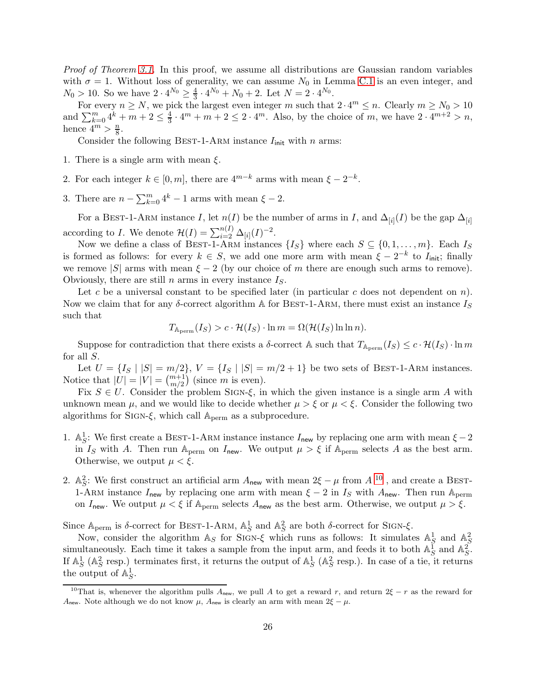Proof of Theorem [3.1.](#page-24-0) In this proof, we assume all distributions are Gaussian random variables with  $\sigma = 1$ . Without loss of generality, we can assume N<sub>0</sub> in Lemma [C.1](#page-24-0) is an even integer, and  $N_0 > 10$ . So we have  $2 \cdot 4^{N_0} \ge \frac{4}{3}$  $\frac{4}{3} \cdot 4^{N_0} + N_0 + 2$ . Let  $N = 2 \cdot 4^{N_0}$ .

For every  $n \ge N$ , we pick the largest even integer m such that  $2 \cdot 4^m \le n$ . Clearly  $m \ge N_0 > 10$ and  $\sum_{k=0}^{m} 4^k + m + 2 \leq \frac{4}{3}$  $\frac{4}{3} \cdot 4^m + m + 2 \leq 2 \cdot 4^m$ . Also, by the choice of m, we have  $2 \cdot 4^{m+2} > n$ , hence  $4^m > \frac{n}{8}$  $\frac{n}{8}$ .

Consider the following BEST-1-ARM instance  $I_{init}$  with n arms:

- 1. There is a single arm with mean  $\xi$ .
- 2. For each integer  $k \in [0, m]$ , there are  $4^{m-k}$  arms with mean  $\xi 2^{-k}$ .
- 3. There are  $n \sum_{k=0}^{m} 4^k 1$  arms with mean  $\xi 2$ .

For a BEST-1-ARM instance I, let  $n(I)$  be the number of arms in I, and  $\Delta_{[i]}(I)$  be the gap  $\Delta_{[i]}$ according to *I*. We denote  $\mathcal{H}(I) = \sum_{i=2}^{n(I)} \Delta_{[i]}(I)^{-2}$ .

Now we define a class of BEST-1-ARM instances  $\{I_S\}$  where each  $S \subseteq \{0, 1, \ldots, m\}$ . Each  $I_S$ is formed as follows: for every  $k \in S$ , we add one more arm with mean  $\xi - 2^{-k}$  to  $I_{\text{init}}$ ; finally we remove |S| arms with mean  $\xi - 2$  (by our choice of m there are enough such arms to remove). Obviously, there are still n arms in every instance  $I<sub>S</sub>$ .

Let c be a universal constant to be specified later (in particular c does not dependent on  $n$ ). Now we claim that for any  $\delta$ -correct algorithm A for BEST-1-ARM, there must exist an instance  $I_S$ such that

$$
T_{A_{\text{perm}}}(I_S) > c \cdot \mathcal{H}(I_S) \cdot \ln m = \Omega(\mathcal{H}(I_S) \ln \ln n).
$$

Suppose for contradiction that there exists a  $\delta$ -correct A such that  $T_{\mathbb{A}_{\text{perm}}}(I_S) \leq c \cdot \mathcal{H}(I_S) \cdot \ln m$ for all S.

Let  $U = \{I_S | |S| = m/2\}, V = \{I_S | |S| = m/2 + 1\}$  be two sets of BEST-1-ARM instances. Notice that  $|U| = |V| = \binom{m+1}{m/2}$  (since m is even).

Fix  $S \in U$ . Consider the problem SIGN- $\xi$ , in which the given instance is a single arm A with unknown mean  $\mu$ , and we would like to decide whether  $\mu > \xi$  or  $\mu < \xi$ . Consider the following two algorithms for SIGN- $\xi$ , which call  $\mathbb{A}_{\text{perm}}$  as a subprocedure.

- 1. A<sub>2</sub>: We first create a BEST-1-ARM instance instance  $I_{\text{new}}$  by replacing one arm with mean  $\xi 2$ in I<sub>S</sub> with A. Then run A<sub>perm</sub> on I<sub>new</sub>. We output  $\mu > \xi$  if A<sub>perm</sub> selects A as the best arm. Otherwise, we output  $\mu < \xi$ .
- 2.  $\mathbb{A}_{S}^2$ : We first construct an artificial arm  $A_{\text{new}}$  with mean  $2\xi \mu$  from  $A^{-10}$  $A^{-10}$  $A^{-10}$ , and create a BEST-1-ARM instance  $I_{\text{new}}$  by replacing one arm with mean  $\xi - 2$  in  $I_S$  with  $A_{\text{new}}$ . Then run A<sub>perm</sub> on I<sub>new</sub>. We output  $\mu < \xi$  if A<sub>perm</sub> selects A<sub>new</sub> as the best arm. Otherwise, we output  $\mu > \xi$ .

Since  $A_{\text{perm}}$  is δ-correct for BEST-1-ARM,  $A_S^1$  and  $A_S^2$  are both δ-correct for SIGN- $\xi$ .

Now, consider the algorithm  $\mathbb{A}_S$  for SIGN- $\xi$  which runs as follows: It simulates  $\mathbb{A}_S^1$  and  $\mathbb{A}_S^2$ simultaneously. Each time it takes a sample from the input arm, and feeds it to both  $\mathbb{A}_{S}^{\mathbb{Z}}$  and  $\mathbb{A}_{S}^{\mathbb{Z}}$ . If  $\mathbb{A}^1_S$  ( $\mathbb{A}^2_S$  resp.) terminates first, it returns the output of  $\mathbb{A}^1_S$  ( $\mathbb{A}^2_S$  resp.). In case of a tie, it returns the output of  $\mathbb{A}^1_S$ .

<span id="page-25-0"></span><sup>&</sup>lt;sup>10</sup>That is, whenever the algorithm pulls  $A_{\text{new}}$ , we pull A to get a reward r, and return 2 $\xi - r$  as the reward for A<sub>new</sub>. Note although we do not know  $\mu$ , A<sub>new</sub> is clearly an arm with mean  $2\xi - \mu$ .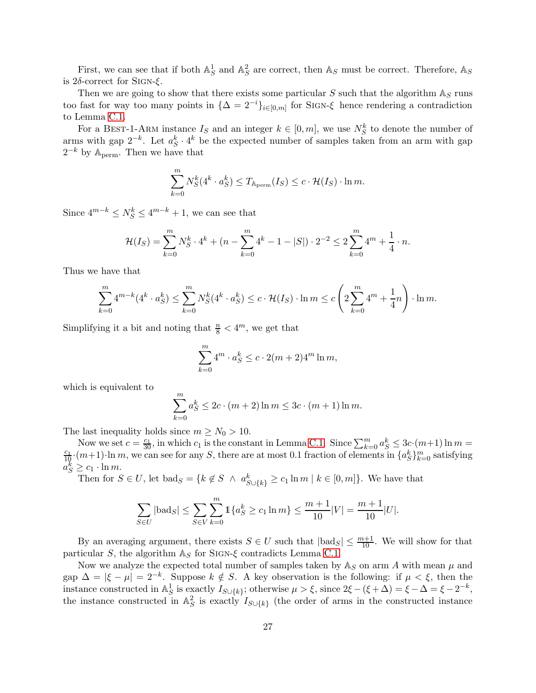First, we can see that if both  $\mathbb{A}^1_S$  and  $\mathbb{A}^2_S$  are correct, then  $\mathbb{A}_S$  must be correct. Therefore,  $\mathbb{A}_S$ is  $2δ$ -correct for SIGN- $ξ$ .

Then we are going to show that there exists some particular S such that the algorithm  $\mathbb{A}_S$  runs too fast for way too many points in  $\{\Delta = 2^{-i}\}_{i \in [0,m]}$  for SIGN- $\xi$  hence rendering a contradiction to Lemma [C.1.](#page-24-0)

For a BEST-1-ARM instance  $I_S$  and an integer  $k \in [0, m]$ , we use  $N_S^k$  to denote the number of arms with gap  $2^{-k}$ . Let  $a_S^k \cdot 4^k$  be the expected number of samples taken from an arm with gap  $2^{-k}$  by  $\mathbb{A}_{\text{perm}}$ . Then we have that

$$
\sum_{k=0}^{m} N_S^k(4^k \cdot a_S^k) \le T_{A_{\text{perm}}}(I_S) \le c \cdot \mathcal{H}(I_S) \cdot \ln m.
$$

Since  $4^{m-k} \le N_S^k \le 4^{m-k} + 1$ , we can see that

$$
\mathcal{H}(I_S) = \sum_{k=0}^{m} N_S^k \cdot 4^k + (n - \sum_{k=0}^{m} 4^k - 1 - |S|) \cdot 2^{-2} \le 2 \sum_{k=0}^{m} 4^m + \frac{1}{4} \cdot n.
$$

Thus we have that

$$
\sum_{k=0}^{m} 4^{m-k} (4^k \cdot a_S^k) \le \sum_{k=0}^{m} N_S^k (4^k \cdot a_S^k) \le c \cdot \mathcal{H}(I_S) \cdot \ln m \le c \left( 2 \sum_{k=0}^{m} 4^m + \frac{1}{4} n \right) \cdot \ln m.
$$

Simplifying it a bit and noting that  $\frac{n}{8} < 4^m$ , we get that

$$
\sum_{k=0}^{m} 4^m \cdot a_S^k \le c \cdot 2(m+2)4^m \ln m,
$$

which is equivalent to

$$
\sum_{k=0}^{m} a_S^k \le 2c \cdot (m+2) \ln m \le 3c \cdot (m+1) \ln m.
$$

The last inequality holds since  $m \geq N_0 > 10$ .

Now we set  $c = \frac{c_1}{30}$ , in which  $c_1$  is the constant in Lemma [C.1.](#page-24-0) Since  $\sum_{k=0}^{m} a_S^k \leq 3c \cdot (m+1) \ln m =$  $\frac{c_1}{10}(m+1)$ ·ln m, we can see for any S, there are at most 0.1 fraction of elements in  $\{a_S^k\}_{k=0}^m$  satisfying  $a_S^k \geq c_1 \cdot \ln m.$ 

Then for  $S \in U$ , let  $bad_S = \{k \notin S \land a_{S \cup \{k\}}^k \ge c_1 \ln m \mid k \in [0, m]\}.$  We have that

$$
\sum_{S \in U} |\text{bad}_S| \le \sum_{S \in V} \sum_{k=0}^m \mathbb{1}\{a_S^k \ge c_1 \ln m\} \le \frac{m+1}{10}|V| = \frac{m+1}{10}|U|.
$$

By an averaging argument, there exists  $S \in U$  such that  $|\text{bad}_S| \leq \frac{m+1}{10}$ . We will show for that particular S, the algorithm  $\mathbb{A}_S$  for SIGN- $\xi$  contradicts Lemma [C.1.](#page-24-0)

Now we analyze the expected total number of samples taken by  $\mathbb{A}_S$  on arm A with mean  $\mu$  and gap  $\Delta = |\xi - \mu| = 2^{-k}$ . Suppose  $k \notin S$ . A key observation is the following: if  $\mu < \xi$ , then the instance constructed in  $\mathbb{A}^1_S$  is exactly  $I_{S\cup\{k\}}$ ; otherwise  $\mu > \xi$ , since  $2\xi - (\xi + \Delta) = \xi - \Delta = \xi - 2^{-k}$ , the instance constructed in  $\mathbb{A}_{S}^{2}$  is exactly  $I_{S\cup\{k\}}$  (the order of arms in the constructed instance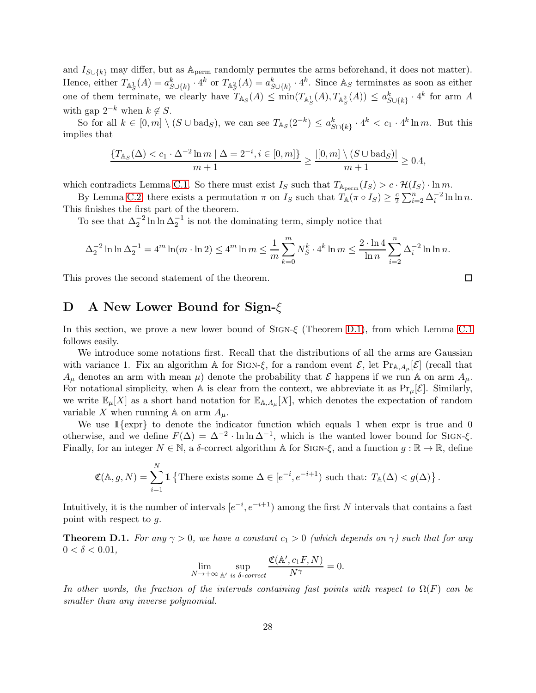and  $I_{S\cup\{k\}}$  may differ, but as  $\mathbb{A}_{\text{perm}}$  randomly permutes the arms beforehand, it does not matter). Hence, either  $T_{\mathbb{A}^1_S}(A) = a_{S \cup \{k\}}^k \cdot 4^k$  or  $T_{\mathbb{A}^2_S}(A) = a_{S \cup \{k\}}^k \cdot 4^k$ . Since  $\mathbb{A}_S$  terminates as soon as either one of them terminate, we clearly have  $T_{\mathbb{A}_S}(A) \le \min(T_{\mathbb{A}_S^1}(A), T_{\mathbb{A}_S^2}(A)) \le a_{S\cup\{k\}}^k \cdot 4^k$  for arm A with gap  $2^{-k}$  when  $k \notin S$ .

So for all  $k \in [0,m] \setminus (S \cup \text{bad}_S)$ , we can see  $T_{\mathbb{A}_S}(2^{-k}) \leq a_{S \cap \{k\}}^k \cdot 4^k < c_1 \cdot 4^k \ln m$ . But this implies that

$$
\frac{\{T_{\mathbb{A}_S}(\Delta) < c_1 \cdot \Delta^{-2} \ln m \mid \Delta = 2^{-i}, i \in [0, m]\}}{m+1} \ge \frac{|[0, m] \setminus (S \cup \text{bad}_S)|}{m+1} \ge 0.4,
$$

which contradicts Lemma [C.1.](#page-24-0) So there must exist  $I_S$  such that  $T_{A_{\text{perm}}}(I_S) > c \cdot \mathcal{H}(I_S) \cdot \ln m$ .

By Lemma [C.2,](#page-24-1) there exists a permutation  $\pi$  on  $I_S$  such that  $T_{\mathbb{A}}(\pi \circ I_S) \geq \frac{c}{2}$  $\frac{c}{2} \sum_{i=2}^{n} \Delta_i^{-2} \ln \ln n.$ This finishes the first part of the theorem.

To see that  $\Delta_2^{-2} \ln \ln \Delta_2^{-1}$  is not the dominating term, simply notice that

$$
\Delta_2^{-2} \ln \ln \Delta_2^{-1} = 4^m \ln(m \cdot \ln 2) \le 4^m \ln m \le \frac{1}{m} \sum_{k=0}^m N_S^k \cdot 4^k \ln m \le \frac{2 \cdot \ln 4}{\ln n} \sum_{i=2}^n \Delta_i^{-2} \ln \ln n.
$$

<span id="page-27-1"></span>This proves the second statement of the theorem.

# D A New Lower Bound for Sign-ξ

In this section, we prove a new lower bound of Sign-ξ (Theorem [D.1\)](#page-27-0), from which Lemma [C.1](#page-24-0) follows easily.

We introduce some notations first. Recall that the distributions of all the arms are Gaussian with variance 1. Fix an algorithm A for SIGN- $\xi$ , for a random event  $\mathcal{E}$ , let Pr<sub>A,A<sub>µ</sub>[ $\mathcal{E}$ ] (recall that</sub>  $A_{\mu}$  denotes an arm with mean  $\mu$ ) denote the probability that  $\mathcal E$  happens if we run A on arm  $A_{\mu}$ . For notational simplicity, when A is clear from the context, we abbreviate it as  $Pr_{\mu}[\mathcal{E}]$ . Similarly, we write  $\mathbb{E}_{\mu}[X]$  as a short hand notation for  $\mathbb{E}_{A,A_{\mu}}[X]$ , which denotes the expectation of random variable X when running  $\mathbb A$  on arm  $A_\mu$ .

We use  $1\{\exp\}$  to denote the indicator function which equals 1 when expr is true and 0 otherwise, and we define  $F(\Delta) = \Delta^{-2} \cdot \ln \ln \Delta^{-1}$ , which is the wanted lower bound for SIGN- $\xi$ . Finally, for an integer  $N \in \mathbb{N}$ , a  $\delta$ -correct algorithm A for SIGN- $\xi$ , and a function  $q : \mathbb{R} \to \mathbb{R}$ , define

$$
\mathfrak{C}(\mathbb{A}, g, N) = \sum_{i=1}^{N} \mathbb{1} \left\{ \text{There exists some } \Delta \in [e^{-i}, e^{-i+1}) \text{ such that: } T_{\mathbb{A}}(\Delta) < g(\Delta) \right\}.
$$

Intuitively, it is the number of intervals  $[e^{-i}, e^{-i+1}]$  among the first N intervals that contains a fast point with respect to  $g$ .

<span id="page-27-0"></span>**Theorem D.1.** For any  $\gamma > 0$ , we have a constant  $c_1 > 0$  (which depends on  $\gamma$ ) such that for any  $0 < \delta < 0.01$ ,

$$
\lim_{N \to +\infty} \sup_{\mathbb{A}'} \frac{\mathfrak{C}(\mathbb{A}', c_1 F, N)}{N^{\gamma}} = 0.
$$

In other words, the fraction of the intervals containing fast points with respect to  $\Omega(F)$  can be smaller than any inverse polynomial.

$$
\overline{\Box}
$$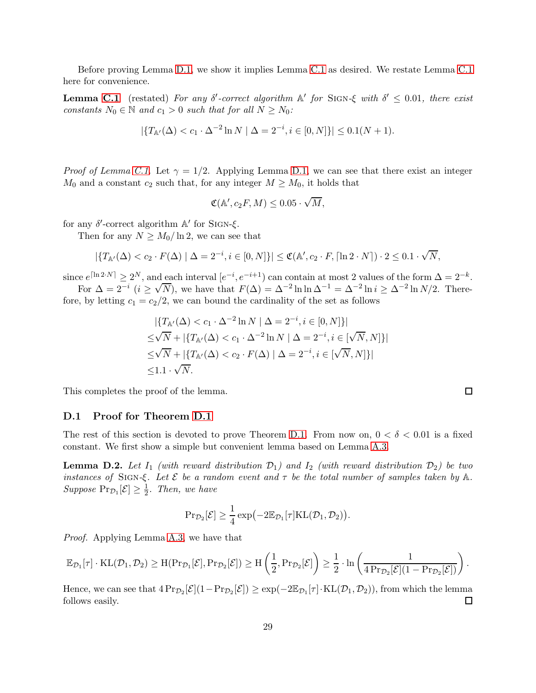Before proving Lemma [D.1,](#page-27-0) we show it implies Lemma [C.1](#page-24-0) as desired. We restate Lemma [C.1](#page-24-0) here for convenience.

**Lemma [C.1](#page-24-0)** (restated) For any  $\delta'$ -correct algorithm  $\mathbb{A}'$  for SIGN- $\xi$  with  $\delta' \leq 0.01$ , there exist constants  $N_0 \in \mathbb{N}$  and  $c_1 > 0$  such that for all  $N \ge N_0$ :

$$
|\{T_{\mathbb{A}'}(\Delta) < c_1 \cdot \Delta^{-2} \ln N \mid \Delta = 2^{-i}, i \in [0, N]\}| \leq 0.1(N + 1).
$$

*Proof of Lemma [C.1.](#page-24-0)* Let  $\gamma = 1/2$ . Applying Lemma [D.1,](#page-27-0) we can see that there exist an integer  $M_0$  and a constant  $c_2$  such that, for any integer  $M \geq M_0$ , it holds that

$$
\mathfrak{C}(\mathbb{A}', c_2F, M) \leq 0.05 \cdot \sqrt{M},
$$

for any  $\delta'$ -correct algorithm  $\mathbb{A}'$  for SIGN- $\xi$ .

Then for any  $N \geq M_0/\ln 2$ , we can see that

$$
|\{T_{\mathbb{A}'}(\Delta) < c_2 \cdot F(\Delta) \mid \Delta = 2^{-i}, i \in [0, N]\}| \leq \mathfrak{C}(\mathbb{A}', c_2 \cdot F, \lceil \ln 2 \cdot N \rceil) \cdot 2 \leq 0.1 \cdot \sqrt{N},
$$

since  $e^{\lceil \ln 2 \cdot N \rceil} \geq 2^N$ , and each interval  $[e^{-i}, e^{-i+1}]$  can contain at most 2 values of the form  $\Delta = 2^{-k}$ .

For  $\Delta = 2^{-i}$   $(i \ge \sqrt{N})$ , we have that  $F(\Delta) = \Delta^{-2} \ln \ln \Delta^{-1} = \Delta^{-2} \ln i \ge \Delta^{-2} \ln N/2$ . Therefore, by letting  $c_1 = c_2/2$ , we can bound the cardinality of the set as follows

$$
|\{T_{\mathbb{A}'}(\Delta) < c_1 \cdot \Delta^{-2} \ln N \mid \Delta = 2^{-i}, i \in [0, N] \}|
$$
\n
$$
\leq \sqrt{N} + |\{T_{\mathbb{A}'}(\Delta) < c_1 \cdot \Delta^{-2} \ln N \mid \Delta = 2^{-i}, i \in [\sqrt{N}, N] \}|
$$
\n
$$
\leq \sqrt{N} + |\{T_{\mathbb{A}'}(\Delta) < c_2 \cdot F(\Delta) \mid \Delta = 2^{-i}, i \in [\sqrt{N}, N] \}|
$$
\n
$$
\leq 1.1 \cdot \sqrt{N}.
$$

This completes the proof of the lemma.

#### D.1 Proof for Theorem [D.1](#page-27-0)

The rest of this section is devoted to prove Theorem [D.1.](#page-27-0) From now on,  $0 < \delta < 0.01$  is a fixed constant. We first show a simple but convenient lemma based on Lemma [A.3.](#page-13-3)

<span id="page-28-0"></span>**Lemma D.2.** Let  $I_1$  (with reward distribution  $\mathcal{D}_1$ ) and  $I_2$  (with reward distribution  $\mathcal{D}_2$ ) be two instances of SIGN- $\xi$ . Let  $\mathcal E$  be a random event and  $\tau$  be the total number of samples taken by  $\mathbb A$ . Suppose  $\Pr_{\mathcal{D}_1}[\mathcal{E}] \geq \frac{1}{2}$  $\frac{1}{2}$ . Then, we have

$$
\mathrm{Pr}_{\mathcal{D}_2}[\mathcal{E}]\geq \frac{1}{4}\exp\bigl(-2\mathbb{E}_{\mathcal{D}_1}[\tau]\mathrm{KL}(\mathcal{D}_1,\mathcal{D}_2)\bigr).
$$

Proof. Applying Lemma [A.3,](#page-13-3) we have that

$$
\mathbb{E}_{\mathcal{D}_1}[\tau]\cdot \mathrm{KL}(\mathcal{D}_1, \mathcal{D}_2) \geq \mathrm{H}(\mathrm{Pr}_{\mathcal{D}_1}[\mathcal{E}], \mathrm{Pr}_{\mathcal{D}_2}[\mathcal{E}]) \geq \mathrm{H}\left(\frac{1}{2}, \mathrm{Pr}_{\mathcal{D}_2}[\mathcal{E}]\right) \geq \frac{1}{2}\cdot \ln\left(\frac{1}{4\,\mathrm{Pr}_{\mathcal{D}_2}[\mathcal{E}](1-\mathrm{Pr}_{\mathcal{D}_2}[\mathcal{E}])}\right).
$$

Hence, we can see that  $4 Pr_{\mathcal{D}_2}[\mathcal{E}] (1 - Pr_{\mathcal{D}_2}[\mathcal{E}]) \ge \exp(-2\mathbb{E}_{\mathcal{D}_1}[\tau] \cdot KL(\mathcal{D}_1, \mathcal{D}_2))$ , from which the lemma follows easily.

 $\Box$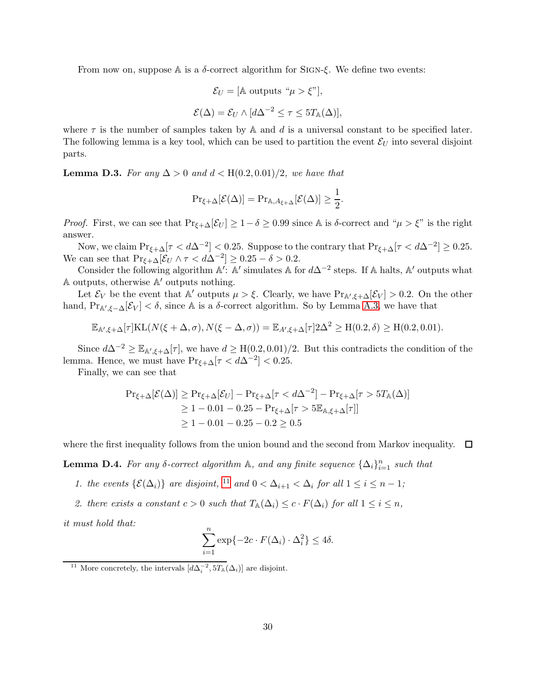From now on, suppose  $A$  is a  $\delta$ -correct algorithm for SIGN- $\xi$ . We define two events:

$$
\mathcal{E}_U = [\mathbb{A} \text{ outputs } \text{``}\mu > \xi\text{''}],
$$
\n
$$
\mathcal{E}(\Delta) = \mathcal{E}_U \wedge [d\Delta^{-2} \le \tau \le 5T_{\mathbb{A}}(\Delta)],
$$

where  $\tau$  is the number of samples taken by A and d is a universal constant to be specified later. The following lemma is a key tool, which can be used to partition the event  $\mathcal{E}_U$  into several disjoint parts.

<span id="page-29-1"></span>**Lemma D.3.** For any  $\Delta > 0$  and  $d < H(0.2, 0.01)/2$ , we have that

$$
\Pr_{\xi+\Delta}[\mathcal{E}(\Delta)] = \Pr_{\mathbb{A},A_{\xi+\Delta}}[\mathcal{E}(\Delta)] \ge \frac{1}{2}.
$$

*Proof.* First, we can see that  $Pr_{\xi+\Delta}[\mathcal{E}_U] \geq 1-\delta \geq 0.99$  since A is  $\delta$ -correct and " $\mu > \xi$ " is the right answer.

Now, we claim  $\Pr_{\xi+\Delta}[\tau < d\Delta^{-2}] < 0.25$ . Suppose to the contrary that  $\Pr_{\xi+\Delta}[\tau < d\Delta^{-2}] \ge 0.25$ . We can see that  $Pr_{\xi+\Delta}[\mathcal{E}_U \wedge \tau < d\Delta^{-2}] \ge 0.25 - \delta > 0.2$ .

Consider the following algorithm A': A' simulates A for  $d\Delta^{-2}$  steps. If A halts, A' outputs what A outputs, otherwise A ′ outputs nothing.

Let  $\mathcal{E}_V$  be the event that A' outputs  $\mu > \xi$ . Clearly, we have  $\Pr_{A',\xi+\Delta}[\mathcal{E}_V] > 0.2$ . On the other hand,  $Pr_{A',\xi-\Delta}[\mathcal{E}_V] < \delta$ , since A is a  $\delta$ -correct algorithm. So by Lemma [A.3,](#page-13-3) we have that

$$
\mathbb{E}_{\mathbb{A}',\xi+\Delta}[\tau]\text{KL}(N(\xi+\Delta,\sigma),N(\xi-\Delta,\sigma)) = \mathbb{E}_{A',\xi+\Delta}[\tau]2\Delta^2 \geq H(0.2,\delta) \geq H(0.2,0.01).
$$

Since  $d\Delta^{-2} \geq \mathbb{E}_{\mathbb{A}',\xi+\Delta}[\tau]$ , we have  $d \geq H(0.2, 0.01)/2$ . But this contradicts the condition of the lemma. Hence, we must have  $Pr_{\xi+\Delta}[\tau < d\Delta^{-2}] < 0.25$ .

Finally, we can see that

$$
\begin{aligned} \Pr_{\xi+\Delta}[\mathcal{E}(\Delta)] &\ge \Pr_{\xi+\Delta}[\mathcal{E}_U] - \Pr_{\xi+\Delta}[\tau < d\Delta^{-2}] - \Pr_{\xi+\Delta}[\tau > 5T_{\mathbb{A}}(\Delta)] \\ &\ge 1 - 0.01 - 0.25 - \Pr_{\xi+\Delta}[\tau > 5\mathbb{E}_{\mathbb{A},\xi+\Delta}[\tau]] \\ &\ge 1 - 0.01 - 0.25 - 0.2 \ge 0.5 \end{aligned}
$$

where the first inequality follows from the union bound and the second from Markov inequality.  $\Box$ 

<span id="page-29-2"></span>**Lemma D.4.** For any  $\delta$ -correct algorithm  $\mathbb{A}$ , and any finite sequence  $\{\Delta_i\}_{i=1}^n$  such that

- 1. the events  $\{\mathcal{E}(\Delta_i)\}\)$  are disjoint, <sup>[11](#page-29-0)</sup> and  $0 < \Delta_{i+1} < \Delta_i$  for all  $1 \leq i \leq n-1$ ;
- 2. there exists a constant  $c > 0$  such that  $T_{\mathbb{A}}(\Delta_i) \leq c \cdot F(\Delta_i)$  for all  $1 \leq i \leq n$ ,

it must hold that:

$$
\sum_{i=1}^{n} \exp\{-2c \cdot F(\Delta_i) \cdot \Delta_i^2\} \le 4\delta.
$$

<span id="page-29-0"></span><sup>&</sup>lt;sup>11</sup> More concretely, the intervals  $[d\Delta_i^{-2}, 5T_{\mathbb{A}}(\Delta_i)]$  are disjoint.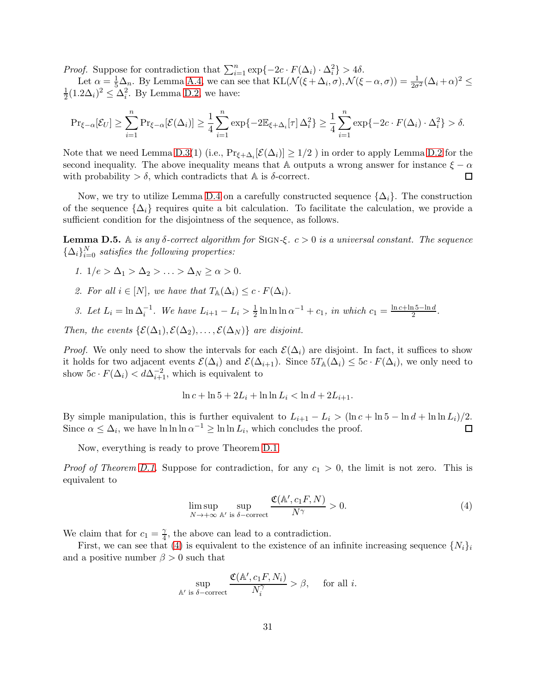*Proof.* Suppose for contradiction that  $\sum_{i=1}^{n} \exp\{-2c \cdot F(\Delta_i) \cdot \Delta_i^2\} > 4\delta$ .

Let  $\alpha = \frac{1}{5} \Delta_n$ . By Lemma [A.4,](#page-13-4) we can see that  $KL(\mathcal{N}(\xi + \Delta_i, \sigma), \mathcal{N}(\xi - \alpha, \sigma)) = \frac{1}{2\sigma^2} (\Delta_i + \alpha)^2 \leq$ 1  $\frac{1}{2}(1.2\Delta_i)^2 \leq \Delta_i^2$ . By Lemma [D.2,](#page-28-0) we have:

$$
\Pr_{\xi-\alpha}[\mathcal{E}_U] \geq \sum_{i=1}^n \Pr_{\xi-\alpha}[\mathcal{E}(\Delta_i)] \geq \frac{1}{4} \sum_{i=1}^n \exp\{-2\mathbb{E}_{\xi+\Delta_i}[\tau]\Delta_i^2\} \geq \frac{1}{4} \sum_{i=1}^n \exp\{-2c \cdot F(\Delta_i) \cdot \Delta_i^2\} > \delta.
$$

Note that we need Lemma [D.3\(](#page-29-1)1) (i.e.,  $Pr_{\xi+\Delta_i}[\mathcal{E}(\Delta_i)] \ge 1/2$  ) in order to apply Lemma [D.2](#page-28-0) for the second inequality. The above inequality means that A outputs a wrong answer for instance  $ξ - α$  with probability  $> δ$ , which contradicts that A is  $δ$ -correct. with probability  $> \delta$ , which contradicts that A is  $\delta$ -correct.

Now, we try to utilize Lemma [D.4](#page-29-2) on a carefully constructed sequence  $\{\Delta_i\}$ . The construction of the sequence  $\{\Delta_i\}$  requires quite a bit calculation. To facilitate the calculation, we provide a sufficient condition for the disjointness of the sequence, as follows.

<span id="page-30-1"></span>**Lemma D.5.** A is any δ-correct algorithm for SIGN-ξ.  $c > 0$  is a universal constant. The sequence  $\{\Delta_i\}_{i=0}^N$  satisfies the following properties:

- 1.  $1/e > \Delta_1 > \Delta_2 > \ldots > \Delta_N \ge \alpha > 0$ .
- 2. For all  $i \in [N]$ , we have that  $T_{\mathbb{A}}(\Delta_i) \leq c \cdot F(\Delta_i)$ .
- 3. Let  $L_i = \ln \Delta_i^{-1}$ . We have  $L_{i+1} L_i > \frac{1}{2}$  $\frac{1}{2} \ln \ln \ln \alpha^{-1} + c_1$ , in which  $c_1 = \frac{\ln c + \ln 5 - \ln d}{2}$  $\frac{15-\ln d}{2}$ .

Then, the events  $\{\mathcal{E}(\Delta_1), \mathcal{E}(\Delta_2), \ldots, \mathcal{E}(\Delta_N)\}\$ are disjoint.

*Proof.* We only need to show the intervals for each  $\mathcal{E}(\Delta_i)$  are disjoint. In fact, it suffices to show it holds for two adjacent events  $\mathcal{E}(\Delta_i)$  and  $\mathcal{E}(\Delta_{i+1})$ . Since  $5T_{\mathbb{A}}(\Delta_i) \leq 5c \cdot F(\Delta_i)$ , we only need to show  $5c \cdot F(\Delta_i) < d\Delta_{i+1}^{-2}$ , which is equivalent to

$$
\ln c + \ln 5 + 2L_i + \ln \ln L_i < \ln d + 2L_{i+1}.
$$

By simple manipulation, this is further equivalent to  $L_{i+1} - L_i > (\ln c + \ln 5 - \ln d + \ln \ln L_i)/2$ .<br>Since  $\alpha \leq \Delta_i$ , we have  $\ln \ln \ln \alpha^{-1} > \ln \ln L_i$ , which concludes the proof. Since  $\alpha \leq \Delta_i$ , we have  $\ln \ln \alpha^{-1} \geq \ln \ln L_i$ , which concludes the proof.

Now, everything is ready to prove Theorem [D.1.](#page-27-0)

*Proof of Theorem [D.1.](#page-27-0)* Suppose for contradiction, for any  $c_1 > 0$ , the limit is not zero. This is equivalent to

<span id="page-30-0"></span>
$$
\limsup_{N \to +\infty} \sup_{\mathbb{A}' \text{ is } \delta-\text{correct}} \frac{\mathfrak{C}(\mathbb{A}', c_1 F, N)}{N^{\gamma}} > 0.
$$
\n
$$
(4)
$$

We claim that for  $c_1 = \frac{\gamma}{4}$  $\frac{\gamma}{4}$ , the above can lead to a contradiction.

 $\mathbb A$ 

First, we can see that [\(4\)](#page-30-0) is equivalent to the existence of an infinite increasing sequence  $\{N_i\}_i$ and a positive number  $\beta > 0$  such that

$$
\sup_{\Lambda' \text{ is } \delta-\text{correct}} \frac{\mathfrak{C}(\mathbb{A}', c_1 F, N_i)}{N_i^{\gamma}} > \beta, \quad \text{ for all } i.
$$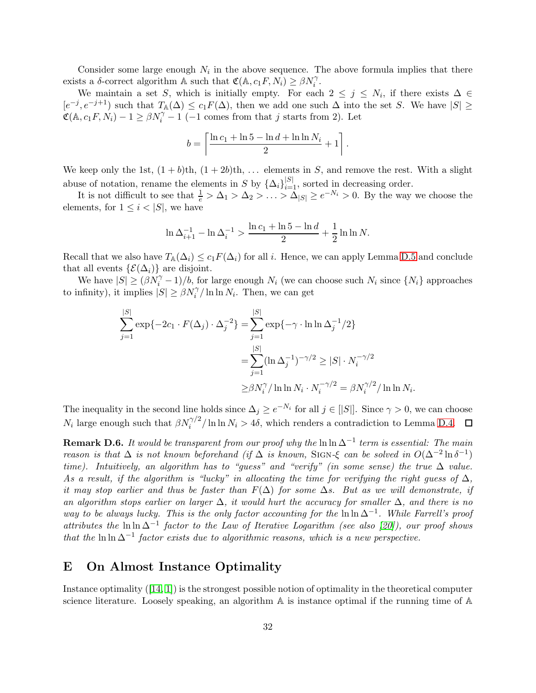Consider some large enough  $N_i$  in the above sequence. The above formula implies that there exists a  $\delta$ -correct algorithm A such that  $\mathfrak{C}(\mathbb{A}, c_1 F, N_i) \geq \beta N_i^{\gamma}$ .

We maintain a set S, which is initially empty. For each  $2 \leq j \leq N_i$ , if there exists  $\Delta \in$  $[e^{-j}, e^{-j+1}]$  such that  $T_{\mathbb{A}}(\Delta) \leq c_1 F(\Delta)$ , then we add one such  $\Delta$  into the set S. We have  $|S| \geq$  $\mathfrak{C}(\mathbb{A}, c_1 F, N_i) - 1 \ge \beta N_i^{\gamma} - 1$  (-1 comes from that j starts from 2). Let

$$
b = \left\lceil \frac{\ln c_1 + \ln 5 - \ln d + \ln \ln N_i}{2} + 1 \right\rceil.
$$

We keep only the 1st,  $(1 + b)$ th,  $(1 + 2b)$ th, ... elements in S, and remove the rest. With a slight abuse of notation, rename the elements in S by  $\{\Delta_i\}_{i=1}^{|S|}$ , sorted in decreasing order.

It is not difficult to see that  $\frac{1}{e} > \Delta_1 > \Delta_2 > \ldots > \Delta_{|S|} \ge e^{-N_i} > 0$ . By the way we choose the elements, for  $1 \leq i < |S|$ , we have

$$
\ln \Delta_{i+1}^{-1} - \ln \Delta_i^{-1} > \frac{\ln c_1 + \ln 5 - \ln d}{2} + \frac{1}{2} \ln \ln N.
$$

Recall that we also have  $T_{\mathbb{A}}(\Delta_i) \leq c_1 F(\Delta_i)$  for all i. Hence, we can apply Lemma [D.5](#page-30-1) and conclude that all events  $\{\mathcal{E}(\Delta_i)\}\)$  are disjoint.

We have  $|S| \geq (\beta N_i^{\gamma} - 1)/b$ , for large enough  $N_i$  (we can choose such  $N_i$  since  $\{N_i\}$  approaches to infinity), it implies  $|S| \ge \beta N_i^{\gamma}/\ln \ln N_i$ . Then, we can get

$$
\sum_{j=1}^{|S|} \exp\{-2c_1 \cdot F(\Delta_j) \cdot \Delta_j^{-2}\} = \sum_{j=1}^{|S|} \exp\{-\gamma \cdot \ln \ln \Delta_j^{-1}/2\}
$$

$$
= \sum_{j=1}^{|S|} (\ln \Delta_j^{-1})^{-\gamma/2} \ge |S| \cdot N_i^{-\gamma/2}
$$

$$
\ge \beta N_i^{\gamma} / \ln \ln N_i \cdot N_i^{-\gamma/2} = \beta N_i^{\gamma/2} / \ln \ln N_i.
$$

The inequality in the second line holds since  $\Delta_j \geq e^{-N_i}$  for all  $j \in [|S|]$ . Since  $\gamma > 0$ , we can choose  $N_i$  large enough such that  $\beta N_i^{\gamma/2}/\ln \ln N_i > 4\delta$ , which renders a contradiction to Lemma [D.4.](#page-29-2)

**Remark D.6.** It would be transparent from our proof why the  $\ln \ln \Delta^{-1}$  term is essential: The main reason is that  $\Delta$  is not known beforehand (if  $\Delta$  is known, SIGN- $\xi$  can be solved in  $O(\Delta^{-2} \ln \delta^{-1})$ time). Intuitively, an algorithm has to "guess" and "verify" (in some sense) the true  $\Delta$  value. As a result, if the algorithm is "lucky" in allocating the time for verifying the right guess of  $\Delta$ , it may stop earlier and thus be faster than  $F(\Delta)$  for some  $\Delta s$ . But as we will demonstrate, if an algorithm stops earlier on larger  $\Delta$ , it would hurt the accuracy for smaller  $\Delta$ , and there is no way to be always lucky. This is the only factor accounting for the  $\ln \Delta^{-1}$ . While Farrell's proof attributes the ln ln  $\Delta^{-1}$  factor to the Law of Iterative Logarithm (see also [\[20\]](#page-10-14)), our proof shows that the ln ln  $\Delta^{-1}$  factor exists due to algorithmic reasons, which is a new perspective.

### <span id="page-31-0"></span>E On Almost Instance Optimality

Instance optimality ([\[14,](#page-10-16) [1\]](#page-10-17)) is the strongest possible notion of optimality in the theoretical computer science literature. Loosely speaking, an algorithm  $A$  is instance optimal if the running time of  $A$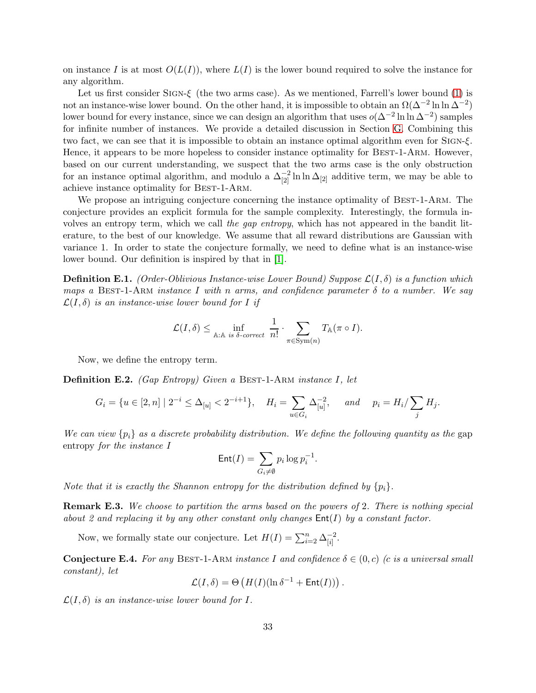on instance I is at most  $O(L(I))$ , where  $L(I)$  is the lower bound required to solve the instance for any algorithm.

Let us first consider SIGN- $\xi$  (the two arms case). As we mentioned, Farrell's lower bound [\(1\)](#page-1-0) is not an instance-wise lower bound. On the other hand, it is impossible to obtain an  $\Omega(\Delta^{-2} \ln \ln \Delta^{-2})$ lower bound for every instance, since we can design an algorithm that uses  $o(\Delta^{-2} \ln \ln \Delta^{-2})$  samples for infinite number of instances. We provide a detailed discussion in Section [G.](#page-40-0) Combining this two fact, we can see that it is impossible to obtain an instance optimal algorithm even for Sign-ξ. Hence, it appears to be more hopeless to consider instance optimality for BEST-1-ARM. However, based on our current understanding, we suspect that the two arms case is the only obstruction for an instance optimal algorithm, and modulo a  $\Delta_{[2]}^{-2} \ln \ln \Delta_{[2]}$  additive term, we may be able to achieve instance optimality for Best-1-Arm.

We propose an intriguing conjecture concerning the instance optimality of BEST-1-ARM. The conjecture provides an explicit formula for the sample complexity. Interestingly, the formula involves an entropy term, which we call the gap entropy, which has not appeared in the bandit literature, to the best of our knowledge. We assume that all reward distributions are Gaussian with variance 1. In order to state the conjecture formally, we need to define what is an instance-wise lower bound. Our definition is inspired by that in [\[1\]](#page-10-17).

**Definition E.1.** (Order-Oblivious Instance-wise Lower Bound) Suppose  $\mathcal{L}(I, \delta)$  is a function which maps a BEST-1-ARM instance I with n arms, and confidence parameter  $\delta$  to a number. We say  $\mathcal{L}(I, \delta)$  is an instance-wise lower bound for I if

$$
\mathcal{L}(I,\delta) \leq \inf_{\mathbb{A}: \mathbb{A} \text{ is } \delta\text{-correct}} \frac{1}{n!} \cdot \sum_{\pi \in \text{Sym}(n)} T_{\mathbb{A}}(\pi \circ I).
$$

Now, we define the entropy term.

**Definition E.2.** (Gap Entropy) Given a BEST-1-ARM instance I, let

$$
G_i = \{ u \in [2, n] \mid 2^{-i} \le \Delta_{[u]} < 2^{-i+1} \}, \quad H_i = \sum_{u \in G_i} \Delta_{[u]}^{-2}, \quad \text{and} \quad p_i = H_i / \sum_j H_j.
$$

We can view  $\{p_i\}$  as a discrete probability distribution. We define the following quantity as the gap entropy for the instance I

$$
\mathsf{Ent}(I) = \sum_{G_i \neq \emptyset} p_i \log p_i^{-1}.
$$

Note that it is exactly the Shannon entropy for the distribution defined by  $\{p_i\}$ .

Remark E.3. We choose to partition the arms based on the powers of 2. There is nothing special about 2 and replacing it by any other constant only changes  $Ent(I)$  by a constant factor.

Now, we formally state our conjecture. Let  $H(I) = \sum_{i=2}^{n} \Delta_{[i]}^{-2}$  $\frac{-2}{[i]}$ .

<span id="page-32-0"></span>**Conjecture E.4.** For any BEST-1-ARM instance I and confidence  $\delta \in (0, c)$  (c is a universal small constant), let

$$
\mathcal{L}(I,\delta) = \Theta\left(H(I)(\ln \delta^{-1} + \mathsf{Ent}(I))\right).
$$

 $\mathcal{L}(I, \delta)$  is an instance-wise lower bound for I.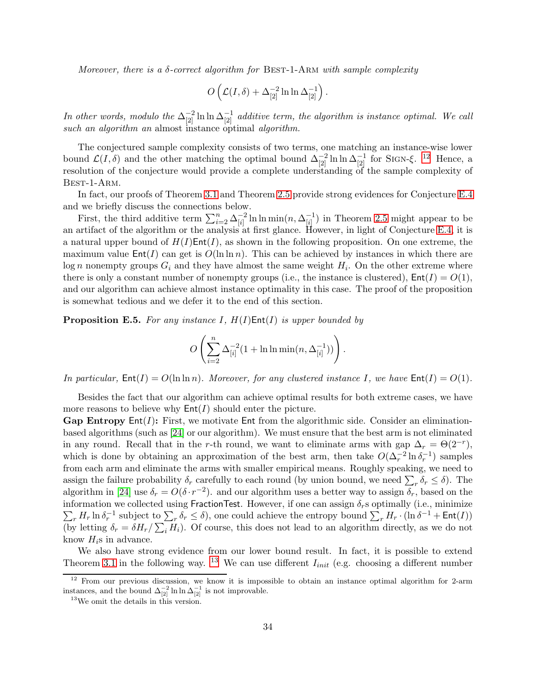Moreover, there is a  $\delta$ -correct algorithm for BEST-1-ARM with sample complexity

$$
O\left(\mathcal{L}(I,\delta) + \Delta_{[2]}^{-2} \ln \ln \Delta_{[2]}^{-1}\right).
$$

In other words, modulo the  $\Delta_{[2]}^{-2} \ln \ln \Delta_{[2]}^{-1}$  additive term, the algorithm is instance optimal. We call such an algorithm an almost instance optimal algorithm.

The conjectured sample complexity consists of two terms, one matching an instance-wise lower bound  $\mathcal{L}(I,\delta)$  and the other matching the optimal bound  $\Delta_{[2]}^{-2} \ln \ln \Delta_{[2]}^{-1}$  for SIGN- $\xi$ . <sup>[12](#page-33-0)</sup> Hence, a resolution of the conjecture would provide a complete understanding of the sample complexity of Best-1-Arm.

In fact, our proofs of Theorem [3.1](#page-24-0) and Theorem [2.5](#page-17-0) provide strong evidences for Conjecture [E.4](#page-32-0) and we briefly discuss the connections below.

First, the third additive term  $\sum_{i=2}^{n} \Delta_{[i]}^{-2}$  $\frac{-2}{[i]} \ln \ln \min(n, \Delta^{-1}_{[i]}$  $\binom{-1}{[i]}$  in Theorem [2.5](#page-17-0) might appear to be an artifact of the algorithm or the analysis at first glance. However, in light of Conjecture [E.4,](#page-32-0) it is a natural upper bound of  $H(I)$ Ent $(I)$ , as shown in the following proposition. On one extreme, the maximum value  $Ent(I)$  can get is  $O(\ln \ln n)$ . This can be achieved by instances in which there are  $\log n$  nonempty groups  $G_i$  and they have almost the same weight  $H_i$ . On the other extreme where there is only a constant number of nonempty groups (i.e., the instance is clustered),  $Ent(I) = O(1)$ , and our algorithm can achieve almost instance optimality in this case. The proof of the proposition is somewhat tedious and we defer it to the end of this section.

<span id="page-33-2"></span>**Proposition E.5.** For any instance  $I$ ,  $H(I)$ Ent $(I)$  is upper bounded by

$$
O\left(\sum_{i=2}^n\Delta_{[i]}^{-2}(1+\ln\ln\min(n,\Delta_{[i]}^{-1}))\right).
$$

In particular,  $Ent(I) = O(\ln \ln n)$ . Moreover, for any clustered instance I, we have  $Ent(I) = O(1)$ .

Besides the fact that our algorithm can achieve optimal results for both extreme cases, we have more reasons to believe why  $Ent(I)$  should enter the picture.

**Gap Entropy Ent** $(I)$ : First, we motivate Ent from the algorithmic side. Consider an eliminationbased algorithms (such as [\[24\]](#page-10-13) or our algorithm). We must ensure that the best arm is not eliminated in any round. Recall that in the r-th round, we want to eliminate arms with gap  $\Delta_r = \Theta(2^{-r})$ , which is done by obtaining an approximation of the best arm, then take  $O(\Delta_r^{-2} \ln \delta_r^{-1})$  samples from each arm and eliminate the arms with smaller empirical means. Roughly speaking, we need to assign the failure probability  $\delta_r$  carefully to each round (by union bound, we need  $\sum_r \delta_r \leq \delta$ ). The algorithm in [\[24\]](#page-10-13) use  $\delta_r = O(\delta \cdot r^{-2})$ . and our algorithm uses a better way to assign  $\delta_r$ , based on the  $\sum_r H_r \ln \delta_r^{-1}$  subject to  $\sum_r \delta_r \leq \delta$ , one could achieve the entropy bound  $\sum_r H_r \cdot (\ln \delta^{-1} + \text{Ent}(I))$ information we collected using FractionTest. However, if one can assign  $\delta_r$ s optimally (i.e., minimize (by letting  $\delta_r = \delta H_r / \sum_i H_i$ ). Of course, this does not lead to an algorithm directly, as we do not know  $H_i$ s in advance.

We also have strong evidence from our lower bound result. In fact, it is possible to extend Theorem [3.1](#page-24-0) in the following way. <sup>[13](#page-33-1)</sup> We can use different  $I_{init}$  (e.g. choosing a different number

<sup>&</sup>lt;sup>12</sup> From our previous discussion, we know it is impossible to obtain an instance optimal algorithm for 2-arm instances, and the bound  $\Delta_{[2]}^{-2} \ln \ln \Delta_{[2]}^{-1}$  is not improvable.

<span id="page-33-1"></span><span id="page-33-0"></span><sup>13</sup>We omit the details in this version.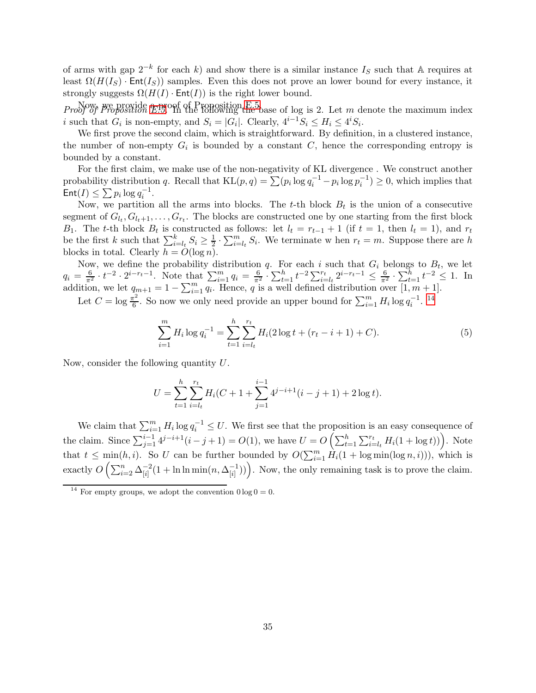of arms with gap  $2^{-k}$  for each k) and show there is a similar instance  $I_S$  such that A requires at least  $\Omega(H(I_S) \cdot \text{Ent}(I_S))$  samples. Even this does not prove an lower bound for every instance, it strongly suggests  $\Omega(H(I) \cdot \text{Ent}(I))$  is the right lower bound.

*Proof of Proposition [E.5.](#page-33-2)* Proposition E.5. Proposition E.5. Proof of Proposition E.5. Let m denote the maximum index i such that  $G_i$  is non-empty, and  $S_i = |G_i|$ . Clearly,  $4^{i-1}S_i \leq H_i \leq 4^iS_i$ .

We first prove the second claim, which is straightforward. By definition, in a clustered instance, the number of non-empty  $G_i$  is bounded by a constant C, hence the corresponding entropy is bounded by a constant.

For the first claim, we make use of the non-negativity of KL divergence . We construct another probability distribution q. Recall that  $KL(p, q) = \sum (p_i \log q_i^{-1} - p_i \log p_i^{-1}) \ge 0$ , which implies that  $\mathsf{Ent}(I) \leq \sum p_i \log q_i^{-1}.$ 

Now, we partition all the arms into blocks. The t-th block  $B_t$  is the union of a consecutive segment of  $G_{l_t}, G_{l_t+1}, \ldots, G_{r_t}$ . The blocks are constructed one by one starting from the first block B<sub>1</sub>. The t-th block  $B_t$  is constructed as follows: let  $l_t = r_{t-1} + 1$  (if  $t = 1$ , then  $l_t = 1$ ), and  $r_t$ be the first k such that  $\sum_{i=l_t}^{k} S_i \geq \frac{1}{2}$  $\frac{1}{2} \cdot \sum_{i=l_t}^{m} S_i$ . We terminate w hen  $r_t = m$ . Suppose there are h blocks in total. Clearly  $h = O(\log n)$ .

Now, we define the probability distribution q. For each i such that  $G_i$  belongs to  $B_t$ , we let  $q_i = \frac{6}{\pi^2} \cdot t^{-2} \cdot 2^{i-r_t-1}$ . Note that  $\sum_{i=1}^m q_i = \frac{6}{\pi^2} \cdot \sum_{t=1}^h t^{-2} \sum_{i=l_t}^{r_t} 2^{i-r_t-1} \leq \frac{6}{\pi^2} \cdot \sum_{t=1}^h t^{-2} \leq 1$ . In addition, we let  $q_{m+1} = 1 - \sum_{i=1}^{m} q_i$ . Hence, q is a well defined distribution over  $[1, m+1]$ .

Let  $C = \log \frac{\pi^2}{6}$  $\frac{\pi^2}{6}$ . So now we only need provide an upper bound for  $\sum_{i=1}^m H_i \log q_i^{-1}$ . <sup>[14](#page-34-0)</sup>

<span id="page-34-1"></span>
$$
\sum_{i=1}^{m} H_i \log q_i^{-1} = \sum_{t=1}^{h} \sum_{i=l_t}^{r_t} H_i(2 \log t + (r_t - i + 1) + C).
$$
 (5)

Now, consider the following quantity U.

$$
U = \sum_{t=1}^{h} \sum_{i=l_t}^{r_t} H_i(C + 1 + \sum_{j=1}^{i-1} 4^{j-i+1}(i - j + 1) + 2\log t).
$$

We claim that  $\sum_{i=1}^m H_i \log q_i^{-1} \leq U$ . We first see that the proposition is an easy consequence of the claim. Since  $\sum_{j=1}^{i-1} 4^{j-i+1}(i-j+1) = O(1)$ , we have  $U = O\left(\sum_{t=1}^{h} \sum_{i=l_t}^{r_t} H_i(1 + \log t)\right)$ . Note that  $t \leq \min(h, i)$ . So U can be further bounded by  $O(\sum_{i=1}^m \hat{H}_i(1 + \log \min(\log n, i)))$ , which is exactly  $O\left(\sum_{i=2}^n \Delta_{[i]}^{-2}\right)$  $\frac{-2}{[i]}(1 + \ln \ln \min(n, \Delta_{[i]}^{-1}))$  $\begin{pmatrix} -1 \\ i \end{pmatrix}$ ). Now, the only remaining task is to prove the claim.

<span id="page-34-0"></span><sup>&</sup>lt;sup>14</sup> For empty groups, we adopt the convention  $0 \log 0 = 0$ .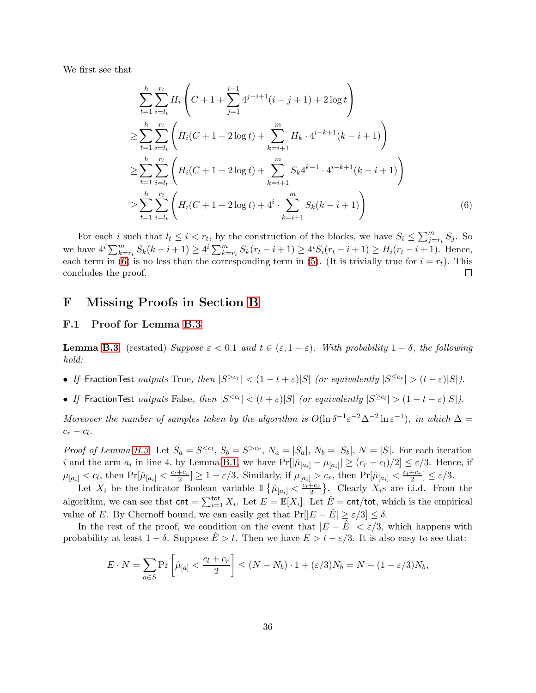We first see that

<span id="page-35-1"></span>
$$
\sum_{t=1}^{h} \sum_{i=l_{t}}^{r_{t}} H_{i} \left( C + 1 + \sum_{j=1}^{i-1} 4^{j-i+1} (i-j+1) + 2 \log t \right)
$$
\n
$$
\geq \sum_{t=1}^{h} \sum_{i=l_{t}}^{r_{t}} \left( H_{i} (C + 1 + 2 \log t) + \sum_{k=i+1}^{m} H_{k} \cdot 4^{i-k+1} (k-i+1) \right)
$$
\n
$$
\geq \sum_{t=1}^{h} \sum_{i=l_{t}}^{r_{t}} \left( H_{i} (C + 1 + 2 \log t) + \sum_{k=i+1}^{m} S_{k} 4^{k-1} \cdot 4^{i-k+1} (k-i+1) \right)
$$
\n
$$
\geq \sum_{t=1}^{h} \sum_{i=l_{t}}^{r_{t}} \left( H_{i} (C + 1 + 2 \log t) + 4^{i} \cdot \sum_{k=i+1}^{m} S_{k} (k-i+1) \right) \tag{6}
$$

For each i such that  $l_t \leq i < r_t$ , by the construction of the blocks, we have  $S_i \leq \sum_{j=r_t}^{m} S_j$ . So we have  $4^{i} \sum_{k=r}^{m} S_{k}(k-i+1) \geq 4^{i} \sum_{k=r}^{m} S_{k}(r_{t}-i+1) \geq 4^{i} S_{i}(r_{t}-i+1) \geq H_{i}(r_{t}-i+1)$ . Hence, each term in [\(6\)](#page-35-1) is no less than the corresponding term in [\(5\)](#page-34-1). (It is trivially true for  $i = r_t$ ). This concludes the proof.  $\Box$ 

### <span id="page-35-0"></span>F Missing Proofs in Section [B](#page-13-0)

#### F.1 Proof for Lemma [B.3](#page-14-1)

**Lemma [B.3](#page-14-1)** (restated) Suppose  $\varepsilon < 0.1$  and  $t \in (\varepsilon, 1 - \varepsilon)$ . With probability  $1 - \delta$ , the following hold:

- If FractionTest outputs True, then  $|S^{>c_r}| < (1-t+\varepsilon)|S|$  (or equivalently  $|S^{\leq c_r}| > (t-\varepsilon)|S|$ ).
- If FractionTest outputs False, then  $|S^{< c_l}| < (t + \varepsilon)|S|$  (or equivalently  $|S^{\geq c_l}| > (1 t \varepsilon)|S|$ ).

Moreover the number of samples taken by the algorithm is  $O(\ln \delta^{-1} \varepsilon^{-2} \Delta^{-2} \ln \varepsilon^{-1})$ , in which  $\Delta =$  $c_r - c_l$ .

*Proof of Lemma [B.3.](#page-14-1)* Let  $S_a = S^{< c_l}$ ,  $S_b = S^{> c_r}$ ,  $N_a = |S_a|$ ,  $N_b = |S_b|$ ,  $N = |S|$ . For each iteration *i* and the arm  $a_i$  in line 4, by Lemma [B.1,](#page-14-2) we have  $Pr[|\hat{\mu}_{[a_i]} - \mu_{[a_i]}| \ge (c_r - c_l)/2] \le \varepsilon/3$ . Hence, if  $\mu_{[a_i]} < c_l$ , then  $\Pr[\hat{\mu}_{[a_i]} < \frac{c_l + c_r}{2}] \ge 1 - \varepsilon/3$ . Similarly, if  $\mu_{[a_i]} > c_r$ , then  $\Pr[\hat{\mu}_{[a_i]} < \frac{c_l + c_r}{2}] \le \varepsilon/3$ .

Let  $X_i$  be the indicator Boolean variable  $1 \{\hat{\mu}_{[a_i]} < \frac{c_i+c_r}{2}\}\$ . Clearly  $X_i$ s are i.i.d. From the algorithm, we can see that  $\text{cnt} = \sum_{i=1}^{\text{tot}} X_i$ . Let  $E = \mathbb{E}[X_i]$ . Let  $\hat{E} = \text{cnt/tot}$ , which is the empirical value of E. By Chernoff bound, we can easily get that  $Pr[|E - \hat{E}| \ge \varepsilon/3] \le \delta$ .

In the rest of the proof, we condition on the event that  $|E - \tilde{E}| < \varepsilon/3$ , which happens with probability at least  $1 - \delta$ . Suppose  $\dot{E} > t$ . Then we have  $E > t - \varepsilon/3$ . It is also easy to see that:

$$
E \cdot N = \sum_{a \in S} \Pr\left[\hat{\mu}_{[a]} < \frac{c_l + c_r}{2}\right] \le (N - N_b) \cdot 1 + (\varepsilon/3)N_b = N - (1 - \varepsilon/3)N_b,
$$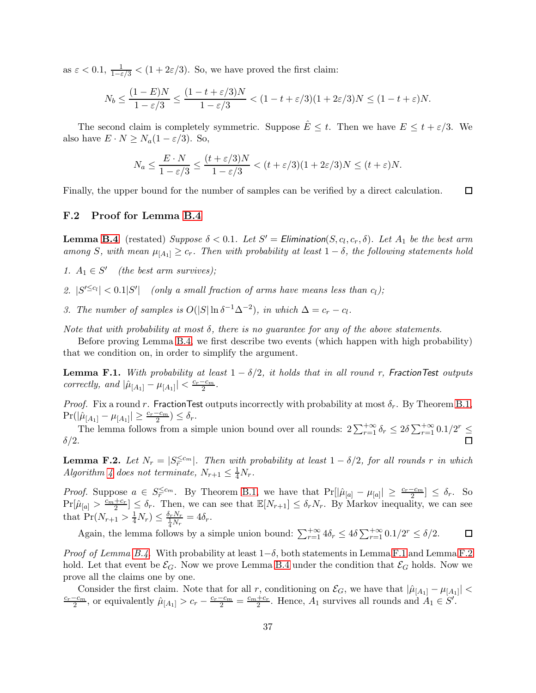as  $\varepsilon < 0.1$ ,  $\frac{1}{1-\varepsilon/3} < (1+2\varepsilon/3)$ . So, we have proved the first claim:

$$
N_b \le \frac{(1-E)N}{1-\varepsilon/3} \le \frac{(1-t+\varepsilon/3)N}{1-\varepsilon/3} < (1-t+\varepsilon/3)(1+2\varepsilon/3)N \le (1-t+\varepsilon)N.
$$

The second claim is completely symmetric. Suppose  $\hat{E} \leq t$ . Then we have  $E \leq t + \varepsilon/3$ . We also have  $E \cdot N \geq N_a(1 - \varepsilon/3)$ . So,

$$
N_a \le \frac{E \cdot N}{1 - \varepsilon/3} \le \frac{(t + \varepsilon/3)N}{1 - \varepsilon/3} < (t + \varepsilon/3)(1 + 2\varepsilon/3)N \le (t + \varepsilon)N.
$$

Finally, the upper bound for the number of samples can be verified by a direct calculation.  $\Box$ 

#### F.2 Proof for Lemma [B.4](#page-15-0)

**Lemma [B.4](#page-15-0)** (restated) Suppose  $\delta < 0.1$ . Let  $S' =$  Elimination( $S, c_l, c_r, \delta$ ). Let  $A_1$  be the best arm among S, with mean  $\mu_{[A_1]} \geq c_r$ . Then with probability at least  $1 - \delta$ , the following statements hold

- 1.  $A_1 \in S'$  (the best arm survives);
- 2.  $|S^{\prime \leq c_l}| < 0.1|S^{\prime}|$  (only a small fraction of arms have means less than  $c_l$ );
- 3. The number of samples is  $O(|S|\ln \delta^{-1}\Delta^{-2})$ , in which  $\Delta = c_r c_l$ .

Note that with probability at most  $\delta$ , there is no guarantee for any of the above statements.

Before proving Lemma [B.4,](#page-15-0) we first describe two events (which happen with high probability) that we condition on, in order to simplify the argument.

<span id="page-36-0"></span>**Lemma F.1.** With probability at least  $1 - \delta/2$ , it holds that in all round r, FractionTest outputs correctly, and  $|\hat{\mu}_{[A_1]} - \mu_{[A_1]}| < \frac{c_r - c_m}{2}$ .

Proof. Fix a round r. Fraction Test outputs incorrectly with probability at most  $\delta_r$ . By Theorem [B.1,](#page-14-2)  $Pr(|\hat{\mu}_{[A_1]} - \mu_{[A_1]}| \geq \frac{c_r - c_m}{2}) \leq \delta_r.$ 

The lemma follows from a simple union bound over all rounds:  $2\sum_{r=1}^{+\infty} \delta_r \leq 2\delta \sum_{r=1}^{+\infty} 0.1/2^r \leq$  $\delta/2$ .

<span id="page-36-1"></span>**Lemma F.2.** Let  $N_r = |S_r^{\leq c_m}|$ . Then with probability at least  $1 - \delta/2$ , for all rounds r in which Algorithm [4](#page-15-1) does not terminate,  $N_{r+1} \leq \frac{1}{4}N_r$ .

*Proof.* Suppose  $a \in S_r^{\leq c_m}$ . By Theorem [B.1,](#page-14-2) we have that  $Pr[|\hat{\mu}_{[a]} - \mu_{[a]}| \geq \frac{c_r - c_m}{2}] \leq \delta_r$ . So  $\Pr[\hat{\mu}_{[a]} > \frac{c_m+c_r}{2}] \leq \delta_r$ . Then, we can see that  $\mathbb{E}[N_{r+1}] \leq \delta_r N_r$ . By Markov inequality, we can see that  $Pr(N_{r+1} > \frac{1}{4}N_r) \leq \frac{\delta_r N_r}{\frac{1}{4}N_r} = 4\delta_r.$ 

Again, the lemma follows by a simple union bound:  $\sum_{r=1}^{+\infty} 4\delta_r \leq 4\delta \sum_{r=1}^{+\infty} 0.1/2^r \leq \delta/2$ .  $\Box$ 

*Proof of Lemma [B.4.](#page-15-0)* With probability at least  $1-\delta$ , both statements in Lemma [F.1](#page-36-0) and Lemma [F.2](#page-36-1) hold. Let that event be  $\mathcal{E}_G$ . Now we prove Lemma [B.4](#page-15-0) under the condition that  $\mathcal{E}_G$  holds. Now we prove all the claims one by one.

Consider the first claim. Note that for all r, conditioning on  $\mathcal{E}_G$ , we have that  $|\hat{\mu}_{[A_1]} - \mu_{[A_1]}| < \frac{c_r - c_m}{2}$ , or equivalently  $\hat{\mu}_{[A_1]} > c_r - \frac{c_r - c_m}{2} = \frac{c_m + c_r}{2}$ . Hence,  $A_1$  survives all rounds and  $A_1$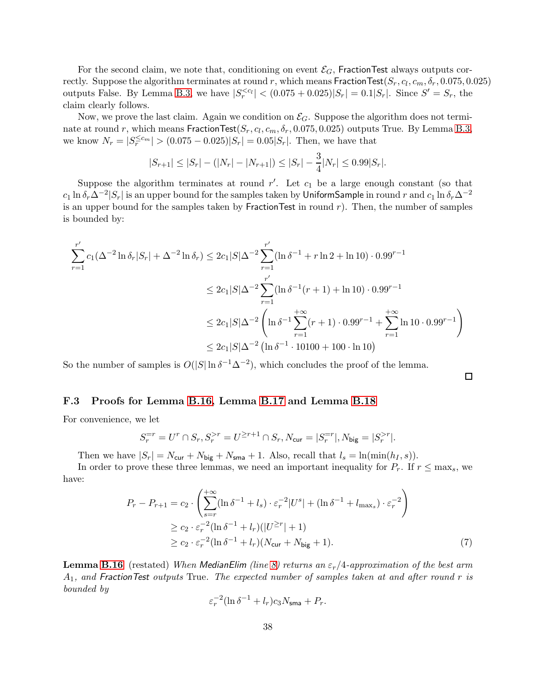For the second claim, we note that, conditioning on event  $\mathcal{E}_G$ , FractionTest always outputs correctly. Suppose the algorithm terminates at round  $r$ , which means  $\mathsf{FractionTest}(S_r, c_l, c_m, \delta_r, 0.075, 0.025)$ outputs False. By Lemma [B.3,](#page-14-1) we have  $|S_r^{< c_l}| < (0.075 + 0.025)|S_r| = 0.1|S_r|$ . Since  $S' = S_r$ , the claim clearly follows.

Now, we prove the last claim. Again we condition on  $\mathcal{E}_G$ . Suppose the algorithm does not terminate at round r, which means  $\mathsf{FractionTest}(S_r, c_l, c_m, \delta_r, 0.075, 0.025)$  outputs True. By Lemma [B.3,](#page-14-1) we know  $N_r = |S_r^{\leq c_m}| > (0.075 - 0.025)|S_r| = 0.05|S_r|$ . Then, we have that

$$
|S_{r+1}| \leq |S_r| - (|N_r| - |N_{r+1}|) \leq |S_r| - \frac{3}{4}|N_r| \leq 0.99|S_r|.
$$

Suppose the algorithm terminates at round  $r'$ . Let  $c_1$  be a large enough constant (so that  $c_1\ln\delta_r\Delta^{-2}|S_r|$  is an upper bound for the samples taken by <code>UniformSample</code> in round  $r$  and  $c_1\ln\delta_r\Delta^{-2}$ is an upper bound for the samples taken by Fraction Test in round  $r$ ). Then, the number of samples is bounded by:

$$
\sum_{r=1}^{r'} c_1(\Delta^{-2} \ln \delta_r |S_r| + \Delta^{-2} \ln \delta_r) \le 2c_1 |S|\Delta^{-2} \sum_{r=1}^{r'} (\ln \delta^{-1} + r \ln 2 + \ln 10) \cdot 0.99^{r-1}
$$
  

$$
\le 2c_1 |S|\Delta^{-2} \sum_{r=1}^{r'} (\ln \delta^{-1}(r+1) + \ln 10) \cdot 0.99^{r-1}
$$
  

$$
\le 2c_1 |S|\Delta^{-2} \left( \ln \delta^{-1} \sum_{r=1}^{+\infty} (r+1) \cdot 0.99^{r-1} + \sum_{r=1}^{+\infty} \ln 10 \cdot 0.99^{r-1} \right)
$$
  

$$
\le 2c_1 |S|\Delta^{-2} (\ln \delta^{-1} \cdot 10100 + 100 \cdot \ln 10)
$$

So the number of samples is  $O(|S|\ln \delta^{-1}\Delta^{-2})$ , which concludes the proof of the lemma.

F.3 Proofs for Lemma [B.16,](#page-21-2) Lemma [B.17](#page-21-3) and Lemma [B.18](#page-21-1)

For convenience, we let

$$
S_r^{=r} = U^r \cap S_r, S_r^{>r} = U^{\geq r+1} \cap S_r, N_{\text{cur}} = |S_r^{=r}|, N_{\text{big}} = |S_r^{>r}|.
$$

Then we have  $|S_r| = N_{\text{cur}} + N_{\text{big}} + N_{\text{sma}} + 1$ . Also, recall that  $l_s = \ln(\min(h_I, s))$ .

In order to prove these three lemmas, we need an important inequality for  $P_r$ . If  $r \leq \max_s$ , we have:

$$
P_r - P_{r+1} = c_2 \cdot \left( \sum_{s=r}^{+\infty} (\ln \delta^{-1} + l_s) \cdot \varepsilon_r^{-2} |U^s| + (\ln \delta^{-1} + l_{\max_s}) \cdot \varepsilon_r^{-2} \right)
$$
  
\n
$$
\ge c_2 \cdot \varepsilon_r^{-2} (\ln \delta^{-1} + l_r) (|U^{\ge r}| + 1)
$$
  
\n
$$
\ge c_2 \cdot \varepsilon_r^{-2} (\ln \delta^{-1} + l_r) (N_{\text{cur}} + N_{\text{big}} + 1).
$$
\n(7)

<span id="page-37-0"></span> $\Box$ 

**Lemma [B.16](#page-21-2)** (restated) When MedianElim (line [8\)](#page-16-6) returns an  $\varepsilon_r/4$ -approximation of the best arm  $A_1$ , and FractionTest outputs True. The expected number of samples taken at and after round r is bounded by

$$
\varepsilon_r^{-2} (\ln \delta^{-1} + l_r) c_3 N_{\rm sma} + P_r.
$$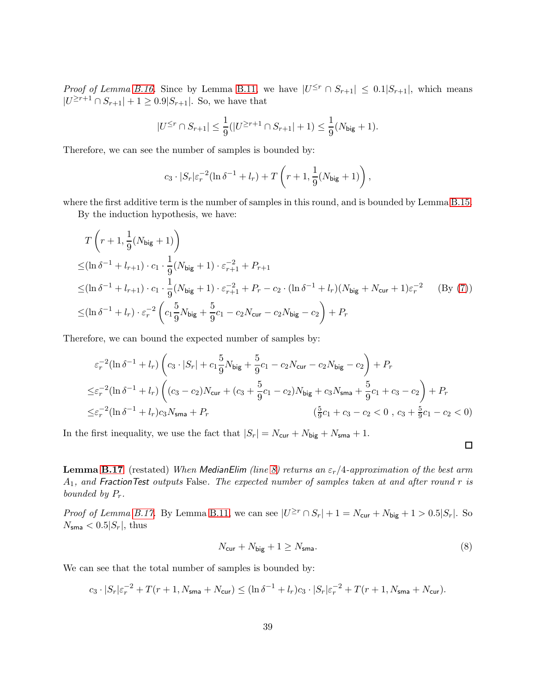*Proof of Lemma [B.16.](#page-21-2)* Since by Lemma [B.11,](#page-18-1) we have  $|U^{\leq r} \cap S_{r+1}| \leq 0.1|S_{r+1}|$ , which means  $|U^{\geq r+1} \cap S_{r+1}| + 1 \geq 0.9|S_{r+1}|.$  So, we have that

$$
|U^{\leq r} \cap S_{r+1}| \leq \frac{1}{9}(|U^{\geq r+1} \cap S_{r+1}| + 1) \leq \frac{1}{9}(N_{\text{big}} + 1).
$$

Therefore, we can see the number of samples is bounded by:

$$
c_3 \cdot |S_r|\varepsilon_r^{-2}(\ln \delta^{-1} + l_r) + T\left(r+1, \frac{1}{9}(N_{\text{big}}+1)\right),
$$

where the first additive term is the number of samples in this round, and is bounded by Lemma [B.15.](#page-20-2)

By the induction hypothesis, we have:

$$
T\left(r+1,\frac{1}{9}(N_{\text{big}}+1)\right)
$$
  
\n
$$
\leq (\ln \delta^{-1} + l_{r+1}) \cdot c_1 \cdot \frac{1}{9}(N_{\text{big}}+1) \cdot \varepsilon_{r+1}^{-2} + P_{r+1}
$$
  
\n
$$
\leq (\ln \delta^{-1} + l_{r+1}) \cdot c_1 \cdot \frac{1}{9}(N_{\text{big}}+1) \cdot \varepsilon_{r+1}^{-2} + P_r - c_2 \cdot (\ln \delta^{-1} + l_r)(N_{\text{big}} + N_{\text{cur}} + 1)\varepsilon_r^{-2} \qquad \text{(By (7))}
$$
  
\n
$$
\leq (\ln \delta^{-1} + l_r) \cdot \varepsilon_r^{-2} \left(c_1 \frac{5}{9} N_{\text{big}} + \frac{5}{9} c_1 - c_2 N_{\text{cur}} - c_2 N_{\text{big}} - c_2\right) + P_r
$$

Therefore, we can bound the expected number of samples by:

$$
\varepsilon_r^{-2}(\ln \delta^{-1} + l_r) \left( c_3 \cdot |S_r| + c_1 \frac{5}{9} N_{\text{big}} + \frac{5}{9} c_1 - c_2 N_{\text{cur}} - c_2 N_{\text{big}} - c_2 \right) + P_r
$$
  
\n
$$
\leq \varepsilon_r^{-2}(\ln \delta^{-1} + l_r) \left( (c_3 - c_2) N_{\text{cur}} + (c_3 + \frac{5}{9} c_1 - c_2) N_{\text{big}} + c_3 N_{\text{sma}} + \frac{5}{9} c_1 + c_3 - c_2 \right) + P_r
$$
  
\n
$$
\leq \varepsilon_r^{-2}(\ln \delta^{-1} + l_r) c_3 N_{\text{sma}} + P_r \qquad (\frac{5}{9} c_1 + c_3 - c_2 < 0 , c_3 + \frac{5}{9} c_1 - c_2 < 0)
$$

In the first inequality, we use the fact that  $|S_r| = N_{\text{cur}} + N_{\text{big}} + N_{\text{sma}} + 1$ .

**Lemma [B.17](#page-21-3)** (restated) When MedianElim (line [8\)](#page-16-6) returns an  $\varepsilon_r/4$ -approximation of the best arm  $A_1$ , and Fraction Test outputs False. The expected number of samples taken at and after round r is bounded by  $P_r$ .

*Proof of Lemma [B.17.](#page-21-3)* By Lemma [B.11,](#page-18-1) we can see  $|U^{\geq r} \cap S_r| + 1 = N_{\text{cur}} + N_{\text{big}} + 1 > 0.5|S_r|$ . So  $N_{\text{sma}} < 0.5|S_r|$ , thus

$$
N_{\text{cur}} + N_{\text{big}} + 1 \ge N_{\text{sma}}.\tag{8}
$$

<span id="page-38-0"></span> $\Box$ 

We can see that the total number of samples is bounded by:

$$
c_3 \cdot |S_r|\varepsilon_r^{-2} + T(r+1, N_{\sf sma} + N_{\sf cur}) \le (\ln \delta^{-1} + l_r)c_3 \cdot |S_r|\varepsilon_r^{-2} + T(r+1, N_{\sf sma} + N_{\sf cur}).
$$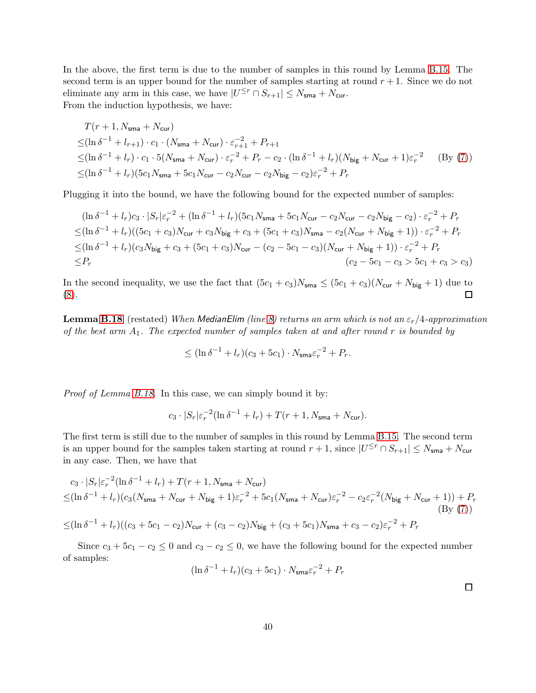In the above, the first term is due to the number of samples in this round by Lemma [B.15.](#page-20-2) The second term is an upper bound for the number of samples starting at round  $r + 1$ . Since we do not eliminate any arm in this case, we have  $|U^{\leq r} \cap S_{r+1}| \leq N_{\mathsf{sma}} + N_{\mathsf{cur}}$ . From the induction hypothesis, we have:

$$
T(r+1, N_{\text{sma}} + N_{\text{cur}})
$$
  
\n
$$
\leq (\ln \delta^{-1} + l_{r+1}) \cdot c_1 \cdot (N_{\text{sma}} + N_{\text{cur}}) \cdot \varepsilon_{r+1}^{-2} + P_{r+1}
$$
  
\n
$$
\leq (\ln \delta^{-1} + l_r) \cdot c_1 \cdot 5(N_{\text{sma}} + N_{\text{cur}}) \cdot \varepsilon_r^{-2} + P_r - c_2 \cdot (\ln \delta^{-1} + l_r)(N_{\text{big}} + N_{\text{cur}} + 1)\varepsilon_r^{-2}
$$
 (By (7))  
\n
$$
\leq (\ln \delta^{-1} + l_r)(5c_1 N_{\text{sma}} + 5c_1 N_{\text{cur}} - c_2 N_{\text{cur}} - c_2 N_{\text{big}} - c_2)\varepsilon_r^{-2} + P_r
$$

Plugging it into the bound, we have the following bound for the expected number of samples:

$$
(\ln \delta^{-1} + l_r)c_3 \cdot |S_r|\varepsilon_r^{-2} + (\ln \delta^{-1} + l_r)(5c_1N_{\text{sma}} + 5c_1N_{\text{cur}} - c_2N_{\text{cur}} - c_2N_{\text{big}} - c_2) \cdot \varepsilon_r^{-2} + P_r
$$
  
\n
$$
\leq (\ln \delta^{-1} + l_r)((5c_1 + c_3)N_{\text{cur}} + c_3N_{\text{big}} + c_3 + (5c_1 + c_3)N_{\text{sma}} - c_2(N_{\text{cur}} + N_{\text{big}} + 1)) \cdot \varepsilon_r^{-2} + P_r
$$
  
\n
$$
\leq (\ln \delta^{-1} + l_r)(c_3N_{\text{big}} + c_3 + (5c_1 + c_3)N_{\text{cur}} - (c_2 - 5c_1 - c_3)(N_{\text{cur}} + N_{\text{big}} + 1)) \cdot \varepsilon_r^{-2} + P_r
$$
  
\n
$$
\leq P_r
$$
  
\n
$$
(c_2 - 5c_1 - c_3 > 5c_1 + c_3 > c_3)
$$

In the second inequality, we use the fact that  $(5c_1 + c_3)N_{\text{sma}} \le (5c_1 + c_3)(N_{\text{cur}} + N_{\text{big}} + 1)$  due to (8). [\(8\)](#page-38-0).

**Lemma [B.18](#page-21-1)** (restated) When MedianElim (line [8\)](#page-16-6) returns an arm which is not an  $\varepsilon_r/4$ -approximation of the best arm  $A_1$ . The expected number of samples taken at and after round r is bounded by

$$
\leq (\ln \delta^{-1} + l_r)(c_3 + 5c_1) \cdot N_{\mathsf{sma}} \varepsilon_r^{-2} + P_r.
$$

Proof of Lemma [B.18.](#page-21-1) In this case, we can simply bound it by:

$$
c_3 \cdot |S_r|\varepsilon_r^{-2}(\ln \delta^{-1} + l_r) + T(r+1, N_{\text{sma}} + N_{\text{cur}}).
$$

The first term is still due to the number of samples in this round by Lemma [B.15.](#page-20-2) The second term is an upper bound for the samples taken starting at round  $r+1$ , since  $|U^{\leq r} \cap S_{r+1}| \leq N_{\text{sma}} + N_{\text{cur}}$ in any case. Then, we have that

$$
c_3 \cdot |S_r|\varepsilon_r^{-2}(\ln \delta^{-1} + l_r) + T(r+1, N_{\text{sma}} + N_{\text{cur}})
$$
  
\n
$$
\leq (\ln \delta^{-1} + l_r)(c_3(N_{\text{sma}} + N_{\text{cur}} + N_{\text{big}} + 1)\varepsilon_r^{-2} + 5c_1(N_{\text{sma}} + N_{\text{cur}})\varepsilon_r^{-2} - c_2\varepsilon_r^{-2}(N_{\text{big}} + N_{\text{cur}} + 1)) + P_r
$$
  
\n
$$
\leq (\ln \delta^{-1} + l_r)((c_3 + 5c_1 - c_2)N_{\text{cur}} + (c_3 - c_2)N_{\text{big}} + (c_3 + 5c_1)N_{\text{sma}} + c_3 - c_2)\varepsilon_r^{-2} + P_r
$$
\n(By (7))

Since  $c_3 + 5c_1 - c_2 \leq 0$  and  $c_3 - c_2 \leq 0$ , we have the following bound for the expected number of samples:

$$
(\ln \delta^{-1} + l_r)(c_3 + 5c_1) \cdot N_{\text{sma}} \varepsilon_r^{-2} + P_r
$$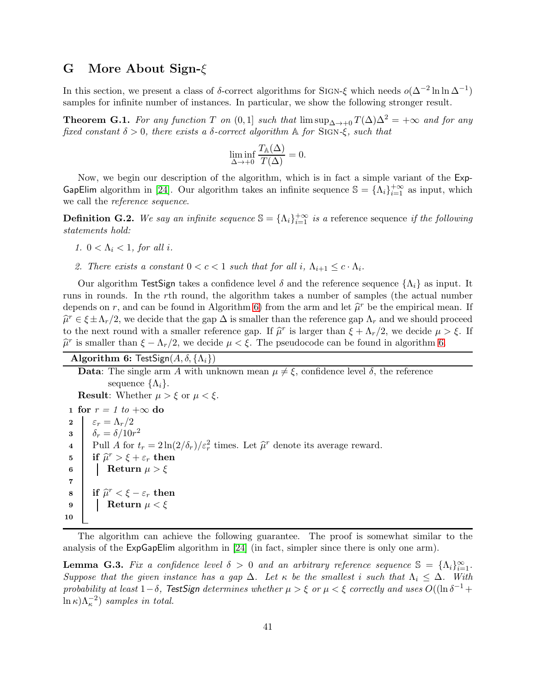### <span id="page-40-0"></span>G More About Sign-ξ

In this section, we present a class of  $\delta$ -correct algorithms for SIGN- $\xi$  which needs  $o(\Delta^{-2} \ln \ln \Delta^{-1})$ samples for infinite number of instances. In particular, we show the following stronger result.

<span id="page-40-2"></span>**Theorem G.1.** For any function T on  $(0,1]$  such that  $\limsup_{\Delta \to 0} T(\Delta) \Delta^2 = +\infty$  and for any fixed constant  $\delta > 0$ , there exists a  $\delta$ -correct algorithm A for SIGN- $\xi$ , such that

$$
\liminf_{\Delta \to +0} \frac{T_{\mathbb{A}}(\Delta)}{T(\Delta)} = 0.
$$

Now, we begin our description of the algorithm, which is in fact a simple variant of the Exp-GapElim algorithm in [\[24\]](#page-10-13). Our algorithm takes an infinite sequence  $\mathbb{S} = {\Lambda_i}_{i=1}^{+\infty}$  as input, which we call the reference sequence.

**Definition G.2.** We say an infinite sequence  $\mathbb{S} = {\Lambda_i}_{i=1}^{+\infty}$  is a reference sequence if the following statements hold:

- 1.  $0 < \Lambda_i < 1$ , for all i.
- 2. There exists a constant  $0 < c < 1$  such that for all i,  $\Lambda_{i+1} \leq c \cdot \Lambda_i$ .

Our algorithm TestSign takes a confidence level  $\delta$  and the reference sequence  $\{\Lambda_i\}$  as input. It runs in rounds. In the rth round, the algorithm takes a number of samples (the actual number depends on r, and can be found in Algorithm [6\)](#page-40-1) from the arm and let  $\hat{\mu}^r$  be the empirical mean. If  $\hat{\mu}^r \in \xi \pm \Lambda_r/2$ , we decide that the gap  $\Delta$  is smaller than the reference gap  $\Lambda_r$  and we should proceed to the next round with a smaller reference gap. If  $\hat{\mu}^r$  is larger than  $\xi + \Lambda_r/2$ , we decide  $\mu > \xi$ . If  $\hat{\mu}^r$  is smaller than  $\xi - \Lambda_r/2$ , we decide  $\mu < \xi$ . The pseudocode can be found in algorithm [6.](#page-40-1)

<span id="page-40-1"></span>

| <b>Algorithm 6:</b> TestSign( $A, \delta, \{\Lambda_i\}$ ) |  |  |  |
|------------------------------------------------------------|--|--|--|
|                                                            |  |  |  |

**Data:** The single arm A with unknown mean  $\mu \neq \xi$ , confidence level  $\delta$ , the reference sequence  $\{\Lambda_i\}.$ **Result:** Whether  $\mu > \xi$  or  $\mu < \xi$ . 1 for  $r = 1$  to  $+\infty$  do<br>2  $\Big| \varepsilon_r = \Lambda_r/2$  $\varepsilon_r = \Lambda_r/2$ 3  $\delta_r = \delta / 10r^2$ 4 Pull A for  $t_r = 2 \ln(2/\delta_r)/\epsilon_r^2$  times. Let  $\hat{\mu}^r$  denote its average reward. 5 if  $\widehat{\mu}^r > \xi + \varepsilon_r$  then 6 Return  $\mu > \xi$ 7  $\begin{array}{c|c}\n\mathbf{8} & \text{if } \hat{\mu}^r < \xi - \varepsilon_r \text{ then} \\
\hline\n\mathbf{0} & \mathbf{0} \end{array}$ 9 Return  $\mu < \xi$ 10

The algorithm can achieve the following guarantee. The proof is somewhat similar to the analysis of the ExpGapElim algorithm in [\[24\]](#page-10-13) (in fact, simpler since there is only one arm).

<span id="page-40-3"></span>**Lemma G.3.** Fix a confidence level  $\delta > 0$  and an arbitrary reference sequence  $\mathbb{S} = {\Lambda_i}_{i=1}^{\infty}$ . Suppose that the given instance has a gap  $\Delta$ . Let  $\kappa$  be the smallest i such that  $\Lambda_i \leq \Delta$ . With probability at least  $1-\delta$ , TestSign determines whether  $\mu > \xi$  or  $\mu < \xi$  correctly and uses  $O((\ln \delta^{-1} +$  $\ln \kappa$ ) $\Lambda_{\kappa}^{-2}$ ) samples in total.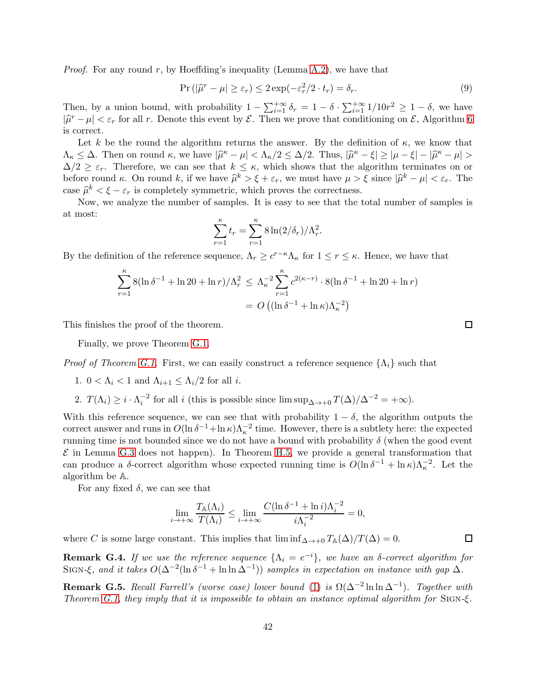*Proof.* For any round r, by Hoeffding's inequality (Lemma  $A.2$ ), we have that

$$
\Pr\left(|\hat{\mu}^r - \mu| \ge \varepsilon_r\right) \le 2\exp(-\varepsilon_r^2/2 \cdot t_r) = \delta_r. \tag{9}
$$

Then, by a union bound, with probability  $1 - \sum_{i=1}^{+\infty} \delta_r = 1 - \delta \cdot \sum_{i=1}^{+\infty} 1/10r^2 \ge 1 - \delta$ , we have  $|\hat{\mu}^r - \mu| < \varepsilon_r$  for all r. Denote this event by  $\mathcal{E}$ . Then we prove that conditioning on  $\mathcal{E}$ , Algorithm [6](#page-40-1) is correct.

Let k be the round the algorithm returns the answer. By the definition of  $\kappa$ , we know that  $\Lambda_{\kappa} \leq \Delta$ . Then on round  $\kappa$ , we have  $|\hat{\mu}^{\kappa} - \mu| < \Lambda_{\kappa}/2 \leq \Delta/2$ . Thus,  $|\hat{\mu}^{\kappa} - \xi| \geq |\mu - \xi| - |\hat{\mu}^{\kappa} - \mu| >$  $\Delta/2 \geq \varepsilon_r$ . Therefore, we can see that  $k \leq \kappa$ , which shows that the algorithm terminates on or before round  $\kappa$ . On round  $k$ , if we have  $\hat{\mu}^k > \xi + \varepsilon_r$ , we must have  $\mu > \xi$  since  $|\hat{\mu}^k - \mu| < \varepsilon_r$ . The case  $\hat{\mu}^k < \xi - \varepsilon_r$  is completely symmetric, which proves the correctness.

Now, we analyze the number of samples. It is easy to see that the total number of samples is at most:

$$
\sum_{r=1}^{\kappa} t_r = \sum_{r=1}^{\kappa} 8 \ln(2/\delta_r) / \Lambda_r^2.
$$

By the definition of the reference sequence,  $\Lambda_r \geq c^{r-\kappa}\Lambda_\kappa$  for  $1 \leq r \leq \kappa$ . Hence, we have that

$$
\sum_{r=1}^{\kappa} 8(\ln \delta^{-1} + \ln 20 + \ln r) / \Lambda_r^2 \le \Lambda_\kappa^{-2} \sum_{r=1}^{\kappa} c^{2(\kappa - r)} \cdot 8(\ln \delta^{-1} + \ln 20 + \ln r)
$$
  
=  $O((\ln \delta^{-1} + \ln \kappa)\Lambda_\kappa^{-2})$ 

This finishes the proof of the theorem.

Finally, we prove Theorem [G.1.](#page-40-2)

*Proof of Theorem [G.1.](#page-40-2)* First, we can easily construct a reference sequence  $\{\Lambda_i\}$  such that

- 1.  $0 < \Lambda_i < 1$  and  $\Lambda_{i+1} < \Lambda_i/2$  for all i.
- 2.  $T(\Lambda_i) \geq i \cdot \Lambda_i^{-2}$  for all i (this is possible since  $\limsup_{\Delta \to +0} T(\Delta)/\Delta^{-2} = +\infty$ ).

With this reference sequence, we can see that with probability  $1 - \delta$ , the algorithm outputs the correct answer and runs in  $O(\ln \delta^{-1} + \ln \kappa)\Lambda_{\kappa}^{-2}$  time. However, there is a subtlety here: the expected running time is not bounded since we do not have a bound with probability  $\delta$  (when the good event  $\mathcal E$  in Lemma [G.3](#page-40-3) does not happen). In Theorem [H.5,](#page-43-0) we provide a general transformation that can produce a  $\delta$ -correct algorithm whose expected running time is  $O(\ln \delta^{-1} + \ln \kappa)\Lambda_{\kappa}^{-2}$ . Let the algorithm be A.

For any fixed  $\delta$ , we can see that

$$
\lim_{i \to +\infty} \frac{T_{\mathbb{A}}(\Lambda_i)}{T(\Lambda_i)} \le \lim_{i \to +\infty} \frac{C(\ln \delta^{-1} + \ln i)\Lambda_i^{-2}}{i\Lambda_i^{-2}} = 0,
$$

where C is some large constant. This implies that  $\liminf_{\Delta \to +0} T_{\mathbb{A}}(\Delta)/T(\Delta) = 0$ .

**Remark G.4.** If we use the reference sequence  $\{\Lambda_i = e^{-i}\}\$ , we have an  $\delta$ -correct algorithm for SIGN- $\xi$ , and it takes  $O(\Delta^{-2}(\ln \delta^{-1} + \ln \ln \Delta^{-1}))$  samples in expectation on instance with gap  $\Delta$ .

**Remark G.5.** Recall Farrell's (worse case) lower bound [\(1\)](#page-1-0) is  $\Omega(\Delta^{-2} \ln \ln \Delta^{-1})$ . Together with Theorem [G.1,](#page-40-2) they imply that it is impossible to obtain an instance optimal algorithm for SIGN- $\xi$ .

 $\Box$ 

 $\Box$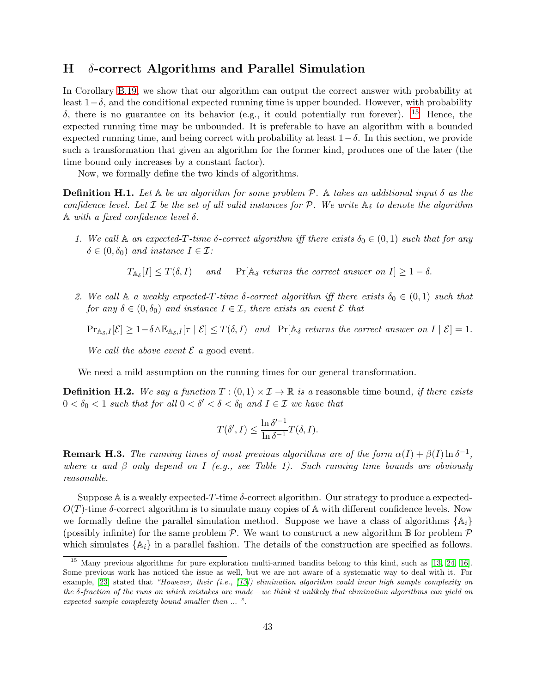### <span id="page-42-0"></span>H δ-correct Algorithms and Parallel Simulation

In Corollary [B.19,](#page-22-1) we show that our algorithm can output the correct answer with probability at least  $1-\delta$ , and the conditional expected running time is upper bounded. However, with probability δ, there is no guarantee on its behavior (e.g., it could potentially run forever). [15](#page-42-1) Hence, the expected running time may be unbounded. It is preferable to have an algorithm with a bounded expected running time, and being correct with probability at least  $1-\delta$ . In this section, we provide such a transformation that given an algorithm for the former kind, produces one of the later (the time bound only increases by a constant factor).

Now, we formally define the two kinds of algorithms.

**Definition H.1.** Let  $\mathbb A$  be an algorithm for some problem P.  $\mathbb A$  takes an additional input  $\delta$  as the confidence level. Let  $\mathcal I$  be the set of all valid instances for  $\mathcal P$ . We write  $\mathbb A_{\delta}$  to denote the algorithm A with a fixed confidence level  $\delta$ .

1. We call  $\mathbb A$  an expected-T-time  $\delta$ -correct algorithm iff there exists  $\delta_0 \in (0,1)$  such that for any  $\delta \in (0, \delta_0)$  and instance  $I \in \mathcal{I}$ :

 $T_{\mathbb{A}_{\delta}}[I] \leq T(\delta, I)$  and Pr[ $\mathbb{A}_{\delta}$  returns the correct answer on  $I] \geq 1 - \delta$ .

2. We call A a weakly expected-T-time  $\delta$ -correct algorithm iff there exists  $\delta_0 \in (0,1)$  such that for any  $\delta \in (0, \delta_0)$  and instance  $I \in \mathcal{I}$ , there exists an event  $\mathcal{E}$  that

 $Pr_{\mathbb{A}_{\delta},I}[\mathcal{E}] \geq 1-\delta \wedge \mathbb{E}_{\mathbb{A}_{\delta},I}[\tau \mid \mathcal{E}] \leq T(\delta,I)$  and  $Pr[\mathbb{A}_{\delta}$  returns the correct answer on  $I \mid \mathcal{E}] = 1$ .

We call the above event  $\mathcal E$  a good event.

We need a mild assumption on the running times for our general transformation.

**Definition H.2.** We say a function  $T : (0,1) \times I \to \mathbb{R}$  is a reasonable time bound, if there exists  $0 < \delta_0 < 1$  such that for all  $0 < \delta' < \delta < \delta_0$  and  $I \in \mathcal{I}$  we have that

$$
T(\delta', I) \le \frac{\ln \delta'^{-1}}{\ln \delta^{-1}} T(\delta, I).
$$

**Remark H.3.** The running times of most previous algorithms are of the form  $\alpha(I) + \beta(I) \ln \delta^{-1}$ , where  $\alpha$  and  $\beta$  only depend on I (e.g., see Table 1). Such running time bounds are obviously reasonable.

Suppose A is a weakly expected-T-time  $\delta$ -correct algorithm. Our strategy to produce a expected- $O(T)$ -time  $\delta$ -correct algorithm is to simulate many copies of A with different confidence levels. Now we formally define the parallel simulation method. Suppose we have a class of algorithms  $\{A_i\}$ (possibly infinite) for the same problem  $P$ . We want to construct a new algorithm  $\mathbb B$  for problem  $P$ which simulates  $\{A_i\}$  in a parallel fashion. The details of the construction are specified as follows.

<span id="page-42-1"></span><sup>&</sup>lt;sup>15</sup> Many previous algorithms for pure exploration multi-armed bandits belong to this kind, such as [\[13,](#page-10-18) [24,](#page-10-13) [16\]](#page-10-10). Some previous work has noticed the issue as well, but we are not aware of a systematic way to deal with it. For example,  $[23]$  stated that "However, their (i.e.,  $[13]$ ) elimination algorithm could incur high sample complexity on the  $\delta$ -fraction of the runs on which mistakes are made—we think it unlikely that elimination algorithms can yield an expected sample complexity bound smaller than ... ".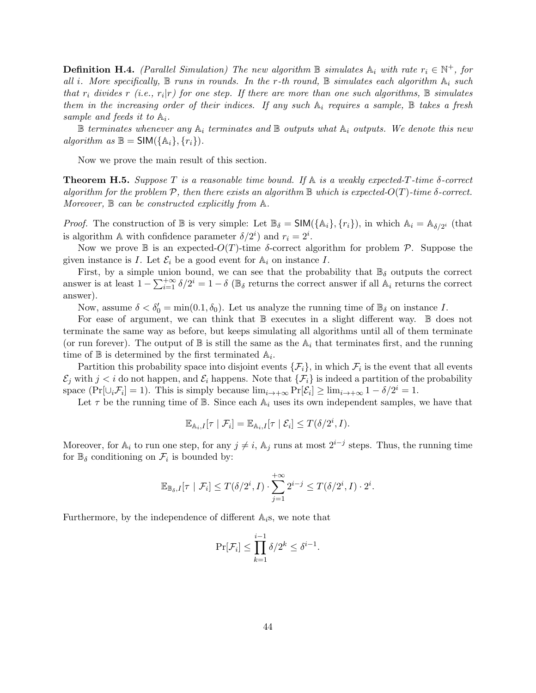**Definition H.4.** (Parallel Simulation) The new algorithm  $\mathbb B$  simulates  $\mathbb A_i$  with rate  $r_i \in \mathbb N^+$ , for all i. More specifically,  $\mathbb B$  runs in rounds. In the r-th round,  $\mathbb B$  simulates each algorithm  $\mathbb A_i$  such that  $r_i$  divides  $r_i$  (i.e.,  $r_i|r_j$ ) for one step. If there are more than one such algorithms,  $\mathbb B$  simulates them in the increasing order of their indices. If any such  $A_i$  requires a sample,  $B$  takes a fresh sample and feeds it to  $\mathbb{A}_i$ .

 $\mathbb B$  terminates whenever any  $\mathbb A_i$  terminates and  $\mathbb B$  outputs what  $\mathbb A_i$  outputs. We denote this new algorithm as  $\mathbb{B} = \mathsf{SIM}(\{\mathbb{A}_i\}, \{r_i\}).$ 

Now we prove the main result of this section.

<span id="page-43-0"></span>**Theorem H.5.** Suppose T is a reasonable time bound. If  $\mathbb A$  is a weakly expected-T-time  $\delta$ -correct algorithm for the problem  $\mathcal P$ , then there exists an algorithm  $\mathbb B$  which is expected- $O(T)$ -time  $\delta$ -correct. Moreover,  $\mathbb B$  can be constructed explicitly from A.

*Proof.* The construction of  $\mathbb B$  is very simple: Let  $\mathbb B_{\delta} = SIM(\{\mathbb A_i\}, \{r_i\})$ , in which  $\mathbb A_i = \mathbb A_{\delta/2^i}$  (that is algorithm A with confidence parameter  $\delta/2^i$  and  $r_i = 2^i$ .

Now we prove  $\mathbb B$  is an expected- $O(T)$ -time δ-correct algorithm for problem  $\mathcal P$ . Suppose the given instance is I. Let  $\mathcal{E}_i$  be a good event for  $\mathbb{A}_i$  on instance I.

First, by a simple union bound, we can see that the probability that  $\mathbb{B}_{\delta}$  outputs the correct answer is at least  $1 - \sum_{i=1}^{+\infty} \delta/2^i = 1 - \delta$  ( $\mathbb{B}_{\delta}$  returns the correct answer if all  $\mathbb{A}_i$  returns the correct answer).

Now, assume  $\delta < \delta_0' = \min(0.1, \delta_0)$ . Let us analyze the running time of  $\mathbb{B}_{\delta}$  on instance I.

For ease of argument, we can think that  $\mathbb B$  executes in a slight different way.  $\mathbb B$  does not terminate the same way as before, but keeps simulating all algorithms until all of them terminate (or run forever). The output of  $\mathbb B$  is still the same as the  $\mathbb A_i$  that terminates first, and the running time of  $\mathbb B$  is determined by the first terminated  $\mathbb A_i$ .

Partition this probability space into disjoint events  $\{\mathcal{F}_i\}$ , in which  $\mathcal{F}_i$  is the event that all events  $\mathcal{E}_j$  with  $j < i$  do not happen, and  $\mathcal{E}_i$  happens. Note that  $\{\mathcal{F}_i\}$  is indeed a partition of the probability space  $(\Pr[\cup_i \mathcal{F}_i] = 1)$ . This is simply because  $\lim_{i \to +\infty} \Pr[\mathcal{E}_i] \ge \lim_{i \to +\infty} 1 - \delta/2^i = 1$ .

Let  $\tau$  be the running time of B. Since each  $A_i$  uses its own independent samples, we have that

$$
\mathbb{E}_{\mathbb{A}_i,I}[\tau \mid \mathcal{F}_i] = \mathbb{E}_{\mathbb{A}_i,I}[\tau \mid \mathcal{E}_i] \leq T(\delta/2^i,I).
$$

Moreover, for  $\mathbb{A}_i$  to run one step, for any  $j \neq i$ ,  $\mathbb{A}_j$  runs at most  $2^{i-j}$  steps. Thus, the running time for  $\mathbb{B}_{\delta}$  conditioning on  $\mathcal{F}_i$  is bounded by:

$$
\mathbb{E}_{\mathbb{B}_{\delta},I}[\tau \mid \mathcal{F}_i] \leq T(\delta/2^i,I) \cdot \sum_{j=1}^{+\infty} 2^{i-j} \leq T(\delta/2^i,I) \cdot 2^i.
$$

Furthermore, by the independence of different  $A_i$ s, we note that

$$
\Pr[\mathcal{F}_i] \le \prod_{k=1}^{i-1} \delta/2^k \le \delta^{i-1}.
$$